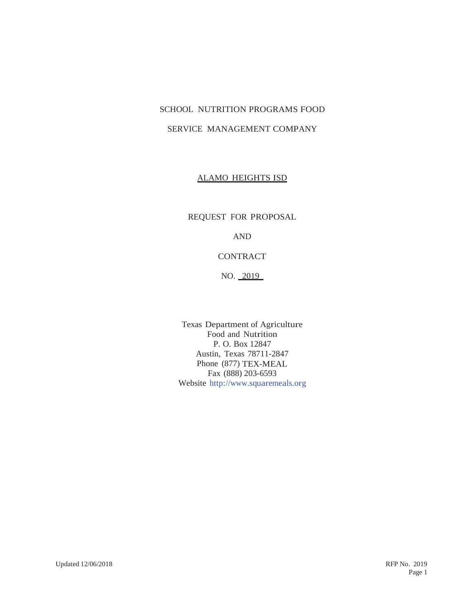# SCHOOL NUTRITION PROGRAMS FOOD

# SERVICE MANAGEMENT COMPANY

## ALAMO HEIGHTS ISD

REQUEST FOR PROPOSAL

AND

# **CONTRACT**

NO. \_2019\_

Texas Department of Agriculture Food and Nutrition P. O. Box 12847 Austin, Texas 78711-2847 Phone (877) TEX-MEAL Fax (888) 203-6593 Website http://www.squaremeals.org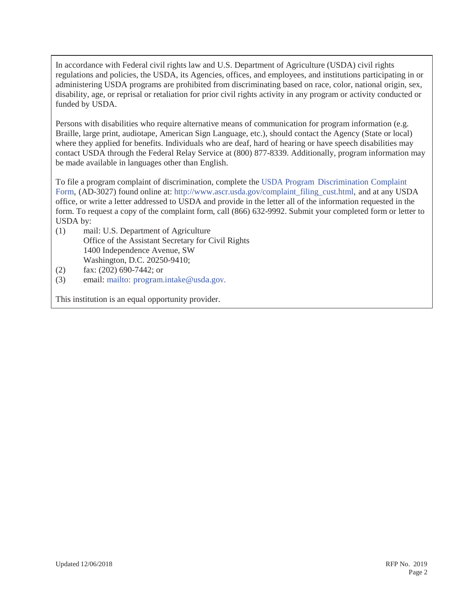In accordance with Federal civil rights law and U.S. Department of Agriculture (USDA) civil rights regulations and policies, the USDA, its Agencies, offices, and employees, and institutions participating in or administering USDA programs are prohibited from discriminating based on race, color, national origin, sex, disability, age, or reprisal or retaliation for prior civil rights activity in any program or activity conducted or funded by USDA.

Persons with disabilities who require alternative means of communication for program information (e.g. Braille, large print, audiotape, American Sign Language, etc.), should contact the Agency (State or local) where they applied for benefits. Individuals who are deaf, hard of hearing or have speech disabilities may contact USDA through the Federal Relay Service at (800) 877-8339. Additionally, program information may be made available in languages other than English.

To file a program complaint of discrimination, complete the USDA Program Discrimination Complaint Form, (AD-3027) found online at: http://www.ascr.usda.gov/complaint\_filing\_cust.html, and at any USDA office, or write a letter addressed to USDA and provide in the letter all of the information requested in the form. To request a copy of the complaint form, call (866) 632-9992. Submit your completed form or letter to USDA by:

- (1) mail: U.S. Department of Agriculture Office of the Assistant Secretary for Civil Rights 1400 Independence Avenue, SW Washington, D.C. 20250-9410;
- (2) fax: (202) 690-7442; or
- (3) email: mailto: program.intake@usda.gov.

This institution is an equal opportunity provider.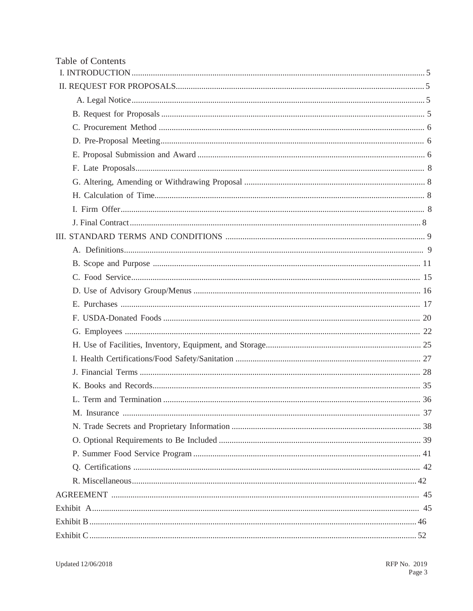| Table of Contents |
|-------------------|
|                   |
|                   |
|                   |
|                   |
|                   |
|                   |
|                   |
|                   |
|                   |
|                   |
|                   |
|                   |
|                   |
|                   |
|                   |
|                   |
|                   |
|                   |
|                   |
|                   |
|                   |
|                   |
|                   |
|                   |
|                   |
|                   |
|                   |
|                   |
|                   |
|                   |
|                   |
|                   |
|                   |
|                   |
|                   |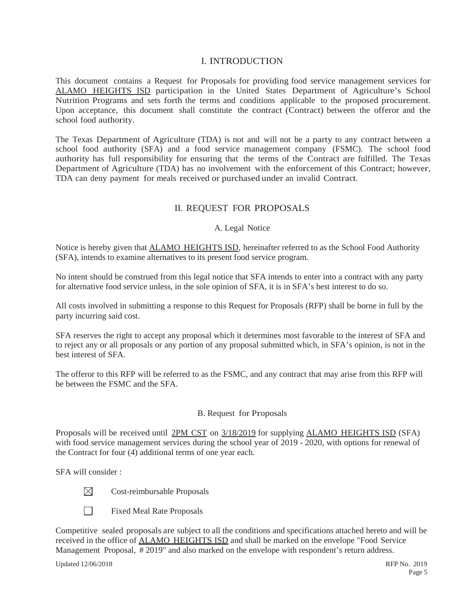# I. INTRODUCTION

This document contains a Request for Proposals for providing food service management services for ALAMO HEIGHTS ISD participation in the United States Department of Agriculture's School Nutrition Programs and sets forth the terms and conditions applicable to the proposed procurement. Upon acceptance, this document shall constitute the contract (Contract) between the offeror and the school food authority.

The Texas Department of Agriculture (TDA) is not and will not be a party to any contract between a school food authority (SFA) and a food service management company (FSMC). The school food authority has full responsibility for ensuring that the terms of the Contract are fulfilled. The Texas Department of Agriculture (TDA) has no involvement with the enforcement of this Contract; however, TDA can deny payment for meals received or purchased under an invalid Contract.

# II. REQUEST FOR PROPOSALS

# A. Legal Notice

Notice is hereby given that ALAMO HEIGHTS ISD, hereinafter referred to as the School Food Authority (SFA), intends to examine alternatives to its present food service program.

No intent should be construed from this legal notice that SFA intends to enter into a contract with any party for alternative food service unless, in the sole opinion of SFA, it is in SFA's best interest to do so.

All costs involved in submitting a response to this Request for Proposals (RFP) shall be borne in full by the party incurring said cost.

SFA reserves the right to accept any proposal which it determines most favorable to the interest of SFA and to reject any or all proposals or any portion of any proposal submitted which, in SFA's opinion, is not in the best interest of SFA.

The offeror to this RFP will be referred to as the FSMC, and any contract that may arise from this RFP will be between the FSMC and the SFA.

# B. Request for Proposals

Proposals will be received until 2PM CST on  $\frac{3}{18/2019}$  for supplying ALAMO HEIGHTS ISD (SFA) with food service management services during the school year of 2019 - 2020, with options for renewal of the Contract for four (4) additional terms of one year each.

SFA will consider :

- $\boxtimes$ Cost-reimbursable Proposals
- $\Box$ Fixed Meal Rate Proposals

Competitive sealed proposals are subject to all the conditions and specifications attached hereto and will be received in the office of ALAMO HEIGHTS ISD and shall be marked on the envelope "Food Service Management Proposal, # 2019" and also marked on the envelope with respondent's return address.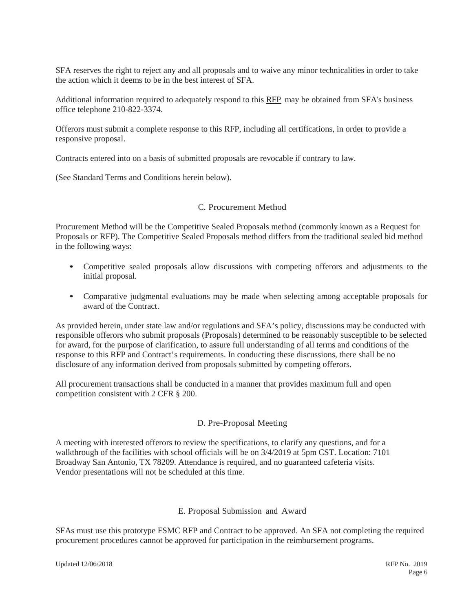SFA reserves the right to reject any and all proposals and to waive any minor technicalities in order to take the action which it deems to be in the best interest of SFA.

Additional information required to adequately respond to this RFP may be obtained from SFA's business office telephone 210-822-3374.

Offerors must submit a complete response to this RFP, including all certifications, in order to provide a responsive proposal.

Contracts entered into on a basis of submitted proposals are revocable if contrary to law.

(See Standard Terms and Conditions herein below).

# C. Procurement Method

Procurement Method will be the Competitive Sealed Proposals method (commonly known as a Request for Proposals or RFP). The Competitive Sealed Proposals method differs from the traditional sealed bid method in the following ways:

- Competitive sealed proposals allow discussions with competing offerors and adjustments to the initial proposal.
- Comparative judgmental evaluations may be made when selecting among acceptable proposals for award of the Contract.

As provided herein, under state law and/or regulations and SFA's policy, discussions may be conducted with responsible offerors who submit proposals (Proposals) determined to be reasonably susceptible to be selected for award, for the purpose of clarification, to assure full understanding of all terms and conditions of the response to this RFP and Contract's requirements. In conducting these discussions, there shall be no disclosure of any information derived from proposals submitted by competing offerors.

All procurement transactions shall be conducted in a manner that provides maximum full and open competition consistent with 2 CFR § 200.

# D. Pre-Proposal Meeting

A meeting with interested offerors to review the specifications, to clarify any questions, and for a walkthrough of the facilities with school officials will be on 3/4/2019 at 5pm CST. Location: 7101 Broadway San Antonio, TX 78209. Attendance is required, and no guaranteed cafeteria visits. Vendor presentations will not be scheduled at this time.

# E. Proposal Submission and Award

SFAs must use this prototype FSMC RFP and Contract to be approved. An SFA not completing the required procurement procedures cannot be approved for participation in the reimbursement programs.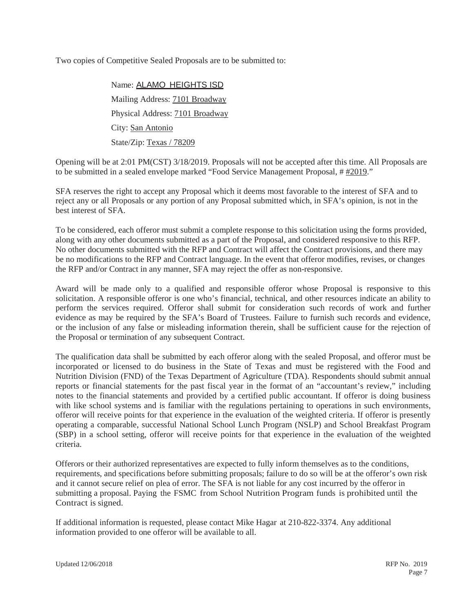Two copies of Competitive Sealed Proposals are to be submitted to:

Name: ALAMO HEIGHTS ISD Mailing Address: 7101 Broadway Physical Address: 7101 Broadway City: San Antonio State/Zip: Texas / 78209

Opening will be at 2:01 PM(CST) 3/18/2019. Proposals will not be accepted after this time. All Proposals are to be submitted in a sealed envelope marked "Food Service Management Proposal, # #2019."

SFA reserves the right to accept any Proposal which it deems most favorable to the interest of SFA and to reject any or all Proposals or any portion of any Proposal submitted which, in SFA's opinion, is not in the best interest of SFA.

To be considered, each offeror must submit a complete response to this solicitation using the forms provided, along with any other documents submitted as a part of the Proposal, and considered responsive to this RFP. No other documents submitted with the RFP and Contract will affect the Contract provisions, and there may be no modifications to the RFP and Contract language. In the event that offeror modifies, revises, or changes the RFP and/or Contract in any manner, SFA may reject the offer as non-responsive.

Award will be made only to a qualified and responsible offeror whose Proposal is responsive to this solicitation. A responsible offeror is one who's financial, technical, and other resources indicate an ability to perform the services required. Offeror shall submit for consideration such records of work and further evidence as may be required by the SFA's Board of Trustees. Failure to furnish such records and evidence, or the inclusion of any false or misleading information therein, shall be sufficient cause for the rejection of the Proposal or termination of any subsequent Contract.

The qualification data shall be submitted by each offeror along with the sealed Proposal, and offeror must be incorporated or licensed to do business in the State of Texas and must be registered with the Food and Nutrition Division (FND) of the Texas Department of Agriculture (TDA). Respondents should submit annual reports or financial statements for the past fiscal year in the format of an "accountant's review," including notes to the financial statements and provided by a certified public accountant. If offeror is doing business with like school systems and is familiar with the regulations pertaining to operations in such environments, offeror will receive points for that experience in the evaluation of the weighted criteria. If offeror is presently operating a comparable, successful National School Lunch Program (NSLP) and School Breakfast Program (SBP) in a school setting, offeror will receive points for that experience in the evaluation of the weighted criteria.

Offerors or their authorized representatives are expected to fully inform themselves as to the conditions, requirements, and specifications before submitting proposals; failure to do so will be at the offeror's own risk and it cannot secure relief on plea of error. The SFA is not liable for any cost incurred by the offeror in submitting a proposal. Paying the FSMC from School Nutrition Program funds is prohibited until the Contract is signed.

If additional information is requested, please contact Mike Hagar at 210-822-3374. Any additional information provided to one offeror will be available to all.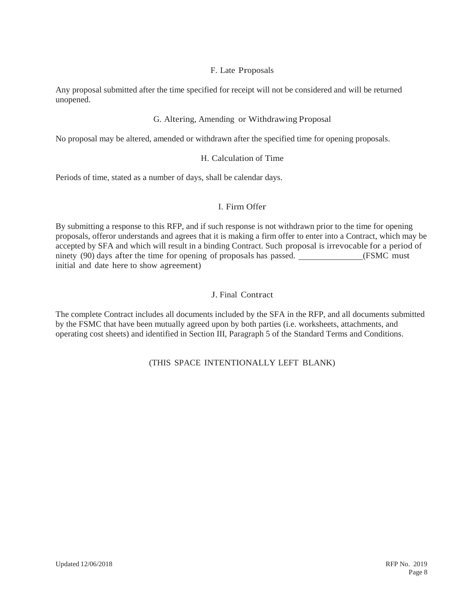# F. Late Proposals

Any proposal submitted after the time specified for receipt will not be considered and will be returned unopened.

# G. Altering, Amending or Withdrawing Proposal

No proposal may be altered, amended or withdrawn after the specified time for opening proposals.

# H. Calculation of Time

Periods of time, stated as a number of days, shall be calendar days.

# I. Firm Offer

By submitting a response to this RFP, and if such response is not withdrawn prior to the time for opening proposals, offeror understands and agrees that it is making a firm offer to enter into a Contract, which may be accepted by SFA and which will result in a binding Contract. Such proposal is irrevocable for a period of ninety (90) days after the time for opening of proposals has passed. (FSMC must initial and date here to show agreement)

# J. Final Contract

The complete Contract includes all documents included by the SFA in the RFP, and all documents submitted by the FSMC that have been mutually agreed upon by both parties (i.e. worksheets, attachments, and operating cost sheets) and identified in Section III, Paragraph 5 of the Standard Terms and Conditions.

# (THIS SPACE INTENTIONALLY LEFT BLANK)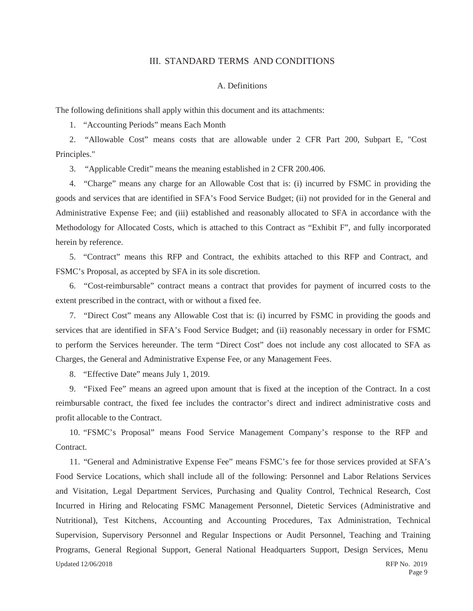# III. STANDARD TERMS AND CONDITIONS

### A. Definitions

The following definitions shall apply within this document and its attachments:

1. "Accounting Periods" means Each Month

2. "Allowable Cost" means costs that are allowable under 2 CFR Part 200, Subpart E, "Cost Principles."

3. "Applicable Credit" means the meaning established in 2 CFR 200.406.

4. "Charge" means any charge for an Allowable Cost that is: (i) incurred by FSMC in providing the goods and services that are identified in SFA's Food Service Budget; (ii) not provided for in the General and Administrative Expense Fee; and (iii) established and reasonably allocated to SFA in accordance with the Methodology for Allocated Costs, which is attached to this Contract as "Exhibit F", and fully incorporated herein by reference.

5. "Contract" means this RFP and Contract, the exhibits attached to this RFP and Contract, and FSMC's Proposal, as accepted by SFA in its sole discretion.

6. "Cost-reimbursable" contract means a contract that provides for payment of incurred costs to the extent prescribed in the contract, with or without a fixed fee.

7. "Direct Cost" means any Allowable Cost that is: (i) incurred by FSMC in providing the goods and services that are identified in SFA's Food Service Budget; and (ii) reasonably necessary in order for FSMC to perform the Services hereunder. The term "Direct Cost" does not include any cost allocated to SFA as Charges, the General and Administrative Expense Fee, or any Management Fees.

8. "Effective Date" means July 1, 2019.

9. "Fixed Fee" means an agreed upon amount that is fixed at the inception of the Contract. In a cost reimbursable contract, the fixed fee includes the contractor's direct and indirect administrative costs and profit allocable to the Contract.

10. "FSMC's Proposal" means Food Service Management Company's response to the RFP and Contract.

Updated 12/06/2018 RFP No. 2019 11. "General and Administrative Expense Fee" means FSMC's fee for those services provided at SFA's Food Service Locations, which shall include all of the following: Personnel and Labor Relations Services and Visitation, Legal Department Services, Purchasing and Quality Control, Technical Research, Cost Incurred in Hiring and Relocating FSMC Management Personnel, Dietetic Services (Administrative and Nutritional), Test Kitchens, Accounting and Accounting Procedures, Tax Administration, Technical Supervision, Supervisory Personnel and Regular Inspections or Audit Personnel, Teaching and Training Programs, General Regional Support, General National Headquarters Support, Design Services, Menu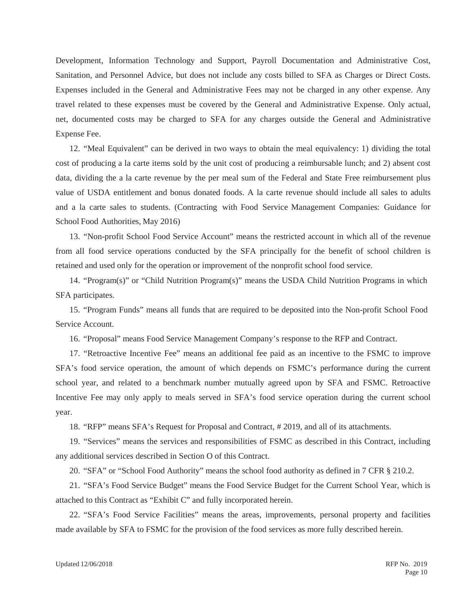Development, Information Technology and Support, Payroll Documentation and Administrative Cost, Sanitation, and Personnel Advice, but does not include any costs billed to SFA as Charges or Direct Costs. Expenses included in the General and Administrative Fees may not be charged in any other expense. Any travel related to these expenses must be covered by the General and Administrative Expense. Only actual, net, documented costs may be charged to SFA for any charges outside the General and Administrative Expense Fee.

12. "Meal Equivalent" can be derived in two ways to obtain the meal equivalency: 1) dividing the total cost of producing a la carte items sold by the unit cost of producing a reimbursable lunch; and 2) absent cost data, dividing the a la carte revenue by the per meal sum of the Federal and State Free reimbursement plus value of USDA entitlement and bonus donated foods. A la carte revenue should include all sales to adults and a la carte sales to students. (Contracting with Food Service Management Companies: Guidance for School Food Authorities, May 2016)

13. "Non-profit School Food Service Account" means the restricted account in which all of the revenue from all food service operations conducted by the SFA principally for the benefit of school children is retained and used only for the operation or improvement of the nonprofit school food service.

14. "Program(s)" or "Child Nutrition Program(s)" means the USDA Child Nutrition Programs in which SFA participates.

15. "Program Funds" means all funds that are required to be deposited into the Non-profit School Food Service Account.

16. "Proposal" means Food Service Management Company's response to the RFP and Contract.

17. "Retroactive Incentive Fee" means an additional fee paid as an incentive to the FSMC to improve SFA's food service operation, the amount of which depends on FSMC's performance during the current school year, and related to a benchmark number mutually agreed upon by SFA and FSMC. Retroactive Incentive Fee may only apply to meals served in SFA's food service operation during the current school year.

18. "RFP" means SFA's Request for Proposal and Contract, # 2019, and all of its attachments.

19. "Services" means the services and responsibilities of FSMC as described in this Contract, including any additional services described in Section O of this Contract.

20. "SFA" or "School Food Authority" means the school food authority as defined in 7 CFR § 210.2.

21. "SFA's Food Service Budget" means the Food Service Budget for the Current School Year, which is attached to this Contract as "Exhibit C" and fully incorporated herein.

22. "SFA's Food Service Facilities" means the areas, improvements, personal property and facilities made available by SFA to FSMC for the provision of the food services as more fully described herein.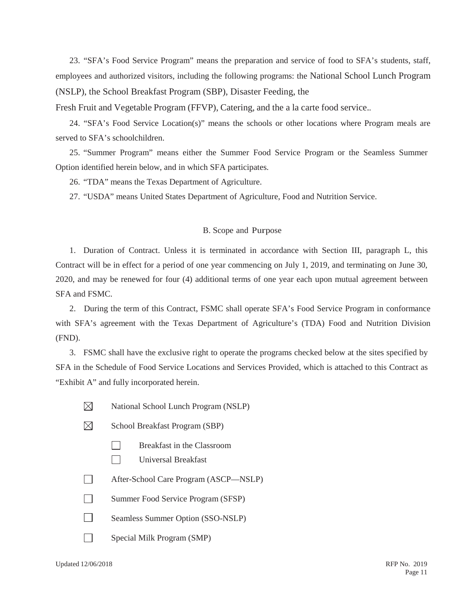23. "SFA's Food Service Program" means the preparation and service of food to SFA's students, staff, employees and authorized visitors, including the following programs: the National School Lunch Program (NSLP), the School Breakfast Program (SBP), Disaster Feeding, the

Fresh Fruit and Vegetable Program (FFVP), Catering, and the a la carte food service..

24. "SFA's Food Service Location(s)" means the schools or other locations where Program meals are served to SFA's schoolchildren.

25. "Summer Program" means either the Summer Food Service Program or the Seamless Summer Option identified herein below, and in which SFA participates.

26. "TDA" means the Texas Department of Agriculture.

27. "USDA" means United States Department of Agriculture, Food and Nutrition Service.

### B. Scope and Purpose

1. Duration of Contract. Unless it is terminated in accordance with Section III, paragraph L, this Contract will be in effect for a period of one year commencing on July 1, 2019, and terminating on June 30, 2020, and may be renewed for four (4) additional terms of one year each upon mutual agreement between SFA and FSMC.

2. During the term of this Contract, FSMC shall operate SFA's Food Service Program in conformance with SFA's agreement with the Texas Department of Agriculture's (TDA) Food and Nutrition Division (FND).

3. FSMC shall have the exclusive right to operate the programs checked below at the sites specified by SFA in the Schedule of Food Service Locations and Services Provided, which is attached to this Contract as "Exhibit A" and fully incorporated herein.

- $\boxtimes$ National School Lunch Program (NSLP)
- M School Breakfast Program (SBP)
	- Breakfast in the Classroom
	- $\Box$ Universal Breakfast
- $\Box$ After-School Care Program (ASCP—NSLP)
- $\Box$ Summer Food Service Program (SFSP)
- $\Box$ Seamless Summer Option (SSO-NSLP)
- $\Box$ Special Milk Program (SMP)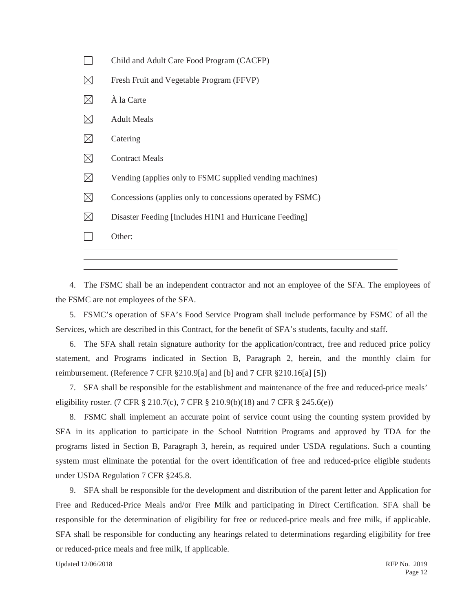|             | Other:                                                     |
|-------------|------------------------------------------------------------|
| $\boxtimes$ | Disaster Feeding [Includes H1N1 and Hurricane Feeding]     |
| $\boxtimes$ | Concessions (applies only to concessions operated by FSMC) |
| $\boxtimes$ | Vending (applies only to FSMC supplied vending machines)   |
| $\boxtimes$ | <b>Contract Meals</b>                                      |
| $\boxtimes$ | Catering                                                   |
| $\boxtimes$ | <b>Adult Meals</b>                                         |
| $\boxtimes$ | À la Carte                                                 |
| $\boxtimes$ | Fresh Fruit and Vegetable Program (FFVP)                   |
|             | Child and Adult Care Food Program (CACFP)                  |

4. The FSMC shall be an independent contractor and not an employee of the SFA. The employees of the FSMC are not employees of the SFA.

5. FSMC's operation of SFA's Food Service Program shall include performance by FSMC of all the Services, which are described in this Contract, for the benefit of SFA's students, faculty and staff.

6. The SFA shall retain signature authority for the application/contract, free and reduced price policy statement, and Programs indicated in Section B, Paragraph 2, herein, and the monthly claim for reimbursement. (Reference 7 CFR §210.9[a] and [b] and 7 CFR §210.16[a] [5])

7. SFA shall be responsible for the establishment and maintenance of the free and reduced-price meals' eligibility roster. (7 CFR § 210.7(c), 7 CFR § 210.9(b)(18) and 7 CFR § 245.6(e))

8. FSMC shall implement an accurate point of service count using the counting system provided by SFA in its application to participate in the School Nutrition Programs and approved by TDA for the programs listed in Section B, Paragraph 3, herein, as required under USDA regulations. Such a counting system must eliminate the potential for the overt identification of free and reduced-price eligible students under USDA Regulation 7 CFR §245.8.

9. SFA shall be responsible for the development and distribution of the parent letter and Application for Free and Reduced-Price Meals and/or Free Milk and participating in Direct Certification. SFA shall be responsible for the determination of eligibility for free or reduced-price meals and free milk, if applicable. SFA shall be responsible for conducting any hearings related to determinations regarding eligibility for free or reduced-price meals and free milk, if applicable.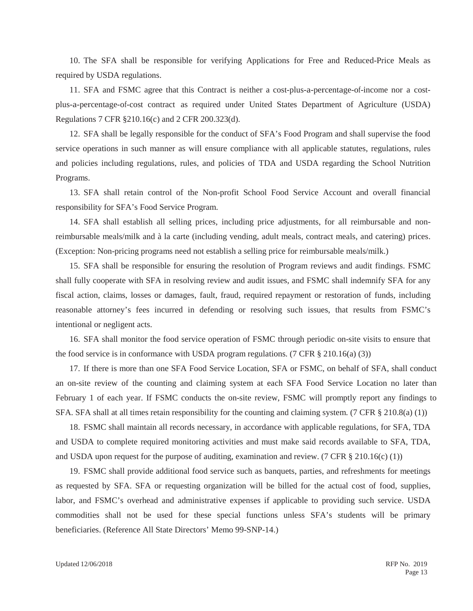10. The SFA shall be responsible for verifying Applications for Free and Reduced-Price Meals as required by USDA regulations.

11. SFA and FSMC agree that this Contract is neither a cost-plus-a-percentage-of-income nor a costplus-a-percentage-of-cost contract as required under United States Department of Agriculture (USDA) Regulations 7 CFR §210.16(c) and 2 CFR 200.323(d).

12. SFA shall be legally responsible for the conduct of SFA's Food Program and shall supervise the food service operations in such manner as will ensure compliance with all applicable statutes, regulations, rules and policies including regulations, rules, and policies of TDA and USDA regarding the School Nutrition Programs.

13. SFA shall retain control of the Non-profit School Food Service Account and overall financial responsibility for SFA's Food Service Program.

14. SFA shall establish all selling prices, including price adjustments, for all reimbursable and nonreimbursable meals/milk and à la carte (including vending, adult meals, contract meals, and catering) prices. (Exception: Non-pricing programs need not establish a selling price for reimbursable meals/milk.)

15. SFA shall be responsible for ensuring the resolution of Program reviews and audit findings. FSMC shall fully cooperate with SFA in resolving review and audit issues, and FSMC shall indemnify SFA for any fiscal action, claims, losses or damages, fault, fraud, required repayment or restoration of funds, including reasonable attorney's fees incurred in defending or resolving such issues, that results from FSMC's intentional or negligent acts.

16. SFA shall monitor the food service operation of FSMC through periodic on-site visits to ensure that the food service is in conformance with USDA program regulations. (7 CFR § 210.16(a) (3))

17. If there is more than one SFA Food Service Location, SFA or FSMC, on behalf of SFA, shall conduct an on-site review of the counting and claiming system at each SFA Food Service Location no later than February 1 of each year. If FSMC conducts the on-site review, FSMC will promptly report any findings to SFA. SFA shall at all times retain responsibility for the counting and claiming system. (7 CFR § 210.8(a) (1))

18. FSMC shall maintain all records necessary, in accordance with applicable regulations, for SFA, TDA and USDA to complete required monitoring activities and must make said records available to SFA, TDA, and USDA upon request for the purpose of auditing, examination and review. (7 CFR  $\S 210.16(c) (1)$ )

19. FSMC shall provide additional food service such as banquets, parties, and refreshments for meetings as requested by SFA. SFA or requesting organization will be billed for the actual cost of food, supplies, labor, and FSMC's overhead and administrative expenses if applicable to providing such service. USDA commodities shall not be used for these special functions unless SFA's students will be primary beneficiaries. (Reference All State Directors' Memo 99-SNP-14.)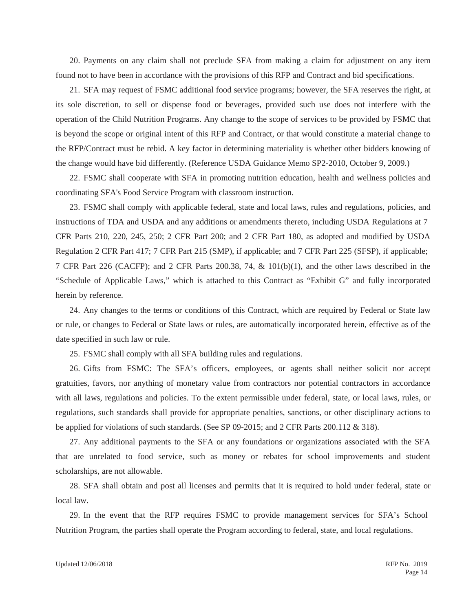20. Payments on any claim shall not preclude SFA from making a claim for adjustment on any item found not to have been in accordance with the provisions of this RFP and Contract and bid specifications.

21. SFA may request of FSMC additional food service programs; however, the SFA reserves the right, at its sole discretion, to sell or dispense food or beverages, provided such use does not interfere with the operation of the Child Nutrition Programs. Any change to the scope of services to be provided by FSMC that is beyond the scope or original intent of this RFP and Contract, or that would constitute a material change to the RFP/Contract must be rebid. A key factor in determining materiality is whether other bidders knowing of the change would have bid differently. (Reference USDA Guidance Memo SP2-2010, October 9, 2009.)

22. FSMC shall cooperate with SFA in promoting nutrition education, health and wellness policies and coordinating SFA's Food Service Program with classroom instruction.

23. FSMC shall comply with applicable federal, state and local laws, rules and regulations, policies, and instructions of TDA and USDA and any additions or amendments thereto, including USDA Regulations at 7 CFR Parts 210, 220, 245, 250; 2 CFR Part 200; and 2 CFR Part 180, as adopted and modified by USDA Regulation 2 CFR Part 417; 7 CFR Part 215 (SMP), if applicable; and 7 CFR Part 225 (SFSP), if applicable; 7 CFR Part 226 (CACFP); and 2 CFR Parts 200.38, 74, & 101(b)(1), and the other laws described in the "Schedule of Applicable Laws," which is attached to this Contract as "Exhibit G" and fully incorporated herein by reference.

24. Any changes to the terms or conditions of this Contract, which are required by Federal or State law or rule, or changes to Federal or State laws or rules, are automatically incorporated herein, effective as of the date specified in such law or rule.

25. FSMC shall comply with all SFA building rules and regulations.

26. Gifts from FSMC: The SFA's officers, employees, or agents shall neither solicit nor accept gratuities, favors, nor anything of monetary value from contractors nor potential contractors in accordance with all laws, regulations and policies. To the extent permissible under federal, state, or local laws, rules, or regulations, such standards shall provide for appropriate penalties, sanctions, or other disciplinary actions to be applied for violations of such standards. (See SP 09-2015; and 2 CFR Parts 200.112 & 318).

27. Any additional payments to the SFA or any foundations or organizations associated with the SFA that are unrelated to food service, such as money or rebates for school improvements and student scholarships, are not allowable.

28. SFA shall obtain and post all licenses and permits that it is required to hold under federal, state or local law.

29. In the event that the RFP requires FSMC to provide management services for SFA's School Nutrition Program, the parties shall operate the Program according to federal, state, and local regulations.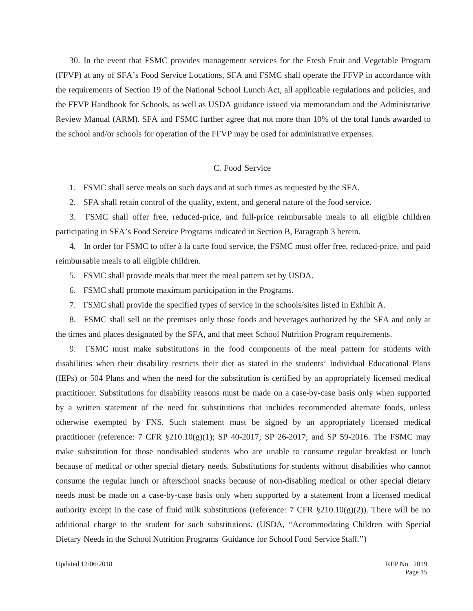30. In the event that FSMC provides management services for the Fresh Fruit and Vegetable Program (FFVP) at any of SFA's Food Service Locations, SFA and FSMC shall operate the FFVP in accordance with the requirements of Section 19 of the National School Lunch Act, all applicable regulations and policies, and the FFVP Handbook for Schools, as well as USDA guidance issued via memorandum and the Administrative Review Manual (ARM). SFA and FSMC further agree that not more than 10% of the total funds awarded to the school and/or schools for operation of the FFVP may be used for administrative expenses.

#### C. Food Service

1. FSMC shall serve meals on such days and at such times as requested by the SFA.

2. SFA shall retain control of the quality, extent, and general nature of the food service.

3. FSMC shall offer free, reduced-price, and full-price reimbursable meals to all eligible children participating in SFA's Food Service Programs indicated in Section B, Paragraph 3 herein.

4. In order for FSMC to offer à la carte food service, the FSMC must offer free, reduced-price, and paid reimbursable meals to all eligible children.

5. FSMC shall provide meals that meet the meal pattern set by USDA.

- 6. FSMC shall promote maximum participation in the Programs.
- 7. FSMC shall provide the specified types of service in the schools/sites listed in Exhibit A.

8. FSMC shall sell on the premises only those foods and beverages authorized by the SFA and only at the times and places designated by the SFA, and that meet School Nutrition Program requirements.

9. FSMC must make substitutions in the food components of the meal pattern for students with disabilities when their disability restricts their diet as stated in the students' Individual Educational Plans (IEPs) or 504 Plans and when the need for the substitution is certified by an appropriately licensed medical practitioner. Substitutions for disability reasons must be made on a case-by-case basis only when supported by a written statement of the need for substitutions that includes recommended alternate foods, unless otherwise exempted by FNS. Such statement must be signed by an appropriately licensed medical practitioner (reference: 7 CFR §210.10(g)(1); SP 40-2017; SP 26-2017; and SP 59-2016. The FSMC may make substitution for those nondisabled students who are unable to consume regular breakfast or lunch because of medical or other special dietary needs. Substitutions for students without disabilities who cannot consume the regular lunch or afterschool snacks because of non-disabling medical or other special dietary needs must be made on a case-by-case basis only when supported by a statement from a licensed medical authority except in the case of fluid milk substitutions (reference: 7 CFR  $\S210.10(g)(2)$ ). There will be no additional charge to the student for such substitutions. (USDA, "Accommodating Children with Special Dietary Needs in the School Nutrition Programs Guidance for School Food Service Staff.")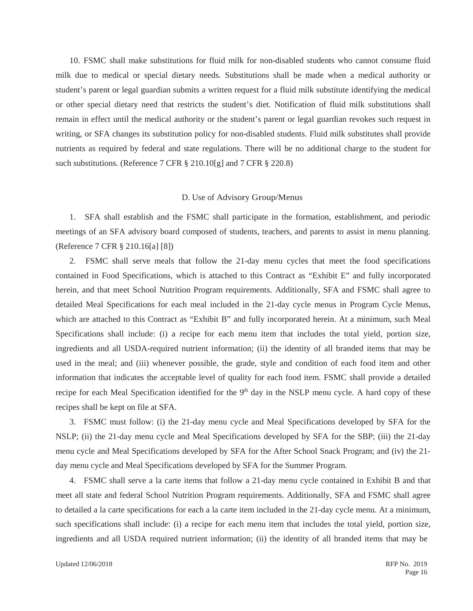10. FSMC shall make substitutions for fluid milk for non-disabled students who cannot consume fluid milk due to medical or special dietary needs. Substitutions shall be made when a medical authority or student's parent or legal guardian submits a written request for a fluid milk substitute identifying the medical or other special dietary need that restricts the student's diet. Notification of fluid milk substitutions shall remain in effect until the medical authority or the student's parent or legal guardian revokes such request in writing, or SFA changes its substitution policy for non-disabled students. Fluid milk substitutes shall provide nutrients as required by federal and state regulations. There will be no additional charge to the student for such substitutions. (Reference 7 CFR § 210.10[g] and 7 CFR § 220.8)

#### D. Use of Advisory Group/Menus

1. SFA shall establish and the FSMC shall participate in the formation, establishment, and periodic meetings of an SFA advisory board composed of students, teachers, and parents to assist in menu planning. (Reference 7 CFR § 210.16[a] [8])

2. FSMC shall serve meals that follow the 21-day menu cycles that meet the food specifications contained in Food Specifications, which is attached to this Contract as "Exhibit E" and fully incorporated herein, and that meet School Nutrition Program requirements. Additionally, SFA and FSMC shall agree to detailed Meal Specifications for each meal included in the 21-day cycle menus in Program Cycle Menus, which are attached to this Contract as "Exhibit B" and fully incorporated herein. At a minimum, such Meal Specifications shall include: (i) a recipe for each menu item that includes the total yield, portion size, ingredients and all USDA-required nutrient information; (ii) the identity of all branded items that may be used in the meal; and (iii) whenever possible, the grade, style and condition of each food item and other information that indicates the acceptable level of quality for each food item. FSMC shall provide a detailed recipe for each Meal Specification identified for the  $9<sup>th</sup>$  day in the NSLP menu cycle. A hard copy of these recipes shall be kept on file at SFA.

3. FSMC must follow: (i) the 21-day menu cycle and Meal Specifications developed by SFA for the NSLP; (ii) the 21-day menu cycle and Meal Specifications developed by SFA for the SBP; (iii) the 21-day menu cycle and Meal Specifications developed by SFA for the After School Snack Program; and (iv) the 21 day menu cycle and Meal Specifications developed by SFA for the Summer Program.

4. FSMC shall serve a la carte items that follow a 21-day menu cycle contained in Exhibit B and that meet all state and federal School Nutrition Program requirements. Additionally, SFA and FSMC shall agree to detailed a la carte specifications for each a la carte item included in the 21-day cycle menu. At a minimum, such specifications shall include: (i) a recipe for each menu item that includes the total yield, portion size, ingredients and all USDA required nutrient information; (ii) the identity of all branded items that may be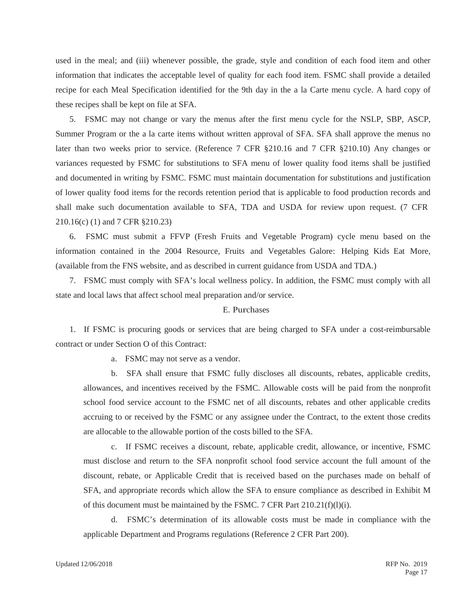used in the meal; and (iii) whenever possible, the grade, style and condition of each food item and other information that indicates the acceptable level of quality for each food item. FSMC shall provide a detailed recipe for each Meal Specification identified for the 9th day in the a la Carte menu cycle. A hard copy of these recipes shall be kept on file at SFA.

5. FSMC may not change or vary the menus after the first menu cycle for the NSLP, SBP, ASCP, Summer Program or the a la carte items without written approval of SFA. SFA shall approve the menus no later than two weeks prior to service. (Reference 7 CFR §210.16 and 7 CFR §210.10) Any changes or variances requested by FSMC for substitutions to SFA menu of lower quality food items shall be justified and documented in writing by FSMC. FSMC must maintain documentation for substitutions and justification of lower quality food items for the records retention period that is applicable to food production records and shall make such documentation available to SFA, TDA and USDA for review upon request. (7 CFR 210.16(c) (1) and 7 CFR §210.23)

6. FSMC must submit a FFVP (Fresh Fruits and Vegetable Program) cycle menu based on the information contained in the 2004 Resource, Fruits and Vegetables Galore: Helping Kids Eat More, (available from the FNS website, and as described in current guidance from USDA and TDA.)

7. FSMC must comply with SFA's local wellness policy. In addition, the FSMC must comply with all state and local laws that affect school meal preparation and/or service.

### E. Purchases

1. If FSMC is procuring goods or services that are being charged to SFA under a cost-reimbursable contract or under Section O of this Contract:

a. FSMC may not serve as a vendor.

b. SFA shall ensure that FSMC fully discloses all discounts, rebates, applicable credits, allowances, and incentives received by the FSMC. Allowable costs will be paid from the nonprofit school food service account to the FSMC net of all discounts, rebates and other applicable credits accruing to or received by the FSMC or any assignee under the Contract, to the extent those credits are allocable to the allowable portion of the costs billed to the SFA.

c. If FSMC receives a discount, rebate, applicable credit, allowance, or incentive, FSMC must disclose and return to the SFA nonprofit school food service account the full amount of the discount, rebate, or Applicable Credit that is received based on the purchases made on behalf of SFA, and appropriate records which allow the SFA to ensure compliance as described in Exhibit M of this document must be maintained by the FSMC. 7 CFR Part 210.21(f)(l)(i).

d. FSMC's determination of its allowable costs must be made in compliance with the applicable Department and Programs regulations (Reference 2 CFR Part 200).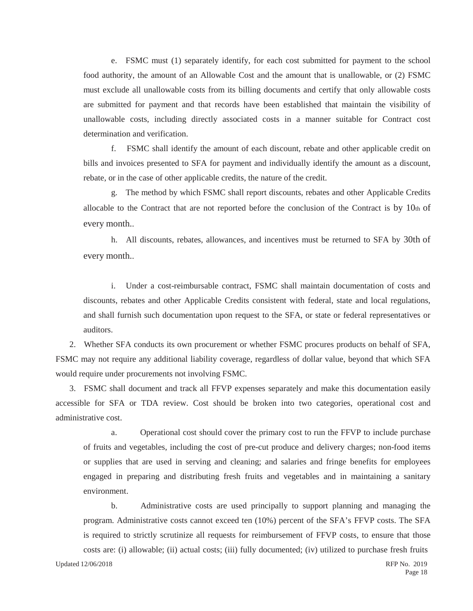e. FSMC must (1) separately identify, for each cost submitted for payment to the school food authority, the amount of an Allowable Cost and the amount that is unallowable, or (2) FSMC must exclude all unallowable costs from its billing documents and certify that only allowable costs are submitted for payment and that records have been established that maintain the visibility of unallowable costs, including directly associated costs in a manner suitable for Contract cost determination and verification.

f. FSMC shall identify the amount of each discount, rebate and other applicable credit on bills and invoices presented to SFA for payment and individually identify the amount as a discount, rebate, or in the case of other applicable credits, the nature of the credit.

g. The method by which FSMC shall report discounts, rebates and other Applicable Credits allocable to the Contract that are not reported before the conclusion of the Contract is by  $10<sub>th</sub>$  of every month..

h. All discounts, rebates, allowances, and incentives must be returned to SFA by 30th of every month..

i. Under a cost-reimbursable contract, FSMC shall maintain documentation of costs and discounts, rebates and other Applicable Credits consistent with federal, state and local regulations, and shall furnish such documentation upon request to the SFA, or state or federal representatives or auditors.

2. Whether SFA conducts its own procurement or whether FSMC procures products on behalf of SFA, FSMC may not require any additional liability coverage, regardless of dollar value, beyond that which SFA would require under procurements not involving FSMC.

3. FSMC shall document and track all FFVP expenses separately and make this documentation easily accessible for SFA or TDA review. Cost should be broken into two categories, operational cost and administrative cost.

a. Operational cost should cover the primary cost to run the FFVP to include purchase of fruits and vegetables, including the cost of pre-cut produce and delivery charges; non-food items or supplies that are used in serving and cleaning; and salaries and fringe benefits for employees engaged in preparing and distributing fresh fruits and vegetables and in maintaining a sanitary environment.

b. Administrative costs are used principally to support planning and managing the program. Administrative costs cannot exceed ten (10%) percent of the SFA's FFVP costs. The SFA is required to strictly scrutinize all requests for reimbursement of FFVP costs, to ensure that those costs are: (i) allowable; (ii) actual costs; (iii) fully documented; (iv) utilized to purchase fresh fruits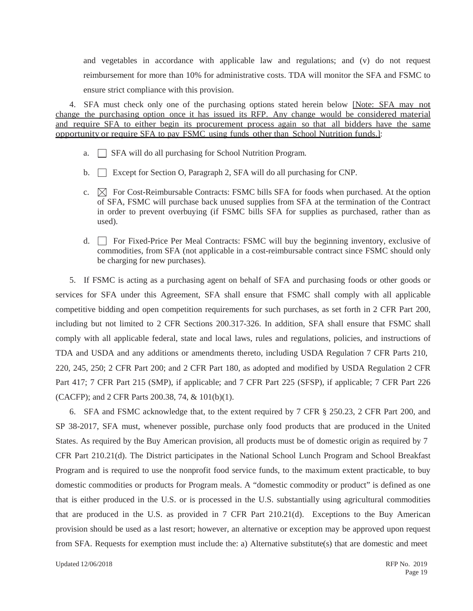and vegetables in accordance with applicable law and regulations; and (v) do not request reimbursement for more than 10% for administrative costs. TDA will monitor the SFA and FSMC to ensure strict compliance with this provision.

4. SFA must check only one of the purchasing options stated herein below [Note: SFA may not change the purchasing option once it has issued its RFP. Any change would be considered material and require SFA to either begin its procurement process again so that all bidders have the same opportunity or require SFA to pay FSMC using funds other than School Nutrition funds.]:

- a.  $\Box$  SFA will do all purchasing for School Nutrition Program.
- b.  $\Box$  Except for Section O, Paragraph 2, SFA will do all purchasing for CNP.
- c.  $\boxtimes$  For Cost-Reimbursable Contracts: FSMC bills SFA for foods when purchased. At the option of SFA, FSMC will purchase back unused supplies from SFA at the termination of the Contract in order to prevent overbuying (if FSMC bills SFA for supplies as purchased, rather than as used).
- d.  $\Box$  For Fixed-Price Per Meal Contracts: FSMC will buy the beginning inventory, exclusive of commodities, from SFA (not applicable in a cost-reimbursable contract since FSMC should only be charging for new purchases).

5. If FSMC is acting as a purchasing agent on behalf of SFA and purchasing foods or other goods or services for SFA under this Agreement, SFA shall ensure that FSMC shall comply with all applicable competitive bidding and open competition requirements for such purchases, as set forth in 2 CFR Part 200, including but not limited to 2 CFR Sections 200.317-326. In addition, SFA shall ensure that FSMC shall comply with all applicable federal, state and local laws, rules and regulations, policies, and instructions of TDA and USDA and any additions or amendments thereto, including USDA Regulation 7 CFR Parts 210, 220, 245, 250; 2 CFR Part 200; and 2 CFR Part 180, as adopted and modified by USDA Regulation 2 CFR Part 417; 7 CFR Part 215 (SMP), if applicable; and 7 CFR Part 225 (SFSP), if applicable; 7 CFR Part 226 (CACFP); and 2 CFR Parts 200.38, 74, & 101(b)(1).

6. SFA and FSMC acknowledge that, to the extent required by 7 CFR § 250.23, 2 CFR Part 200, and SP 38-2017, SFA must, whenever possible, purchase only food products that are produced in the United States. As required by the Buy American provision, all products must be of domestic origin as required by 7 CFR Part 210.21(d). The District participates in the National School Lunch Program and School Breakfast Program and is required to use the nonprofit food service funds, to the maximum extent practicable, to buy domestic commodities or products for Program meals. A "domestic commodity or product" is defined as one that is either produced in the U.S. or is processed in the U.S. substantially using agricultural commodities that are produced in the U.S. as provided in 7 CFR Part 210.21(d). Exceptions to the Buy American provision should be used as a last resort; however, an alternative or exception may be approved upon request from SFA. Requests for exemption must include the: a) Alternative substitute(s) that are domestic and meet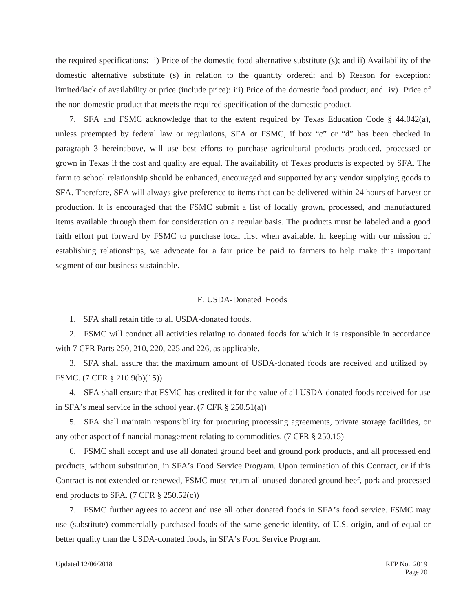the required specifications: i) Price of the domestic food alternative substitute (s); and ii) Availability of the domestic alternative substitute (s) in relation to the quantity ordered; and b) Reason for exception: limited/lack of availability or price (include price): iii) Price of the domestic food product; and iv) Price of the non-domestic product that meets the required specification of the domestic product.

7. SFA and FSMC acknowledge that to the extent required by Texas Education Code § 44.042(a), unless preempted by federal law or regulations, SFA or FSMC, if box "c" or "d" has been checked in paragraph 3 hereinabove, will use best efforts to purchase agricultural products produced, processed or grown in Texas if the cost and quality are equal. The availability of Texas products is expected by SFA. The farm to school relationship should be enhanced, encouraged and supported by any vendor supplying goods to SFA. Therefore, SFA will always give preference to items that can be delivered within 24 hours of harvest or production. It is encouraged that the FSMC submit a list of locally grown, processed, and manufactured items available through them for consideration on a regular basis. The products must be labeled and a good faith effort put forward by FSMC to purchase local first when available. In keeping with our mission of establishing relationships, we advocate for a fair price be paid to farmers to help make this important segment of our business sustainable.

#### F. USDA-Donated Foods

1. SFA shall retain title to all USDA-donated foods.

2. FSMC will conduct all activities relating to donated foods for which it is responsible in accordance with 7 CFR Parts 250, 210, 220, 225 and 226, as applicable.

3. SFA shall assure that the maximum amount of USDA-donated foods are received and utilized by FSMC. (7 CFR § 210.9(b)(15))

4. SFA shall ensure that FSMC has credited it for the value of all USDA-donated foods received for use in SFA's meal service in the school year. (7 CFR § 250.51(a))

5. SFA shall maintain responsibility for procuring processing agreements, private storage facilities, or any other aspect of financial management relating to commodities. (7 CFR § 250.15)

6. FSMC shall accept and use all donated ground beef and ground pork products, and all processed end products, without substitution, in SFA's Food Service Program. Upon termination of this Contract, or if this Contract is not extended or renewed, FSMC must return all unused donated ground beef, pork and processed end products to SFA.  $(7 \text{ CFR } \S \; 250.52(c))$ 

7. FSMC further agrees to accept and use all other donated foods in SFA's food service. FSMC may use (substitute) commercially purchased foods of the same generic identity, of U.S. origin, and of equal or better quality than the USDA-donated foods, in SFA's Food Service Program.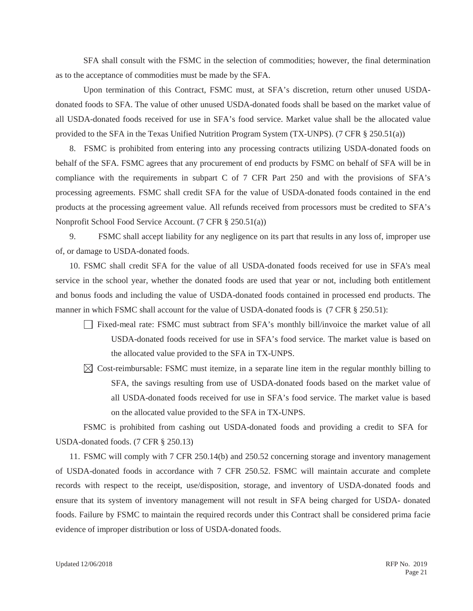SFA shall consult with the FSMC in the selection of commodities; however, the final determination as to the acceptance of commodities must be made by the SFA.

Upon termination of this Contract, FSMC must, at SFA's discretion, return other unused USDAdonated foods to SFA. The value of other unused USDA-donated foods shall be based on the market value of all USDA-donated foods received for use in SFA's food service. Market value shall be the allocated value provided to the SFA in the Texas Unified Nutrition Program System (TX-UNPS). (7 CFR § 250.51(a))

8. FSMC is prohibited from entering into any processing contracts utilizing USDA-donated foods on behalf of the SFA. FSMC agrees that any procurement of end products by FSMC on behalf of SFA will be in compliance with the requirements in subpart C of 7 CFR Part 250 and with the provisions of SFA's processing agreements. FSMC shall credit SFA for the value of USDA-donated foods contained in the end products at the processing agreement value. All refunds received from processors must be credited to SFA's Nonprofit School Food Service Account. (7 CFR § 250.51(a))

9. FSMC shall accept liability for any negligence on its part that results in any loss of, improper use of, or damage to USDA-donated foods.

10. FSMC shall credit SFA for the value of all USDA-donated foods received for use in SFA's meal service in the school year, whether the donated foods are used that year or not, including both entitlement and bonus foods and including the value of USDA-donated foods contained in processed end products. The manner in which FSMC shall account for the value of USDA-donated foods is (7 CFR § 250.51):

- Fixed-meal rate: FSMC must subtract from SFA's monthly bill/invoice the market value of all USDA-donated foods received for use in SFA's food service. The market value is based on the allocated value provided to the SFA in TX-UNPS.
- $\boxtimes$  Cost-reimbursable: FSMC must itemize, in a separate line item in the regular monthly billing to SFA, the savings resulting from use of USDA-donated foods based on the market value of all USDA-donated foods received for use in SFA's food service. The market value is based on the allocated value provided to the SFA in TX-UNPS.

FSMC is prohibited from cashing out USDA-donated foods and providing a credit to SFA for USDA-donated foods. (7 CFR § 250.13)

11. FSMC will comply with 7 CFR 250.14(b) and 250.52 concerning storage and inventory management of USDA-donated foods in accordance with 7 CFR 250.52. FSMC will maintain accurate and complete records with respect to the receipt, use/disposition, storage, and inventory of USDA-donated foods and ensure that its system of inventory management will not result in SFA being charged for USDA- donated foods. Failure by FSMC to maintain the required records under this Contract shall be considered prima facie evidence of improper distribution or loss of USDA-donated foods.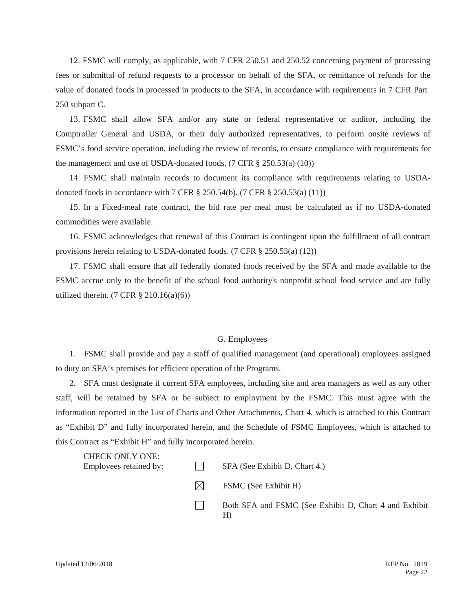12. FSMC will comply, as applicable, with 7 CFR 250.51 and 250.52 concerning payment of processing fees or submittal of refund requests to a processor on behalf of the SFA, or remittance of refunds for the value of donated foods in processed in products to the SFA, in accordance with requirements in 7 CFR Part 250 subpart C.

13. FSMC shall allow SFA and/or any state or federal representative or auditor, including the Comptroller General and USDA, or their duly authorized representatives, to perform onsite reviews of FSMC's food service operation, including the review of records, to ensure compliance with requirements for the management and use of USDA-donated foods. (7 CFR § 250.53(a) (10))

14. FSMC shall maintain records to document its compliance with requirements relating to USDAdonated foods in accordance with 7 CFR § 250.54(b). (7 CFR § 250.53(a) (11))

15. In a Fixed-meal rate contract, the bid rate per meal must be calculated as if no USDA-donated commodities were available.

16. FSMC acknowledges that renewal of this Contract is contingent upon the fulfillment of all contract provisions herein relating to USDA-donated foods. (7 CFR § 250.53(a) (12))

17. FSMC shall ensure that all federally donated foods received by the SFA and made available to the FSMC accrue only to the benefit of the school food authority's nonprofit school food service and are fully utilized therein. (7 CFR  $\S 210.16(a)(6)$ )

### G. Employees

1. FSMC shall provide and pay a staff of qualified management (and operational) employees assigned to duty on SFA's premises for efficient operation of the Programs.

2. SFA must designate if current SFA employees, including site and area managers as well as any other staff, will be retained by SFA or be subject to employment by the FSMC. This must agree with the information reported in the List of Charts and Other Attachments, Chart 4, which is attached to this Contract as "Exhibit D" and fully incorporated herein, and the Schedule of FSMC Employees, which is attached to this Contract as "Exhibit H" and fully incorporated herein.

| <b>CHECK ONLY ONE:</b><br>Employees retained by: |           | SFA (See Exhibit D, Chart 4.)                               |
|--------------------------------------------------|-----------|-------------------------------------------------------------|
|                                                  | $\bowtie$ | FSMC (See Exhibit H)                                        |
|                                                  |           | Both SFA and FSMC (See Exhibit D, Chart 4 and Exhibit<br>H) |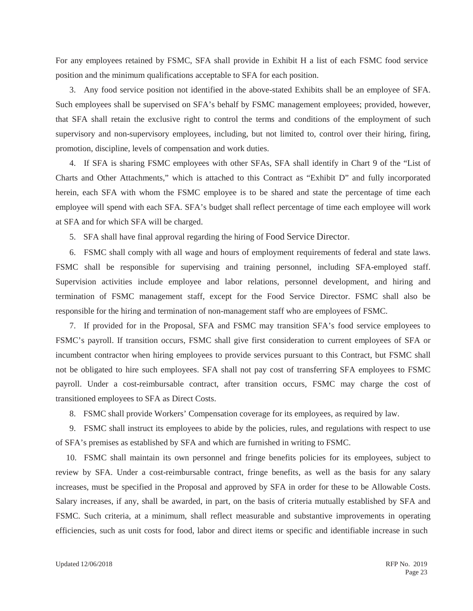For any employees retained by FSMC, SFA shall provide in Exhibit H a list of each FSMC food service position and the minimum qualifications acceptable to SFA for each position.

3. Any food service position not identified in the above-stated Exhibits shall be an employee of SFA. Such employees shall be supervised on SFA's behalf by FSMC management employees; provided, however, that SFA shall retain the exclusive right to control the terms and conditions of the employment of such supervisory and non-supervisory employees, including, but not limited to, control over their hiring, firing, promotion, discipline, levels of compensation and work duties.

4. If SFA is sharing FSMC employees with other SFAs, SFA shall identify in Chart 9 of the "List of Charts and Other Attachments," which is attached to this Contract as "Exhibit D" and fully incorporated herein, each SFA with whom the FSMC employee is to be shared and state the percentage of time each employee will spend with each SFA. SFA's budget shall reflect percentage of time each employee will work at SFA and for which SFA will be charged.

5. SFA shall have final approval regarding the hiring of Food Service Director.

6. FSMC shall comply with all wage and hours of employment requirements of federal and state laws. FSMC shall be responsible for supervising and training personnel, including SFA-employed staff. Supervision activities include employee and labor relations, personnel development, and hiring and termination of FSMC management staff, except for the Food Service Director. FSMC shall also be responsible for the hiring and termination of non-management staff who are employees of FSMC.

7. If provided for in the Proposal, SFA and FSMC may transition SFA's food service employees to FSMC's payroll. If transition occurs, FSMC shall give first consideration to current employees of SFA or incumbent contractor when hiring employees to provide services pursuant to this Contract, but FSMC shall not be obligated to hire such employees. SFA shall not pay cost of transferring SFA employees to FSMC payroll. Under a cost-reimbursable contract, after transition occurs, FSMC may charge the cost of transitioned employees to SFA as Direct Costs.

8. FSMC shall provide Workers' Compensation coverage for its employees, as required by law.

9. FSMC shall instruct its employees to abide by the policies, rules, and regulations with respect to use of SFA's premises as established by SFA and which are furnished in writing to FSMC.

10. FSMC shall maintain its own personnel and fringe benefits policies for its employees, subject to review by SFA. Under a cost-reimbursable contract, fringe benefits, as well as the basis for any salary increases, must be specified in the Proposal and approved by SFA in order for these to be Allowable Costs. Salary increases, if any, shall be awarded, in part, on the basis of criteria mutually established by SFA and FSMC. Such criteria, at a minimum, shall reflect measurable and substantive improvements in operating efficiencies, such as unit costs for food, labor and direct items or specific and identifiable increase in such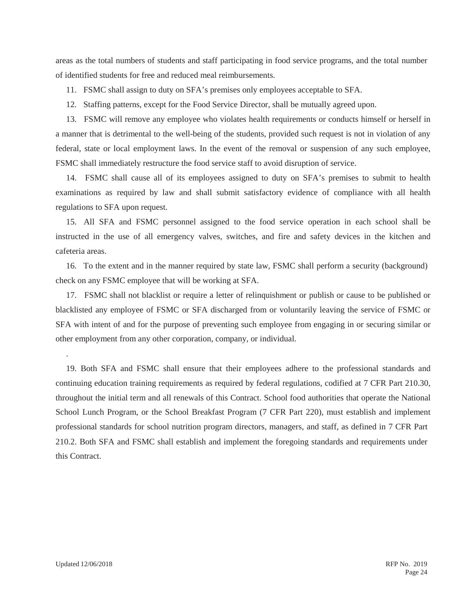areas as the total numbers of students and staff participating in food service programs, and the total number of identified students for free and reduced meal reimbursements.

11. FSMC shall assign to duty on SFA's premises only employees acceptable to SFA.

12. Staffing patterns, except for the Food Service Director, shall be mutually agreed upon.

13. FSMC will remove any employee who violates health requirements or conducts himself or herself in a manner that is detrimental to the well-being of the students, provided such request is not in violation of any federal, state or local employment laws. In the event of the removal or suspension of any such employee, FSMC shall immediately restructure the food service staff to avoid disruption of service.

14. FSMC shall cause all of its employees assigned to duty on SFA's premises to submit to health examinations as required by law and shall submit satisfactory evidence of compliance with all health regulations to SFA upon request.

15. All SFA and FSMC personnel assigned to the food service operation in each school shall be instructed in the use of all emergency valves, switches, and fire and safety devices in the kitchen and cafeteria areas.

16. To the extent and in the manner required by state law, FSMC shall perform a security (background) check on any FSMC employee that will be working at SFA.

17. FSMC shall not blacklist or require a letter of relinquishment or publish or cause to be published or blacklisted any employee of FSMC or SFA discharged from or voluntarily leaving the service of FSMC or SFA with intent of and for the purpose of preventing such employee from engaging in or securing similar or other employment from any other corporation, company, or individual.

19. Both SFA and FSMC shall ensure that their employees adhere to the professional standards and continuing education training requirements as required by federal regulations, codified at 7 CFR Part 210.30, throughout the initial term and all renewals of this Contract. School food authorities that operate the National School Lunch Program, or the School Breakfast Program (7 CFR Part 220), must establish and implement professional standards for school nutrition program directors, managers, and staff, as defined in 7 CFR Part 210.2. Both SFA and FSMC shall establish and implement the foregoing standards and requirements under this Contract.

.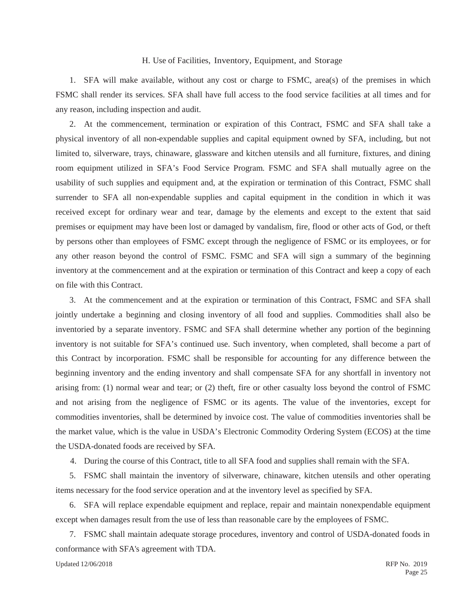#### H. Use of Facilities, Inventory, Equipment, and Storage

1. SFA will make available, without any cost or charge to FSMC, area(s) of the premises in which FSMC shall render its services. SFA shall have full access to the food service facilities at all times and for any reason, including inspection and audit.

2. At the commencement, termination or expiration of this Contract, FSMC and SFA shall take a physical inventory of all non-expendable supplies and capital equipment owned by SFA, including, but not limited to, silverware, trays, chinaware, glassware and kitchen utensils and all furniture, fixtures, and dining room equipment utilized in SFA's Food Service Program. FSMC and SFA shall mutually agree on the usability of such supplies and equipment and, at the expiration or termination of this Contract, FSMC shall surrender to SFA all non-expendable supplies and capital equipment in the condition in which it was received except for ordinary wear and tear, damage by the elements and except to the extent that said premises or equipment may have been lost or damaged by vandalism, fire, flood or other acts of God, or theft by persons other than employees of FSMC except through the negligence of FSMC or its employees, or for any other reason beyond the control of FSMC. FSMC and SFA will sign a summary of the beginning inventory at the commencement and at the expiration or termination of this Contract and keep a copy of each on file with this Contract.

3. At the commencement and at the expiration or termination of this Contract, FSMC and SFA shall jointly undertake a beginning and closing inventory of all food and supplies. Commodities shall also be inventoried by a separate inventory. FSMC and SFA shall determine whether any portion of the beginning inventory is not suitable for SFA's continued use. Such inventory, when completed, shall become a part of this Contract by incorporation. FSMC shall be responsible for accounting for any difference between the beginning inventory and the ending inventory and shall compensate SFA for any shortfall in inventory not arising from: (1) normal wear and tear; or (2) theft, fire or other casualty loss beyond the control of FSMC and not arising from the negligence of FSMC or its agents. The value of the inventories, except for commodities inventories, shall be determined by invoice cost. The value of commodities inventories shall be the market value, which is the value in USDA's Electronic Commodity Ordering System (ECOS) at the time the USDA-donated foods are received by SFA.

4. During the course of this Contract, title to all SFA food and supplies shall remain with the SFA.

5. FSMC shall maintain the inventory of silverware, chinaware, kitchen utensils and other operating items necessary for the food service operation and at the inventory level as specified by SFA.

6. SFA will replace expendable equipment and replace, repair and maintain nonexpendable equipment except when damages result from the use of less than reasonable care by the employees of FSMC.

7. FSMC shall maintain adequate storage procedures, inventory and control of USDA-donated foods in conformance with SFA's agreement with TDA.

Updated 12/06/2018 RFP No. 2019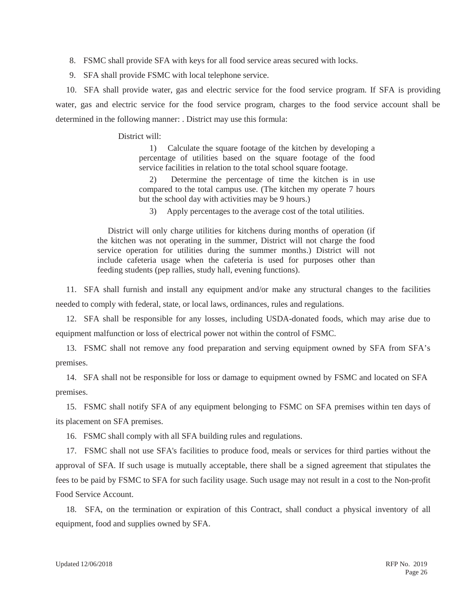- 8. FSMC shall provide SFA with keys for all food service areas secured with locks.
- 9. SFA shall provide FSMC with local telephone service.

10. SFA shall provide water, gas and electric service for the food service program. If SFA is providing water, gas and electric service for the food service program, charges to the food service account shall be determined in the following manner: . District may use this formula:

District will:

1) Calculate the square footage of the kitchen by developing a percentage of utilities based on the square footage of the food service facilities in relation to the total school square footage.

2) Determine the percentage of time the kitchen is in use compared to the total campus use. (The kitchen my operate 7 hours but the school day with activities may be 9 hours.)

3) Apply percentages to the average cost of the total utilities.

District will only charge utilities for kitchens during months of operation (if the kitchen was not operating in the summer, District will not charge the food service operation for utilities during the summer months.) District will not include cafeteria usage when the cafeteria is used for purposes other than feeding students (pep rallies, study hall, evening functions).

11. SFA shall furnish and install any equipment and/or make any structural changes to the facilities needed to comply with federal, state, or local laws, ordinances, rules and regulations.

12. SFA shall be responsible for any losses, including USDA-donated foods, which may arise due to equipment malfunction or loss of electrical power not within the control of FSMC.

13. FSMC shall not remove any food preparation and serving equipment owned by SFA from SFA's premises.

14. SFA shall not be responsible for loss or damage to equipment owned by FSMC and located on SFA premises.

15. FSMC shall notify SFA of any equipment belonging to FSMC on SFA premises within ten days of its placement on SFA premises.

16. FSMC shall comply with all SFA building rules and regulations.

17. FSMC shall not use SFA's facilities to produce food, meals or services for third parties without the approval of SFA. If such usage is mutually acceptable, there shall be a signed agreement that stipulates the fees to be paid by FSMC to SFA for such facility usage. Such usage may not result in a cost to the Non-profit Food Service Account.

18. SFA, on the termination or expiration of this Contract, shall conduct a physical inventory of all equipment, food and supplies owned by SFA.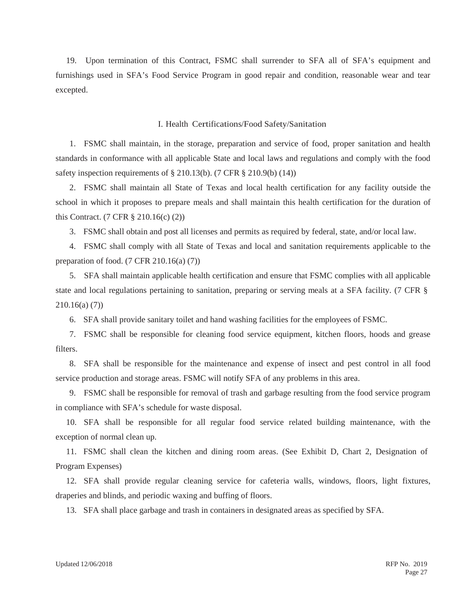19. Upon termination of this Contract, FSMC shall surrender to SFA all of SFA's equipment and furnishings used in SFA's Food Service Program in good repair and condition, reasonable wear and tear excepted.

#### I. Health Certifications/Food Safety/Sanitation

1. FSMC shall maintain, in the storage, preparation and service of food, proper sanitation and health standards in conformance with all applicable State and local laws and regulations and comply with the food safety inspection requirements of  $\S 210.13(b)$ . (7 CFR  $\S 210.9(b)$  (14))

2. FSMC shall maintain all State of Texas and local health certification for any facility outside the school in which it proposes to prepare meals and shall maintain this health certification for the duration of this Contract. (7 CFR § 210.16(c) (2))

3. FSMC shall obtain and post all licenses and permits as required by federal, state, and/or local law.

4. FSMC shall comply with all State of Texas and local and sanitation requirements applicable to the preparation of food.  $(7 \text{ CFR } 210.16(a) (7))$ 

5. SFA shall maintain applicable health certification and ensure that FSMC complies with all applicable state and local regulations pertaining to sanitation, preparing or serving meals at a SFA facility. (7 CFR § 210.16(a) (7))

6. SFA shall provide sanitary toilet and hand washing facilities for the employees of FSMC.

7. FSMC shall be responsible for cleaning food service equipment, kitchen floors, hoods and grease filters.

8. SFA shall be responsible for the maintenance and expense of insect and pest control in all food service production and storage areas. FSMC will notify SFA of any problems in this area.

9. FSMC shall be responsible for removal of trash and garbage resulting from the food service program in compliance with SFA's schedule for waste disposal.

10. SFA shall be responsible for all regular food service related building maintenance, with the exception of normal clean up.

11. FSMC shall clean the kitchen and dining room areas. (See Exhibit D, Chart 2, Designation of Program Expenses)

12. SFA shall provide regular cleaning service for cafeteria walls, windows, floors, light fixtures, draperies and blinds, and periodic waxing and buffing of floors.

13. SFA shall place garbage and trash in containers in designated areas as specified by SFA.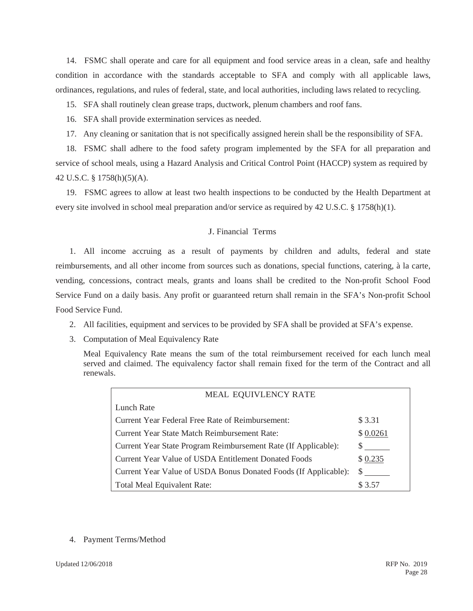14. FSMC shall operate and care for all equipment and food service areas in a clean, safe and healthy condition in accordance with the standards acceptable to SFA and comply with all applicable laws, ordinances, regulations, and rules of federal, state, and local authorities, including laws related to recycling.

15. SFA shall routinely clean grease traps, ductwork, plenum chambers and roof fans.

16. SFA shall provide extermination services as needed.

17. Any cleaning or sanitation that is not specifically assigned herein shall be the responsibility of SFA.

18. FSMC shall adhere to the food safety program implemented by the SFA for all preparation and service of school meals, using a Hazard Analysis and Critical Control Point (HACCP) system as required by 42 U.S.C. § 1758(h)(5)(A).

19. FSMC agrees to allow at least two health inspections to be conducted by the Health Department at every site involved in school meal preparation and/or service as required by 42 U.S.C. § 1758(h)(1).

# J. Financial Terms

1. All income accruing as a result of payments by children and adults, federal and state reimbursements, and all other income from sources such as donations, special functions, catering, à la carte, vending, concessions, contract meals, grants and loans shall be credited to the Non-profit School Food Service Fund on a daily basis. Any profit or guaranteed return shall remain in the SFA's Non-profit School Food Service Fund.

- 2. All facilities, equipment and services to be provided by SFA shall be provided at SFA's expense.
- 3. Computation of Meal Equivalency Rate

Meal Equivalency Rate means the sum of the total reimbursement received for each lunch meal served and claimed. The equivalency factor shall remain fixed for the term of the Contract and all renewals.

| MEAL EQUIVLENCY RATE                                            |          |
|-----------------------------------------------------------------|----------|
| Lunch Rate                                                      |          |
| Current Year Federal Free Rate of Reimbursement:                | \$3.31   |
| Current Year State Match Reimbursement Rate:                    | \$0.0261 |
| Current Year State Program Reimbursement Rate (If Applicable):  | S        |
| Current Year Value of USDA Entitlement Donated Foods            | \$0.235  |
| Current Year Value of USDA Bonus Donated Foods (If Applicable): | S        |
| Total Meal Equivalent Rate:                                     |          |

### 4. Payment Terms/Method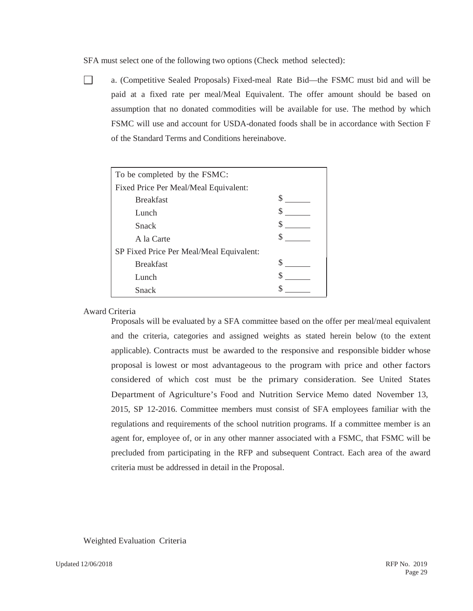SFA must select one of the following two options (Check method selected):

 $\Box$ 

a. (Competitive Sealed Proposals) Fixed-meal Rate Bid—the FSMC must bid and will be paid at a fixed rate per meal/Meal Equivalent. The offer amount should be based on assumption that no donated commodities will be available for use. The method by which FSMC will use and account for USDA-donated foods shall be in accordance with Section F of the Standard Terms and Conditions hereinabove.

| To be completed by the FSMC:             |   |  |  |
|------------------------------------------|---|--|--|
| Fixed Price Per Meal/Meal Equivalent:    |   |  |  |
| <b>Breakfast</b>                         |   |  |  |
| Lunch                                    |   |  |  |
| <b>Snack</b>                             |   |  |  |
| A la Carte                               |   |  |  |
| SP Fixed Price Per Meal/Meal Equivalent: |   |  |  |
| <b>Breakfast</b>                         | S |  |  |
| Lunch                                    |   |  |  |
| Snack                                    |   |  |  |

### Award Criteria

Proposals will be evaluated by a SFA committee based on the offer per meal/meal equivalent and the criteria, categories and assigned weights as stated herein below (to the extent applicable). Contracts must be awarded to the responsive and responsible bidder whose proposal is lowest or most advantageous to the program with price and other factors considered of which cost must be the primary consideration. See United States Department of Agriculture's Food and Nutrition Service Memo dated November 13, 2015, SP 12-2016. Committee members must consist of SFA employees familiar with the regulations and requirements of the school nutrition programs. If a committee member is an agent for, employee of, or in any other manner associated with a FSMC, that FSMC will be precluded from participating in the RFP and subsequent Contract. Each area of the award criteria must be addressed in detail in the Proposal.

Weighted Evaluation Criteria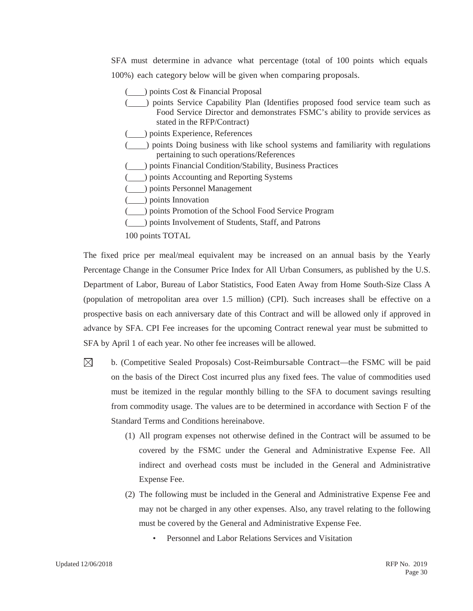SFA must determine in advance what percentage (total of 100 points which equals 100%) each category below will be given when comparing proposals.

- ( ) points Cost & Financial Proposal ( ) points Service Capability Plan (Identifies proposed food service team such as Food Service Director and demonstrates FSMC's ability to provide services as stated in the RFP/Contract) ( ) points Experience, References ( ) points Doing business with like school systems and familiarity with regulations pertaining to such operations/References ( ) points Financial Condition/Stability, Business Practices ( $\Box$ ) points Accounting and Reporting Systems ( ) points Personnel Management (  $\Box$ ) points Innovation ( ) points Promotion of the School Food Service Program ( $\Box$ ) points Involvement of Students, Staff, and Patrons
- 100 points TOTAL

The fixed price per meal/meal equivalent may be increased on an annual basis by the Yearly Percentage Change in the Consumer Price Index for All Urban Consumers, as published by the U.S. Department of Labor, Bureau of Labor Statistics, Food Eaten Away from Home South-Size Class A (population of metropolitan area over 1.5 million) (CPI). Such increases shall be effective on a prospective basis on each anniversary date of this Contract and will be allowed only if approved in advance by SFA. CPI Fee increases for the upcoming Contract renewal year must be submitted to SFA by April 1 of each year. No other fee increases will be allowed.

- $\boxtimes$ b. (Competitive Sealed Proposals) Cost-Reimbursable Contract—the FSMC will be paid on the basis of the Direct Cost incurred plus any fixed fees. The value of commodities used must be itemized in the regular monthly billing to the SFA to document savings resulting from commodity usage. The values are to be determined in accordance with Section F of the Standard Terms and Conditions hereinabove.
	- (1) All program expenses not otherwise defined in the Contract will be assumed to be covered by the FSMC under the General and Administrative Expense Fee. All indirect and overhead costs must be included in the General and Administrative Expense Fee.
	- (2) The following must be included in the General and Administrative Expense Fee and may not be charged in any other expenses. Also, any travel relating to the following must be covered by the General and Administrative Expense Fee.
		- Personnel and Labor Relations Services and Visitation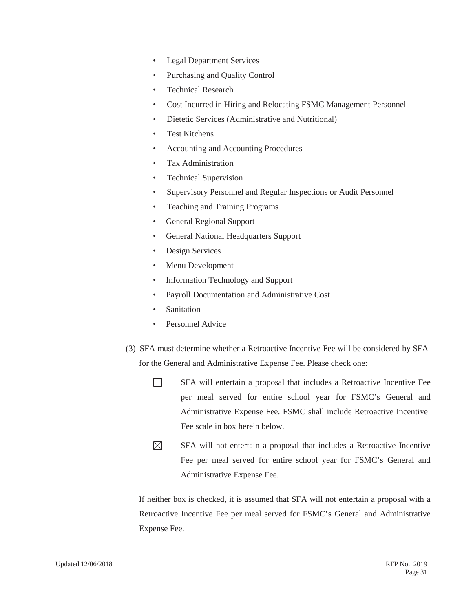- Legal Department Services
- Purchasing and Quality Control
- Technical Research
- Cost Incurred in Hiring and Relocating FSMC Management Personnel
- Dietetic Services (Administrative and Nutritional)
- Test Kitchens
- Accounting and Accounting Procedures
- Tax Administration
- Technical Supervision
- Supervisory Personnel and Regular Inspections or Audit Personnel
- Teaching and Training Programs
- General Regional Support
- General National Headquarters Support
- Design Services
- Menu Development
- Information Technology and Support
- Payroll Documentation and Administrative Cost
- **Sanitation**
- Personnel Advice
- (3) SFA must determine whether a Retroactive Incentive Fee will be considered by SFA for the General and Administrative Expense Fee. Please check one:
	- $\Box$ SFA will entertain a proposal that includes a Retroactive Incentive Fee per meal served for entire school year for FSMC's General and Administrative Expense Fee. FSMC shall include Retroactive Incentive Fee scale in box herein below.
	- $\boxtimes$ SFA will not entertain a proposal that includes a Retroactive Incentive Fee per meal served for entire school year for FSMC's General and Administrative Expense Fee.

If neither box is checked, it is assumed that SFA will not entertain a proposal with a Retroactive Incentive Fee per meal served for FSMC's General and Administrative Expense Fee.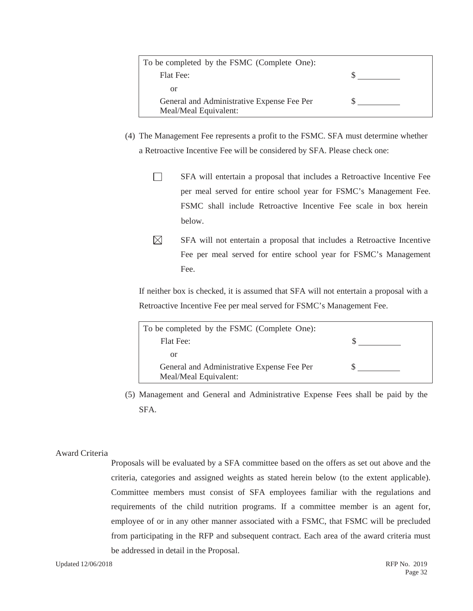| To be completed by the FSMC (Complete One): |  |
|---------------------------------------------|--|
| <b>Flat Fee:</b>                            |  |
| or                                          |  |
| General and Administrative Expense Fee Per  |  |
| Meal/Meal Equivalent:                       |  |

- (4) The Management Fee represents a profit to the FSMC. SFA must determine whether a Retroactive Incentive Fee will be considered by SFA. Please check one:
	- $\Box$ SFA will entertain a proposal that includes a Retroactive Incentive Fee per meal served for entire school year for FSMC's Management Fee. FSMC shall include Retroactive Incentive Fee scale in box herein below.
	- $\boxtimes$ SFA will not entertain a proposal that includes a Retroactive Incentive Fee per meal served for entire school year for FSMC's Management Fee.

If neither box is checked, it is assumed that SFA will not entertain a proposal with a Retroactive Incentive Fee per meal served for FSMC's Management Fee.

| To be completed by the FSMC (Complete One):                         |  |
|---------------------------------------------------------------------|--|
| Flat Fee:                                                           |  |
| or                                                                  |  |
| General and Administrative Expense Fee Per<br>Meal/Meal Equivalent: |  |

(5) Management and General and Administrative Expense Fees shall be paid by the SFA.

# Award Criteria

Proposals will be evaluated by a SFA committee based on the offers as set out above and the criteria, categories and assigned weights as stated herein below (to the extent applicable). Committee members must consist of SFA employees familiar with the regulations and requirements of the child nutrition programs. If a committee member is an agent for, employee of or in any other manner associated with a FSMC, that FSMC will be precluded from participating in the RFP and subsequent contract. Each area of the award criteria must be addressed in detail in the Proposal.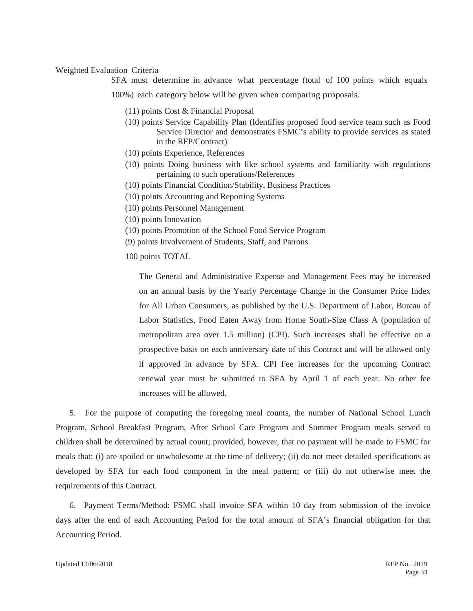#### Weighted Evaluation Criteria

SFA must determine in advance what percentage (total of 100 points which equals

100%) each category below will be given when comparing proposals.

- (11) points Cost & Financial Proposal
- (10) points Service Capability Plan (Identifies proposed food service team such as Food Service Director and demonstrates FSMC's ability to provide services as stated in the RFP/Contract)
- (10) points Experience, References
- (10) points Doing business with like school systems and familiarity with regulations pertaining to such operations/References
- (10) points Financial Condition/Stability, Business Practices
- (10) points Accounting and Reporting Systems
- (10) points Personnel Management
- (10) points Innovation
- (10) points Promotion of the School Food Service Program
- (9) points Involvement of Students, Staff, and Patrons
- 100 points TOTAL

The General and Administrative Expense and Management Fees may be increased on an annual basis by the Yearly Percentage Change in the Consumer Price Index for All Urban Consumers, as published by the U.S. Department of Labor, Bureau of Labor Statistics, Food Eaten Away from Home South-Size Class A (population of metropolitan area over 1.5 million) (CPI). Such increases shall be effective on a prospective basis on each anniversary date of this Contract and will be allowed only if approved in advance by SFA. CPI Fee increases for the upcoming Contract renewal year must be submitted to SFA by April 1 of each year. No other fee increases will be allowed.

5. For the purpose of computing the foregoing meal counts, the number of National School Lunch Program, School Breakfast Program, After School Care Program and Summer Program meals served to children shall be determined by actual count; provided, however, that no payment will be made to FSMC for meals that: (i) are spoiled or unwholesome at the time of delivery; (ii) do not meet detailed specifications as developed by SFA for each food component in the meal pattern; or (iii) do not otherwise meet the requirements of this Contract.

6. Payment Terms/Method: FSMC shall invoice SFA within 10 day from submission of the invoice days after the end of each Accounting Period for the total amount of SFA's financial obligation for that Accounting Period.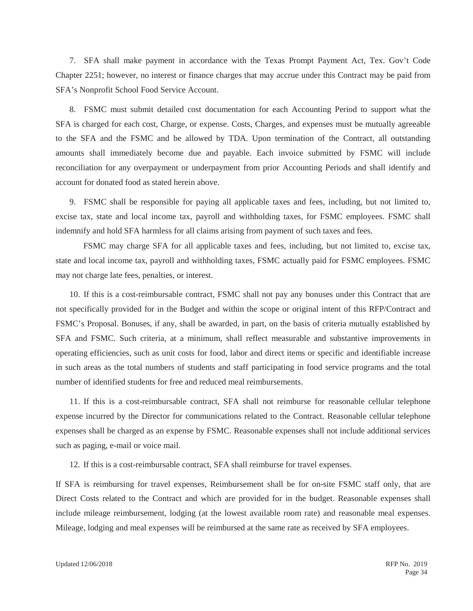7. SFA shall make payment in accordance with the Texas Prompt Payment Act, Tex. Gov't Code Chapter 2251; however, no interest or finance charges that may accrue under this Contract may be paid from SFA's Nonprofit School Food Service Account.

8. FSMC must submit detailed cost documentation for each Accounting Period to support what the SFA is charged for each cost, Charge, or expense. Costs, Charges, and expenses must be mutually agreeable to the SFA and the FSMC and be allowed by TDA. Upon termination of the Contract, all outstanding amounts shall immediately become due and payable. Each invoice submitted by FSMC will include reconciliation for any overpayment or underpayment from prior Accounting Periods and shall identify and account for donated food as stated herein above.

9. FSMC shall be responsible for paying all applicable taxes and fees, including, but not limited to, excise tax, state and local income tax, payroll and withholding taxes, for FSMC employees. FSMC shall indemnify and hold SFA harmless for all claims arising from payment of such taxes and fees.

FSMC may charge SFA for all applicable taxes and fees, including, but not limited to, excise tax, state and local income tax, payroll and withholding taxes, FSMC actually paid for FSMC employees. FSMC may not charge late fees, penalties, or interest.

10. If this is a cost-reimbursable contract, FSMC shall not pay any bonuses under this Contract that are not specifically provided for in the Budget and within the scope or original intent of this RFP/Contract and FSMC's Proposal. Bonuses, if any, shall be awarded, in part, on the basis of criteria mutually established by SFA and FSMC. Such criteria, at a minimum, shall reflect measurable and substantive improvements in operating efficiencies, such as unit costs for food, labor and direct items or specific and identifiable increase in such areas as the total numbers of students and staff participating in food service programs and the total number of identified students for free and reduced meal reimbursements.

11. If this is a cost-reimbursable contract, SFA shall not reimburse for reasonable cellular telephone expense incurred by the Director for communications related to the Contract. Reasonable cellular telephone expenses shall be charged as an expense by FSMC. Reasonable expenses shall not include additional services such as paging, e-mail or voice mail.

12. If this is a cost-reimbursable contract, SFA shall reimburse for travel expenses.

If SFA is reimbursing for travel expenses, Reimbursement shall be for on-site FSMC staff only, that are Direct Costs related to the Contract and which are provided for in the budget. Reasonable expenses shall include mileage reimbursement, lodging (at the lowest available room rate) and reasonable meal expenses. Mileage, lodging and meal expenses will be reimbursed at the same rate as received by SFA employees.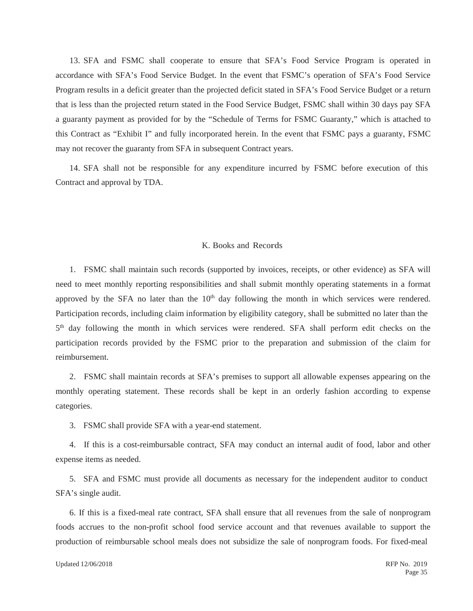13. SFA and FSMC shall cooperate to ensure that SFA's Food Service Program is operated in accordance with SFA's Food Service Budget. In the event that FSMC's operation of SFA's Food Service Program results in a deficit greater than the projected deficit stated in SFA's Food Service Budget or a return that is less than the projected return stated in the Food Service Budget, FSMC shall within 30 days pay SFA a guaranty payment as provided for by the "Schedule of Terms for FSMC Guaranty," which is attached to this Contract as "Exhibit I" and fully incorporated herein. In the event that FSMC pays a guaranty, FSMC may not recover the guaranty from SFA in subsequent Contract years.

14. SFA shall not be responsible for any expenditure incurred by FSMC before execution of this Contract and approval by TDA.

### K. Books and Records

1. FSMC shall maintain such records (supported by invoices, receipts, or other evidence) as SFA will need to meet monthly reporting responsibilities and shall submit monthly operating statements in a format approved by the SFA no later than the  $10<sup>th</sup>$  day following the month in which services were rendered. Participation records, including claim information by eligibility category, shall be submitted no later than the 5th day following the month in which services were rendered. SFA shall perform edit checks on the participation records provided by the FSMC prior to the preparation and submission of the claim for reimbursement.

2. FSMC shall maintain records at SFA's premises to support all allowable expenses appearing on the monthly operating statement. These records shall be kept in an orderly fashion according to expense categories.

3. FSMC shall provide SFA with a year-end statement.

4. If this is a cost-reimbursable contract, SFA may conduct an internal audit of food, labor and other expense items as needed.

5. SFA and FSMC must provide all documents as necessary for the independent auditor to conduct SFA's single audit.

6. If this is a fixed-meal rate contract, SFA shall ensure that all revenues from the sale of nonprogram foods accrues to the non-profit school food service account and that revenues available to support the production of reimbursable school meals does not subsidize the sale of nonprogram foods. For fixed-meal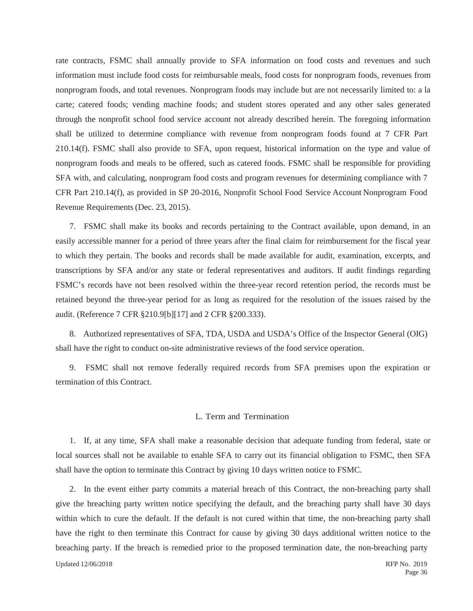rate contracts, FSMC shall annually provide to SFA information on food costs and revenues and such information must include food costs for reimbursable meals, food costs for nonprogram foods, revenues from nonprogram foods, and total revenues. Nonprogram foods may include but are not necessarily limited to: a la carte; catered foods; vending machine foods; and student stores operated and any other sales generated through the nonprofit school food service account not already described herein. The foregoing information shall be utilized to determine compliance with revenue from nonprogram foods found at 7 CFR Part 210.14(f). FSMC shall also provide to SFA, upon request, historical information on the type and value of nonprogram foods and meals to be offered, such as catered foods. FSMC shall be responsible for providing SFA with, and calculating, nonprogram food costs and program revenues for determining compliance with 7 CFR Part 210.14(f), as provided in SP 20-2016, Nonprofit School Food Service Account Nonprogram Food Revenue Requirements (Dec. 23, 2015).

7. FSMC shall make its books and records pertaining to the Contract available, upon demand, in an easily accessible manner for a period of three years after the final claim for reimbursement for the fiscal year to which they pertain. The books and records shall be made available for audit, examination, excerpts, and transcriptions by SFA and/or any state or federal representatives and auditors. If audit findings regarding FSMC's records have not been resolved within the three-year record retention period, the records must be retained beyond the three-year period for as long as required for the resolution of the issues raised by the audit. (Reference 7 CFR §210.9[b][17] and 2 CFR §200.333).

8. Authorized representatives of SFA, TDA, USDA and USDA's Office of the Inspector General (OIG) shall have the right to conduct on-site administrative reviews of the food service operation.

9. FSMC shall not remove federally required records from SFA premises upon the expiration or termination of this Contract.

# L. Term and Termination

1. If, at any time, SFA shall make a reasonable decision that adequate funding from federal, state or local sources shall not be available to enable SFA to carry out its financial obligation to FSMC, then SFA shall have the option to terminate this Contract by giving 10 days written notice to FSMC.

Updated 12/06/2018 RFP No. 2019 2. In the event either party commits a material breach of this Contract, the non-breaching party shall give the breaching party written notice specifying the default, and the breaching party shall have 30 days within which to cure the default. If the default is not cured within that time, the non-breaching party shall have the right to then terminate this Contract for cause by giving 30 days additional written notice to the breaching party. If the breach is remedied prior to the proposed termination date, the non-breaching party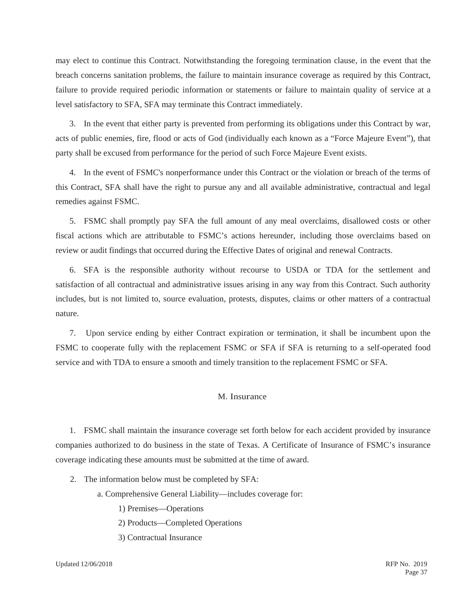may elect to continue this Contract. Notwithstanding the foregoing termination clause, in the event that the breach concerns sanitation problems, the failure to maintain insurance coverage as required by this Contract, failure to provide required periodic information or statements or failure to maintain quality of service at a level satisfactory to SFA, SFA may terminate this Contract immediately.

3. In the event that either party is prevented from performing its obligations under this Contract by war, acts of public enemies, fire, flood or acts of God (individually each known as a "Force Majeure Event"), that party shall be excused from performance for the period of such Force Majeure Event exists.

4. In the event of FSMC's nonperformance under this Contract or the violation or breach of the terms of this Contract, SFA shall have the right to pursue any and all available administrative, contractual and legal remedies against FSMC.

5. FSMC shall promptly pay SFA the full amount of any meal overclaims, disallowed costs or other fiscal actions which are attributable to FSMC's actions hereunder, including those overclaims based on review or audit findings that occurred during the Effective Dates of original and renewal Contracts.

6. SFA is the responsible authority without recourse to USDA or TDA for the settlement and satisfaction of all contractual and administrative issues arising in any way from this Contract. Such authority includes, but is not limited to, source evaluation, protests, disputes, claims or other matters of a contractual nature.

7. Upon service ending by either Contract expiration or termination, it shall be incumbent upon the FSMC to cooperate fully with the replacement FSMC or SFA if SFA is returning to a self-operated food service and with TDA to ensure a smooth and timely transition to the replacement FSMC or SFA.

## M. Insurance

1. FSMC shall maintain the insurance coverage set forth below for each accident provided by insurance companies authorized to do business in the state of Texas. A Certificate of Insurance of FSMC's insurance coverage indicating these amounts must be submitted at the time of award.

- 2. The information below must be completed by SFA:
	- a. Comprehensive General Liability—includes coverage for:
		- 1) Premises—Operations
		- 2) Products—Completed Operations
		- 3) Contractual Insurance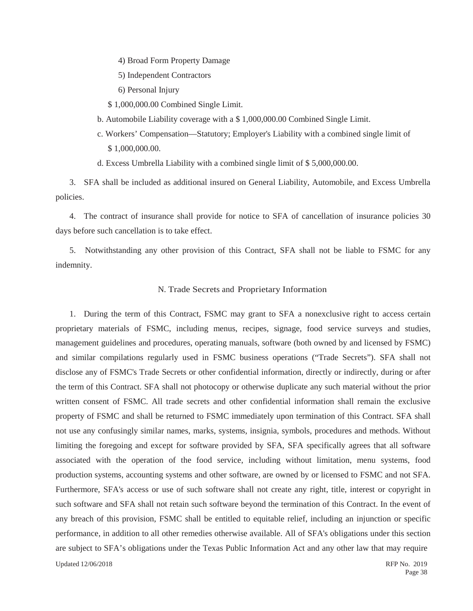- 4) Broad Form Property Damage
- 5) Independent Contractors
- 6) Personal Injury
- \$ 1,000,000.00 Combined Single Limit.
- b. Automobile Liability coverage with a \$ 1,000,000.00 Combined Single Limit.
- c. Workers' Compensation—Statutory; Employer's Liability with a combined single limit of \$ 1,000,000.00.
- d. Excess Umbrella Liability with a combined single limit of \$ 5,000,000.00.

3. SFA shall be included as additional insured on General Liability, Automobile, and Excess Umbrella policies.

4. The contract of insurance shall provide for notice to SFA of cancellation of insurance policies 30 days before such cancellation is to take effect.

5. Notwithstanding any other provision of this Contract, SFA shall not be liable to FSMC for any indemnity.

### N. Trade Secrets and Proprietary Information

Updated 12/06/2018 RFP No. 2019 1. During the term of this Contract, FSMC may grant to SFA a nonexclusive right to access certain proprietary materials of FSMC, including menus, recipes, signage, food service surveys and studies, management guidelines and procedures, operating manuals, software (both owned by and licensed by FSMC) and similar compilations regularly used in FSMC business operations ("Trade Secrets"). SFA shall not disclose any of FSMC's Trade Secrets or other confidential information, directly or indirectly, during or after the term of this Contract. SFA shall not photocopy or otherwise duplicate any such material without the prior written consent of FSMC. All trade secrets and other confidential information shall remain the exclusive property of FSMC and shall be returned to FSMC immediately upon termination of this Contract. SFA shall not use any confusingly similar names, marks, systems, insignia, symbols, procedures and methods. Without limiting the foregoing and except for software provided by SFA, SFA specifically agrees that all software associated with the operation of the food service, including without limitation, menu systems, food production systems, accounting systems and other software, are owned by or licensed to FSMC and not SFA. Furthermore, SFA's access or use of such software shall not create any right, title, interest or copyright in such software and SFA shall not retain such software beyond the termination of this Contract. In the event of any breach of this provision, FSMC shall be entitled to equitable relief, including an injunction or specific performance, in addition to all other remedies otherwise available. All of SFA's obligations under this section are subject to SFA's obligations under the Texas Public Information Act and any other law that may require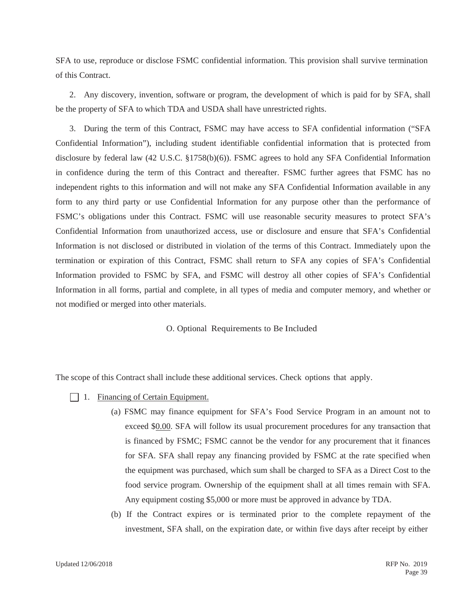SFA to use, reproduce or disclose FSMC confidential information. This provision shall survive termination of this Contract.

2. Any discovery, invention, software or program, the development of which is paid for by SFA, shall be the property of SFA to which TDA and USDA shall have unrestricted rights.

3. During the term of this Contract, FSMC may have access to SFA confidential information ("SFA Confidential Information"), including student identifiable confidential information that is protected from disclosure by federal law (42 U.S.C. §1758(b)(6)). FSMC agrees to hold any SFA Confidential Information in confidence during the term of this Contract and thereafter. FSMC further agrees that FSMC has no independent rights to this information and will not make any SFA Confidential Information available in any form to any third party or use Confidential Information for any purpose other than the performance of FSMC's obligations under this Contract. FSMC will use reasonable security measures to protect SFA's Confidential Information from unauthorized access, use or disclosure and ensure that SFA's Confidential Information is not disclosed or distributed in violation of the terms of this Contract. Immediately upon the termination or expiration of this Contract, FSMC shall return to SFA any copies of SFA's Confidential Information provided to FSMC by SFA, and FSMC will destroy all other copies of SFA's Confidential Information in all forms, partial and complete, in all types of media and computer memory, and whether or not modified or merged into other materials.

## O. Optional Requirements to Be Included

The scope of this Contract shall include these additional services. Check options that apply.

- $\Box$  1. Financing of Certain Equipment.
	- (a) FSMC may finance equipment for SFA's Food Service Program in an amount not to exceed \$0.00. SFA will follow its usual procurement procedures for any transaction that is financed by FSMC; FSMC cannot be the vendor for any procurement that it finances for SFA. SFA shall repay any financing provided by FSMC at the rate specified when the equipment was purchased, which sum shall be charged to SFA as a Direct Cost to the food service program. Ownership of the equipment shall at all times remain with SFA. Any equipment costing \$5,000 or more must be approved in advance by TDA.
	- (b) If the Contract expires or is terminated prior to the complete repayment of the investment, SFA shall, on the expiration date, or within five days after receipt by either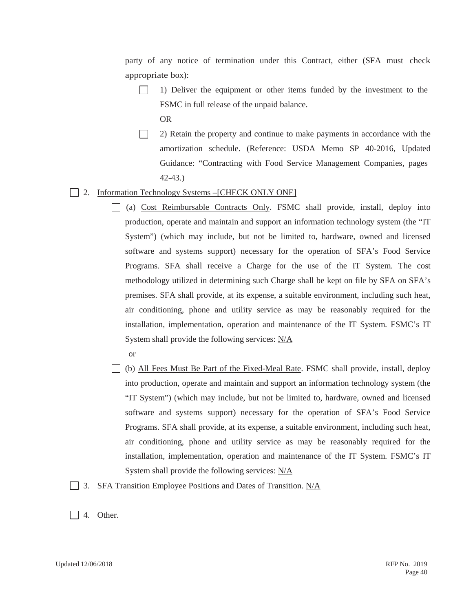party of any notice of termination under this Contract, either (SFA must check appropriate box):

- $\Box$ 1) Deliver the equipment or other items funded by the investment to the FSMC in full release of the unpaid balance.
	- OR
- $\Box$ 2) Retain the property and continue to make payments in accordance with the amortization schedule. (Reference: USDA Memo SP 40-2016, Updated Guidance: "Contracting with Food Service Management Companies, pages 42-43.)
- 2. Information Technology Systems –[CHECK ONLY ONE]
	- (a) Cost Reimbursable Contracts Only. FSMC shall provide, install, deploy into production, operate and maintain and support an information technology system (the "IT System") (which may include, but not be limited to, hardware, owned and licensed software and systems support) necessary for the operation of SFA's Food Service Programs. SFA shall receive a Charge for the use of the IT System. The cost methodology utilized in determining such Charge shall be kept on file by SFA on SFA's premises. SFA shall provide, at its expense, a suitable environment, including such heat, air conditioning, phone and utility service as may be reasonably required for the installation, implementation, operation and maintenance of the IT System. FSMC's IT System shall provide the following services: N/A
	- (b) All Fees Must Be Part of the Fixed-Meal Rate. FSMC shall provide, install, deploy into production, operate and maintain and support an information technology system (the "IT System") (which may include, but not be limited to, hardware, owned and licensed software and systems support) necessary for the operation of SFA's Food Service Programs. SFA shall provide, at its expense, a suitable environment, including such heat, air conditioning, phone and utility service as may be reasonably required for the installation, implementation, operation and maintenance of the IT System. FSMC's IT System shall provide the following services: N/A
- 3. SFA Transition Employee Positions and Dates of Transition. N/A
- $\Box$  4. Other.

or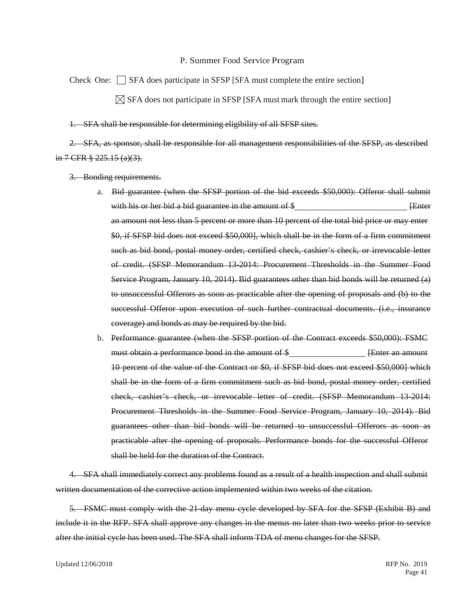#### P. Summer Food Service Program

Check One:  $\Box$  SFA does participate in SFSP [SFA must complete the entire section]  $\boxtimes$  SFA does not participate in SFSP [SFA must mark through the entire section]

1. SFA shall be responsible for determining eligibility of all SFSP sites.

2. SFA, as sponsor, shall be responsible for all management responsibilities of the SFSP, as described in 7 CFR  $\frac{8}{3}$  225.15 (a)(3).

- 3. Bonding requirements.
	- a. Bid guarantee (when the SFSP portion of the bid exceeds \$50,000): Offeror shall submit with his or her bid a bid guarantee in the amount of  $\$\qquad$  [Enter an amount not less than 5 percent or more than 10 percent of the total bid price or may enter \$0, if SFSP bid does not exceed \$50,000], which shall be in the form of a firm commitment such as bid bond, postal money order, certified check, cashier's check, or irrevocable letter of credit. (SFSP Memorandum 13-2014: Procurement Thresholds in the Summer Food Service Program, January 10, 2014). Bid guarantees other than bid bonds will be returned (a) to unsuccessful Offerors as soon as practicable after the opening of proposals and (b) to the successful Offeror upon execution of such further contractual documents. (i.e., insurance coverage) and bonds as may be required by the bid.
	- b. Performance guarantee (when the SFSP portion of the Contract exceeds \$50,000): FSMC must obtain a performance bond in the amount of \$ [Enter an amount 10 percent of the value of the Contract or \$0, if SFSP bid does not exceed \$50,000] which shall be in the form of a firm commitment such as bid bond, postal money order, certified check, cashier's check, or irrevocable letter of credit. (SFSP Memorandum 13-2014: Procurement Thresholds in the Summer Food Service Program, January 10, 2014). Bid guarantees other than bid bonds will be returned to unsuccessful Offerors as soon as practicable after the opening of proposals. Performance bonds for the successful Offeror shall be held for the duration of the Contract.

4. SFA shall immediately correct any problems found as a result of a health inspection and shall submit written documentation of the corrective action implemented within two weeks of the citation.

5. FSMC must comply with the 21-day menu cycle developed by SFA for the SFSP (Exhibit B) and include it in the RFP. SFA shall approve any changes in the menus no later than two weeks prior to service after the initial cycle has been used. The SFA shall inform TDA of menu changes for the SFSP.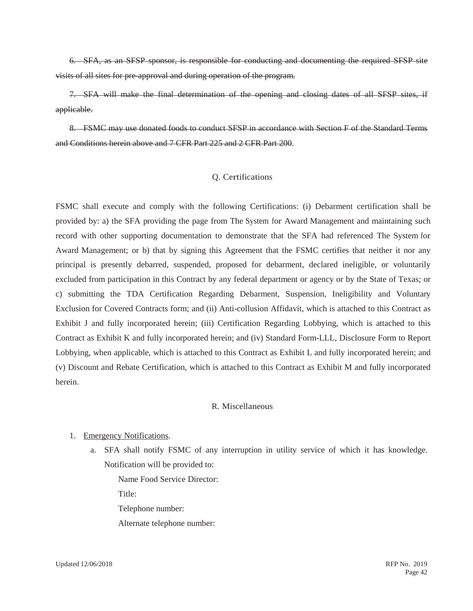6. SFA, as an SFSP sponsor, is responsible for conducting and documenting the required SFSP site visits of all sites for pre-approval and during operation of the program.

7. SFA will make the final determination of the opening and closing dates of all SFSP sites, if applicable.

8. FSMC may use donated foods to conduct SFSP in accordance with Section F of the Standard Terms and Conditions herein above and 7 CFR Part 225 and 2 CFR Part 200.

## Q. Certifications

FSMC shall execute and comply with the following Certifications: (i) Debarment certification shall be provided by: a) the SFA providing the page from The System for Award Management and maintaining such record with other supporting documentation to demonstrate that the SFA had referenced The System for Award Management; or b) that by signing this Agreement that the FSMC certifies that neither it nor any principal is presently debarred, suspended, proposed for debarment, declared ineligible, or voluntarily excluded from participation in this Contract by any federal department or agency or by the State of Texas; or c) submitting the TDA Certification Regarding Debarment, Suspension, Ineligibility and Voluntary Exclusion for Covered Contracts form; and (ii) Anti-collusion Affidavit, which is attached to this Contract as Exhibit J and fully incorporated herein; (iii) Certification Regarding Lobbying, which is attached to this Contract as Exhibit K and fully incorporated herein; and (iv) Standard Form-LLL, Disclosure Form to Report Lobbying, when applicable, which is attached to this Contract as Exhibit L and fully incorporated herein; and (v) Discount and Rebate Certification, which is attached to this Contract as Exhibit M and fully incorporated herein.

### R. Miscellaneous

### 1. Emergency Notifications.

a. SFA shall notify FSMC of any interruption in utility service of which it has knowledge. Notification will be provided to:

Name Food Service Director:

Title:

Telephone number:

Alternate telephone number: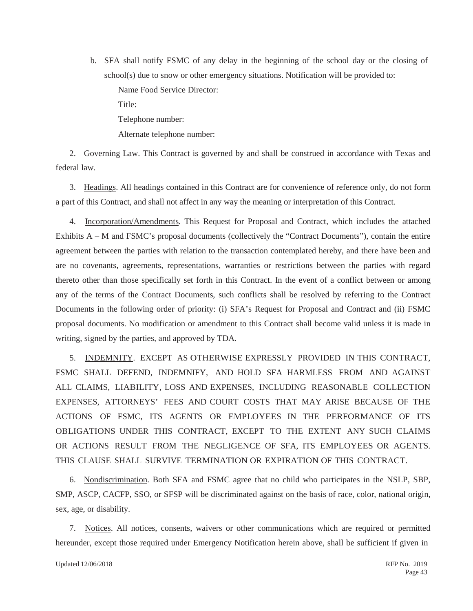b. SFA shall notify FSMC of any delay in the beginning of the school day or the closing of school(s) due to snow or other emergency situations. Notification will be provided to: Name Food Service Director:

Title:

Telephone number:

Alternate telephone number:

2. Governing Law. This Contract is governed by and shall be construed in accordance with Texas and federal law.

3. Headings. All headings contained in this Contract are for convenience of reference only, do not form a part of this Contract, and shall not affect in any way the meaning or interpretation of this Contract.

4. Incorporation/Amendments. This Request for Proposal and Contract, which includes the attached Exhibits A – M and FSMC's proposal documents (collectively the "Contract Documents"), contain the entire agreement between the parties with relation to the transaction contemplated hereby, and there have been and are no covenants, agreements, representations, warranties or restrictions between the parties with regard thereto other than those specifically set forth in this Contract. In the event of a conflict between or among any of the terms of the Contract Documents, such conflicts shall be resolved by referring to the Contract Documents in the following order of priority: (i) SFA's Request for Proposal and Contract and (ii) FSMC proposal documents. No modification or amendment to this Contract shall become valid unless it is made in writing, signed by the parties, and approved by TDA.

5. INDEMNITY. EXCEPT AS OTHERWISE EXPRESSLY PROVIDED IN THIS CONTRACT, FSMC SHALL DEFEND, INDEMNIFY, AND HOLD SFA HARMLESS FROM AND AGAINST ALL CLAIMS, LIABILITY, LOSS AND EXPENSES, INCLUDING REASONABLE COLLECTION EXPENSES, ATTORNEYS' FEES AND COURT COSTS THAT MAY ARISE BECAUSE OF THE ACTIONS OF FSMC, ITS AGENTS OR EMPLOYEES IN THE PERFORMANCE OF ITS OBLIGATIONS UNDER THIS CONTRACT, EXCEPT TO THE EXTENT ANY SUCH CLAIMS OR ACTIONS RESULT FROM THE NEGLIGENCE OF SFA, ITS EMPLOYEES OR AGENTS. THIS CLAUSE SHALL SURVIVE TERMINATION OR EXPIRATION OF THIS CONTRACT.

6. Nondiscrimination. Both SFA and FSMC agree that no child who participates in the NSLP, SBP, SMP, ASCP, CACFP, SSO, or SFSP will be discriminated against on the basis of race, color, national origin, sex, age, or disability.

7. Notices. All notices, consents, waivers or other communications which are required or permitted hereunder, except those required under Emergency Notification herein above, shall be sufficient if given in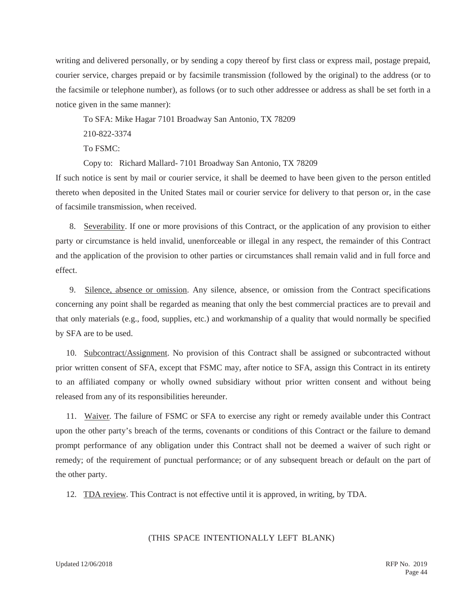writing and delivered personally, or by sending a copy thereof by first class or express mail, postage prepaid, courier service, charges prepaid or by facsimile transmission (followed by the original) to the address (or to the facsimile or telephone number), as follows (or to such other addressee or address as shall be set forth in a notice given in the same manner):

To SFA: Mike Hagar 7101 Broadway San Antonio, TX 78209

210-822-3374

To FSMC:

Copy to: Richard Mallard- 7101 Broadway San Antonio, TX 78209

If such notice is sent by mail or courier service, it shall be deemed to have been given to the person entitled thereto when deposited in the United States mail or courier service for delivery to that person or, in the case of facsimile transmission, when received.

8. Severability. If one or more provisions of this Contract, or the application of any provision to either party or circumstance is held invalid, unenforceable or illegal in any respect, the remainder of this Contract and the application of the provision to other parties or circumstances shall remain valid and in full force and effect.

9. Silence, absence or omission. Any silence, absence, or omission from the Contract specifications concerning any point shall be regarded as meaning that only the best commercial practices are to prevail and that only materials (e.g., food, supplies, etc.) and workmanship of a quality that would normally be specified by SFA are to be used.

10. Subcontract/Assignment. No provision of this Contract shall be assigned or subcontracted without prior written consent of SFA, except that FSMC may, after notice to SFA, assign this Contract in its entirety to an affiliated company or wholly owned subsidiary without prior written consent and without being released from any of its responsibilities hereunder.

11. Waiver. The failure of FSMC or SFA to exercise any right or remedy available under this Contract upon the other party's breach of the terms, covenants or conditions of this Contract or the failure to demand prompt performance of any obligation under this Contract shall not be deemed a waiver of such right or remedy; of the requirement of punctual performance; or of any subsequent breach or default on the part of the other party.

12. TDA review. This Contract is not effective until it is approved, in writing, by TDA.

### (THIS SPACE INTENTIONALLY LEFT BLANK)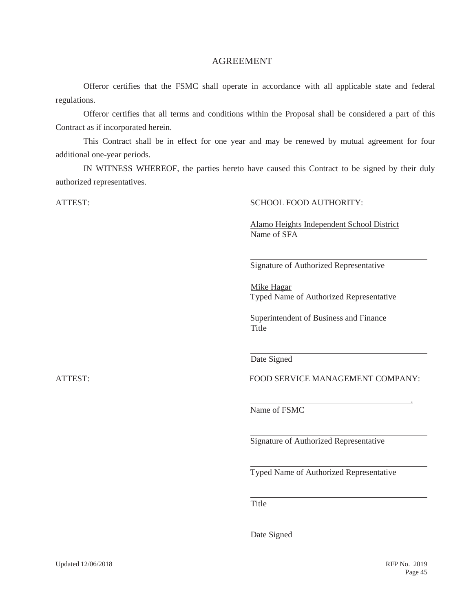## AGREEMENT

Offeror certifies that the FSMC shall operate in accordance with all applicable state and federal regulations.

Offeror certifies that all terms and conditions within the Proposal shall be considered a part of this Contract as if incorporated herein.

This Contract shall be in effect for one year and may be renewed by mutual agreement for four additional one-year periods.

IN WITNESS WHEREOF, the parties hereto have caused this Contract to be signed by their duly authorized representatives.

### ATTEST: SCHOOL FOOD AUTHORITY:

Alamo Heights Independent School District Name of SFA

Signature of Authorized Representative

Mike Hagar Typed Name of Authorized Representative

Superintendent of Business and Finance Title

Date Signed

ATTEST: FOOD SERVICE MANAGEMENT COMPANY:

.

Name of FSMC

Signature of Authorized Representative

Typed Name of Authorized Representative

**Title** 

Date Signed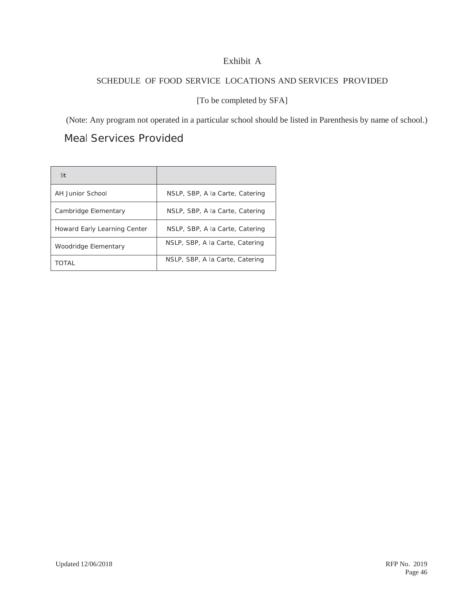## Exhibit A

## SCHEDULE OF FOOD SERVICE LOCATIONS AND SERVICES PROVIDED

[To be completed by SFA]

(Note: Any program not operated in a particular school should be listed in Parenthesis by name of school.)

Meal Services Provided

| <b>St</b>                    |                                 |
|------------------------------|---------------------------------|
| <b>AH Junior School</b>      | NSLP, SBP, A la Carte, Catering |
| Cambridge Elementary         | NSLP, SBP, A la Carte, Catering |
| Howard Early Learning Center | NSLP, SBP, A la Carte, Catering |
| Woodridge Elementary         | NSLP, SBP, A la Carte, Catering |
| TOTAI                        | NSLP, SBP, A la Carte, Catering |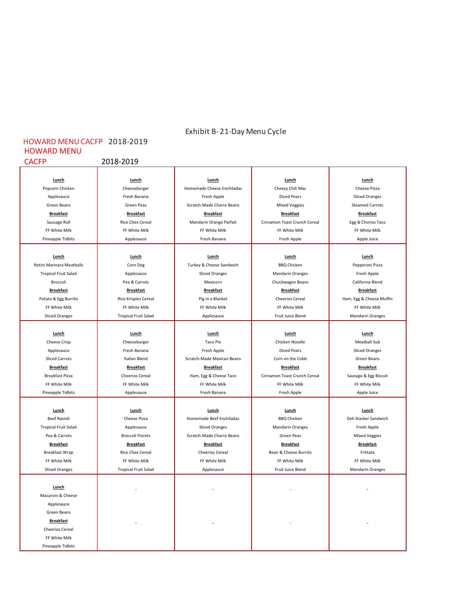## Exhibit B‐ 21‐Day Menu Cycle

## HOWARD MENU  $2018 - 2019$ HOWARD MENUCACFP 2018‐2019

| Lunch                       | Lunch                       | Lunch                      | Lunch                        | Lunch                    |
|-----------------------------|-----------------------------|----------------------------|------------------------------|--------------------------|
| Popcorn Chicken             | Cheeseburger                | Homemade Cheese Enchiladas | Cheesy Chili Mac             | Cheese Pizza             |
| Applesauce                  | Fresh Banana                | Fresh Apple                | <b>Diced Pears</b>           | <b>Sliced Oranges</b>    |
| Green Beans                 | Green Peas                  | Scratch-Made Charro Beans  | <b>Mixed Veggies</b>         | <b>Steamed Carrots</b>   |
| <b>Breakfast</b>            | <b>Breakfast</b>            | <b>Breakfast</b>           | <b>Breakfast</b>             | <b>Breakfast</b>         |
| Sausage Roll                | Rice Chex Cereal            | Mandarin Orange Parfait    | Cinnamon Toast Crunch Cereal | Egg & Chorizo Taco       |
| FF White Milk               | FF White Milk               | FF White Milk              | FF White Milk                | FF White Milk            |
| Pineapple Tidbits           | Applesauce                  | Fresh Banana               | Fresh Apple                  | Apple Juice              |
|                             |                             |                            |                              |                          |
| Lunch                       | Lunch                       | Lunch                      | Lunch                        | Lunch                    |
| Rotini Marinara Meatballs   | Corn Dog                    | Turkey & Cheese Sandwich   | <b>BBQ Chicken</b>           | Pepperoni Pizza          |
| <b>Tropical Fruit Salad</b> | Applesauce                  | <b>Sliced Oranges</b>      | <b>Mandarin Oranges</b>      | Fresh Apple              |
| Broccoli                    | Pea & Carrots               | Mexicorn                   | Chuckwagon Beans             | California Blend         |
| <b>Breakfast</b>            | <b>Breakfast</b>            | <b>Breakfast</b>           | <b>Breakfast</b>             | <b>Breakfast</b>         |
| Potato & Egg Burrito        | Rice Krispies Cereal        | Pig in a Blanket           | <b>Cheerios Cereal</b>       | Ham, Egg & Cheese Muffin |
| FF White Milk               | FF White Milk               | FF White Milk              | FF White Milk                | FF White Milk            |
| <b>Sliced Oranges</b>       | <b>Tropical Fruit Salad</b> | Applesauce                 | Fruit Juice Blend            | <b>Mandarin Oranges</b>  |
|                             |                             |                            |                              |                          |
| Lunch                       | Lunch                       | Lunch                      | Lunch                        | Lunch                    |
| Cheese Crisp                | Cheeseburger                | <b>Taco Pie</b>            | Chicken Noodle               | <b>Meatball Sub</b>      |
| Applesauce                  | Fresh Banana                | Fresh Apple                | <b>Diced Pears</b>           | <b>Sliced Oranges</b>    |
| <b>Sliced Carrots</b>       | Italian Blend               | Scratch-Made Mexican Beans | Corn on the Cobb             | Green Beans              |
| <b>Breakfast</b>            | <b>Breakfast</b>            | <b>Breakfast</b>           | <b>Breakfast</b>             | <b>Breakfast</b>         |
| Breakfast Pizza             | <b>Cheerios Cereal</b>      | Ham, Egg & Cheese Taco     | Cinnamon Toast Crunch Cereal | Sausage & Egg Biscuit    |
| FF White Milk               | FF White Milk               | FF White Milk              | FF White Milk                | FF White Milk            |
| Pineapple Tidbits           | Applesauce                  | Fresh Banana               | Fresh Apple                  | Apple Juice              |
|                             |                             |                            |                              |                          |
| Lunch                       | Lunch                       | Lunch                      | Lunch                        | Lunch                    |
| <b>Beef Ravioli</b>         | Cheese Pizza                | Homemade Beef Enchiladas   | <b>BBQ Chicken</b>           | Deli Stacker Sandwich    |
| <b>Tropical Fruit Salad</b> | Applesauce                  | <b>Sliced Oranges</b>      | <b>Mandarin Oranges</b>      | Fresh Apple              |
| Pea & Carrots               | <b>Broccoli Florets</b>     | Scratch-Made Charro Beans  | Green Peas                   | <b>Mixed Veggies</b>     |
| <b>Breakfast</b>            | <b>Breakfast</b>            | <b>Breakfast</b>           | <b>Breakfast</b>             | <b>Breakfast</b>         |
| Breakfast Wrap              | <b>Rice Chex Cereal</b>     | <b>Cheerios Cereal</b>     | Bean & Cheese Burrito        | Frittata                 |
| FF White Milk               | FF White Milk               | FF White Milk              | FF White Milk                | FF White Milk            |
| <b>Sliced Oranges</b>       | <b>Tropical Fruit Salad</b> | Applesauce                 | Fruit Juice Blend            | <b>Mandarin Oranges</b>  |
|                             |                             |                            |                              |                          |
| Lunch                       |                             |                            |                              |                          |
| Macaroni & Cheese           |                             |                            |                              |                          |
| Applesauce                  |                             |                            |                              |                          |
| Green Beans                 |                             |                            |                              |                          |
|                             |                             |                            |                              |                          |
| <b>Breakfast</b>            |                             |                            |                              |                          |
| <b>Cheerios Cereal</b>      |                             |                            |                              |                          |
| FF White Milk               |                             |                            |                              |                          |
| Pineapple Tidbits           |                             |                            |                              |                          |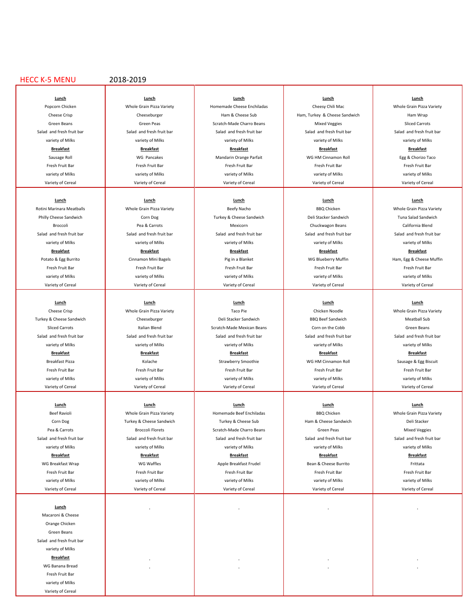#### HECC K‐5 MENU 2018‐2019

the contract of the contract of the contract of the contract of the contract of the contract of the contract of

**Lunch**  Macaroni & Cheese **the contract of the contract of the contract of the contract of the contract of the contract of the contract of the contract of the contract of the contract of the contract of the contract of the contrac** Orange Chicken **of the Chicken of the Chicken of the Chicken of the Chicken of the Chicken of the Chicken of the Chicken of the Chicken of the Chicken of the Chicken of the Chicken of the Chicken of the Chicken of the Chic** Green Beans in the control of the control of the control of the control of the control of the control of the control of the control of the control of the control of the control of the control of the control of the control Salad and fresh fruit bar variety of Milks **and the contract of the contract of the contract of the contract of the contract of the contract of the contract of the contract of the contract of the contract of the contract of the contract of the cont Breakfast**  WG Banana Bread  Fresh Fruit Bar **de Alexander (1996) and the State of Technical Control of Technical Control of Technical Control of Technical Control of Technical Control of Technical Control of Technical Control of Technical Control of** variety of Milks **and the contract of the contract of the contract of the contract of the contract of the contract of the contract of the contract of the contract of the contract of the contract of the contract of the cont** Variety of Cereal **the contract of the contract of the contract of the contract of the contract of the contract of the contract of the contract of the contract of the contract of the contract of the contract of the contrac** 

the contract of the contract of the contract of the contract of the contract of the contract of the contract of

Rotini Marinara Meatballs **Number Community Community Community Beefy Nacho** BBQ Chicken Whole Grain Pizza Variety Philly Cheese Sandwich Number Corn Dog Number Corn Dog Turkey & Cheese Sandwich Deli Stacker Sandwich Tuna Salad Sandwich Broccoli **Chuckwagon Beans** California Blend<br>Broccoli **Chuckwagon Beans** California Blend Salad and fresh fruit bar Salad and fresh fruit bar Salad and fresh fruit bar Salad and fresh fruit bar Salad and fresh fruit bar variety of Milks variety of Milks variety of Milks variety of Milks variety of Milks

Cheese Crisp Nole Grain Pizza Variety New York Chicken Noodle Chicken Noodle Whole Grain Pizza Variety Turkey & Cheese Sandwich Neatball Sub Cheeseburger Deli Stacker Sandwich BBQ Beef Sandwich Meatball Sub Sliced Carrots **Internal Carrots** Italian Blend **Internal Carrota** Scratch‐Made Mexican Beans Corn on the Cobb Green Beans Salad and fresh fruit bar Salad and fresh fruit bar Salad and fresh fruit bar Salad and fresh fruit bar Salad and fresh fruit bar variety of Milks variety of Milks variety of Milks variety of Milks variety of Milks **Breakfast Breakfast Breakfast Breakfast Breakfast** Breakfast Pizza **Kolache** Strawberry Smoothie NG HM Cinnamon Roll Sausage & Egg Biscuit Fresh Fruit Bar Fresh Fruit Bar Fresh Fruit Bar Fresh Fruit Bar Fresh Fruit Bar Fresh Fruit Bar Fresh Fruit Bar

**Lunch Lunch Lunch Lunch Lunch** Beef Ravioli **Whole Grain Pizza Variety** Homemade Beef Enchiladas BBQ Chicken BBQ Chicken Whole Grain Pizza Variety Corn Dog **Turkey & Cheese Sandwich Turkey & Cheese Sub** Ham & Cheese Sandwich Deli Stacker Pea & Carrots **Broccoli Florets** Scratch‐Made Charro Beans **Scratch**<br>
Scratch‐Made Charro Beans Green Peas Green Peas Mixed Veggies Salad and fresh fruit bar Salad and fresh fruit bar Salad and fresh fruit bar Salad and fresh fruit bar Salad and fresh fruit bar Salad and fresh fruit bar

**Lunch Lunch Lunch Lunch Lunch** Popcorn Chicken North Chicken Whole Grain Pizza Variety Homemade Cheese Enchiladas Cheesy Chili Mac Whole Grain Pizza Variety Cheese Crisp Cheeseburger | Ham & Cheese Sub Ham, Turkey & Cheese Sandwich | Ham Wrap Green Beans Sliced Carrots Green Peas Scratch‐Made Charro Beans Nixed Veggies Sliced Carrots Salad and fresh fruit bar Salad and fresh fruit bar Salad and fresh fruit bar Salad and fresh fruit bar Salad and fresh fruit bar variety of Milks variety of Milks variety of Milks variety of Milks variety of Milks **Breakfast Breakfast Breakfast Breakfast Breakfast** Sausage Roll **Sausage Roll Controll WG Andarin Orange Parfait** WG HM Cinnamon Roll **Egg & Chorizo Taco** Fresh Fruit Bar Fresh Fruit Bar Fresh Fruit Bar Fresh Fruit Bar Fresh Fruit Bar Fresh Fruit Bar Fresh Fruit Bar variety of Milks variety of Milks variety of Milks variety of Milks variety of Milks

the contract of the contract of the contract of the contract of the contract of the contract of the contract of

**Lunch Lunch Lunch Lunch Lunch Breakfast Breakfast Breakfast Breakfast Breakfast**

Variety of Cereal Variety of Cereal Variety of Cereal Variety of Cereal Variety of Cereal Variety of Cereal Variety of Cereal Variety of Cereal Variety of Cereal Variety of Cereal Variety of Cereal Variety of Cereal Variet the contract of the contract of the contract of the contract of the contract of the contract of the contract of

variety of Milks variety of Milks variety of Milks variety of Milks variety of Milks

variety of Milks variety of Milks variety of Milks variety of Milks variety of Milks **Breakfast Breakfast Breakfast Breakfast Breakfast** WG Breakfast Wrap Number Number Apple Breakfast Frudel Number Bean & Cheese Burrito Number Scheese Burrito Frittata Fresh Fruit Bar Fresh Fruit Bar Fresh Fruit Bar Fresh Fruit Bar Fresh Fruit Bar Fresh Fruit Bar Fresh Fruit Bar variety of Milks variety of Milks variety of Milks variety of Milks variety of Milks

Variety of Cereal Variety of Cereal Variety of Cereal Variety of Cereal Variety of Cereal Variety of Cereal Variety of Cereal Variety of Cereal Variety of Cereal Variety of Cereal Variety of Cereal Variety of Cereal Variet

Fresh Fruit Bar Fresh Fruit Bar Fresh Fruit Bar Fresh Fruit Bar Fresh Fruit Bar Fresh Fruit Bar Fresh Fruit Bar variety of Milks variety of Milks variety of Milks variety of Milks variety of Milks

**Lunch Lunch Lunch Lunch Lunch** Variety of Cereal Variety of Cereal Variety of Cereal Variety of Cereal Variety of Cereal Variety of Cereal Variety of Cereal Variety of Cereal Variety of Cereal Variety of Cereal Variety of Cereal Variety of Cereal Variet

Variety of Cereal Variety of Cereal Variety of Cereal Variety of Cereal Variety of Cereal Variety of Cereal Variety of Cereal Variety of Cereal Variety of Cereal Variety of Cereal Variety of Cereal Variety of Cereal Variet the contract of the contract of the contract of the contract of the contract of the contract of the contract of

Potato & Egg Burrito **Cinnamon Mini Bagels** Pig in a Blanket Pig in a Blanket WG Blueberry Muffin Ham, Egg & Cheese Muffin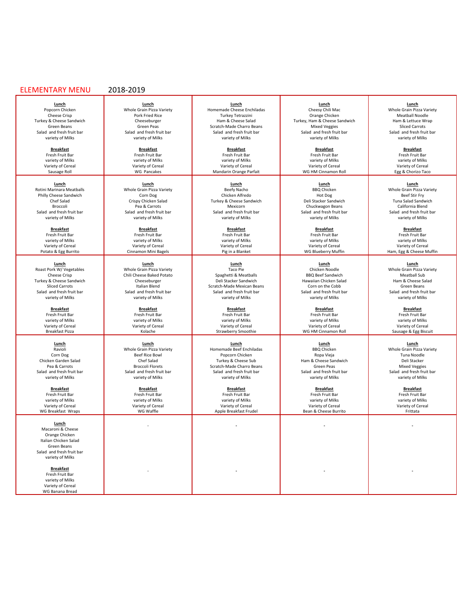#### ELEMENTARY MENU 2018‐2019

Salad and fresh fruit bar Salad and fresh fruit bar Salad and fresh fruit bar Salad and fresh fruit bar Salad and fresh fruit bar Salad and fresh fruit bar Salad and fresh fruit bar variety of Milks variety of Milks variet

Turkey & Cheese Sandwich

WG Breakfast Wraps MG Waffle Music Company of the Breakfast Frudel Bean & Cheese Burrito Frittata

the contract of the contract of the contract of the contract of the contract of the contract of the contract of **Lunch**  Macaroni & Cheese **the control of the control of the control of the control of the control of the control of the control of the control of the control of the control of the control of the control of the control of the cont** Orange Chicken **of the contract of the contract of the contract of the contract of the contract of the contract of the contract of the contract of the contract of the contract of the contract of the contract of the contrac** Italian Chicken Salad **in the controller of the controller of the controller of the controller of the controller** Green Beans **of the contract of the contract of the contract of the contract of the contract of the contract of the contract of the contract of the contract of the contract of the contract of the contract of the contract o** Salad and fresh fruit bar<br>variety of Milks variety of Milks **and the contract of the contract of the contract of the contract of the contract of the contract of the contract of the contract of the contract of the contract of the contract of the contract of the cont** 

**Breakfast**  Fresh Fruit Barthaus (1999) and the state of the state of the state of the state of the state of the state of the state of the state of the state of the state of the state of the state of the state of the state of the stat variety of Milks **and the contract of the contract of the contract of the contract of the contract of the contract of the contract of the contract of the contract of the contract of the contract of the contract of the cont** Variety of Cereal **the contract of the contract of the contract of the contract of the contract of the contract of the contract of the contract of the contract of the contract of the contract of the contract of the contrac** wG Banana Bread **in the second and the second and the second and the second and the second and the second and the second and the second and the second and the second and the second and the second and the second and the sec** 

the contract of the contract of the contract of the contract of the contract of the contract of the contract of

variety of Milks variety of Milks variety of Milks variety of Milks variety of Milks

**Breakfast Breakfast Breakfast Breakfast Breakfast** Fresh Fruit Bar Fresh Fruit Bar Fresh Fruit Bar Fresh Fruit Bar Fresh Fruit Bar Fresh Fruit Bar Fresh Fruit Bar variety of Milks variety of Milks variety of Milks variety of Milks variety of Milks Variety of Cereal Nariety of Cereal Nariety of Cereal Variety of Cereal Nariety of Cereal Variety of Cereal Variety of Cereal Variety of Cereal Variety of Cereal Variety of Cereal Variety of Cereal Variety of Cereal Variet

**Breakfast Breakfast Breakfast Breakfast Breakfast** Fresh Fruit Bar Fresh Fruit Bar Fresh Fruit Bar Fresh Fruit Bar Fresh Fruit Bar Fresh Fruit Bar Fresh Fruit Bar variety of Milks variety of Milks variety of Milks variety of Milks variety of Milks Variety of Cereal Nariety of Cereal Nariety of Cereal Variety of Cereal Nariety of Cereal Variety of Cereal Variety of Cereal Variety of Cereal Variety of Cereal Variety of Cereal Variety of Cereal Variety of Cereal Variet

the contract of the contract of the contract of the contract of the contract of the contract of the contract of

**Breakfast Breakfast Breakfast Breakfast Breakfast** Fresh Fruit Bar Fresh Fruit Bar Fresh Fruit Bar Fresh Fruit Bar Fresh Fruit Bar Fresh Fruit Bar Fresh Fruit Bar variety of Milks variety of Milks variety of Milks variety of Milks variety of Milks Variety of Cereal Variety of Cereal Variety of Cereal Variety of Cereal Variety of Cereal Variety of Cereal Variety of Cereal Variety of Cereal Variety of Cereal Variety of Cereal Variety of Cereal Variety of Cereal Variet

the contract of the contract of the contract of the contract of the contract of the contract of the contract of **Lunch Lunch Lunch Lunch Lunch** Rotini Marinara Meatballs Mole Grain Pizza Variety **Beefy Nacho** BBQ Chicken Beefty Nacho BBQ Chicken Whole Grain Pizza Variety<br>Philly Cheese Sandwich Beef Stir Fry Corn Dog Chicken Alfredo Hiredo Hot Dog Beef Stir Fry Philly Cheese Sandwich North Corn Dog Chicken Alfredo Hot Dog Hot Dog Hot Dog Beef Stir Fry Chef Salad **Chicken Salad Crispy Chicken Salad Turkey & Cheese Sandwich** Deli Stacker Sandwich Tuna Salad Sandwich<br>Broccoli Dea & Carrots Dea Dea Devicorn Mexicorn Chuckwagon Beans California Blend Broccoli **Pea & Carrots California Blend** Mexicorn Chuckwagon Beans California Blend Chuckwagon Beans California Blend

the contract of the contract of the contract of the contract of the contract of the contract of the contract of **Lunch Lunch Lunch Lunch Lunch** Roast Pork W/ Vegetables Whole Grain Pizza Variety Taco Pie Chicken Noodle Whole Grain Pizza Variety Cheese Crisp Chili Cheese Baked Potato (Spaghetti & Meatballs BBQ Beef Sandwich Cheese Crisp Chili Cheese Baked Potato Spaghetti & Meatballs BBQ Beef Sandwich Meatball Sub<br>Reception Cheese Date of the Cheese Crisp Chili Ch Sliced Carrots Subsection Carrots Italian Blend Scratch‐Made Mexican Beans Corn on the Cobb Green Beans Green Beans<br>Salad and fresh fruit bar Salad and fresh fruit bar Salad and fresh fruit bar Salad and fresh fruit bar Sa Salad and fresh fruit bar Salad and fresh fruit bar Salad and fresh fruit bar Salad and fresh fruit bar Salad and fresh fruit bar Salad and fresh fruit bar Salad and fresh fruit bar variety of Milks variety of Milks variety of Milks variety of Milks variety of Milks

the contract of the contract of the contract of the contract of the contract of the contract of the contract of

the contract of the contract of the contract of the contract of the contract of the contract of the contract of **Lunch Lunch Lunch Lunch Lunch** Ravioli Whole Grain Pizza Variety Homemade Beef Enchiladas BBQ Chicken Whole Grain Pizza Variety Corn Dog Beef Rice Bowl Popcorn Chicken Ropa Vieja Ropa Vieja Ropa Viena Ropa Viena Ropa Viena Noodle Chicken Garden Salad Chef Salad Chef Salad Turkey & Cheese Sub Ham & Cheese Sandwich Deli Stacker<br>Pea & Carrots Mixed Veggies Broccoli Florets Scratch-Made Charro Beans Green Peas Green Peas Mixed Veggies Pea & Carrots Mixed Veggies<br>Salad and fresh fruit bar Salad and fresh fruit bar Salad and fresh fruit bar Salad and fresh fruit bar Salad and fresh fruit bar Salad and fresh fruit bar Salad and fresh fruit bar Salad and fresh fruit bar Salad and fresh fruit bar Salad and fresh fruit bar Salad and fresh fruit bar Salad and fresh fruit bar Salad and fresh fruit bar Salad and fresh fruit bar Salad and fres variety of Milks variety of Milks variety of Milks variety of Milks variety of Milks

the contract of the contract of the contract of the contract of the contract of the contract of the contract of

**Lunch Lunch Lunch Lunch Lunch** Popcorn Chicken Nobe Grain Pizza Variety Homemade Cheese Enchiladas Nube Cheesy Chili Mac Nube Grain Pizza Variety Cheese Crisp **Pork Fried Rice Pork Fried Rice Reading Chicken** Turkey Tetrazzini **Chicken Drange Chicken Meatball Noodle** Turkey & Cheese Sandwich **Cheese Cheese Cheese Sandwich** Cheese Sandwich Cheese Sandwich Cheese Sandwich Cheese Sandwich Cheese Sandwich Cheese Sandwich Ham & Cheese Sandwich Cheese Sandwich Sliced Carrots<br>Green Ham & Chee Green Beans Siliced Carrots<br>
Green Peas Salad and fresh fruit bar Salad and fresh fruit bar Salad and fresh fruit bar Salad and fresh fruit bar<br>
Salad and fresh fruit bar Salad and fresh fruit bar Salad and fresh fruit bar d and fresh fruit bar Salad and fresh fruit bar Salad and fresh fruit bar Salad and fresh fruit bar Salad and fresh fruit bar Salad and fresh fruit bar Salad and fresh fruit bar Salad and fresh fruit bar variety of Milks v variety of Milks variety of Milks variety of Milks variety of Milks variety of Milks

the contract of the contract of the contract of the contract of the contract of the contract of the contract of

the contract of the contract of the contract of the contract of the contract of the contract of the contract of **Breakfast Breakfast Breakfast Breakfast Breakfast** Fresh Fruit Bar Fresh Fruit Bar Fresh Fruit Bar Fresh Fruit Bar Fresh Fruit Bar Fresh Fruit Bar Fresh Fruit Bar variety of Milks variety of Milks variety of Milks variety of Milks variety of Milks Variety of Cereal Nariety of Cereal Nariety of Cereal Variety of Cereal Nariety of Cereal Variety of Cereal Variety of Cereal Variety of Cereal Variety of Cereal Variety of Cereal Variety of Cereal Variety of Cereal Variet

Sausage Roll **Mandarin Orange Parfait** Mandarin Orange Parfait NG HM Cinnamon Roll **Carl Carl Egg & Chorizo Taco** 

Potato & Egg Burrito **Pig in American Cinnamon Mini Bagels** Pig in a Blanket Pig in a Blanket WG Blueberry Muffin Ham, Egg & Cheese Muffin

Breakfast Pizza **Strawberry Smoothie Network Collaction** Strawberry Smoothie WG HM Cinnamon Roll Sausage & Egg Biscuit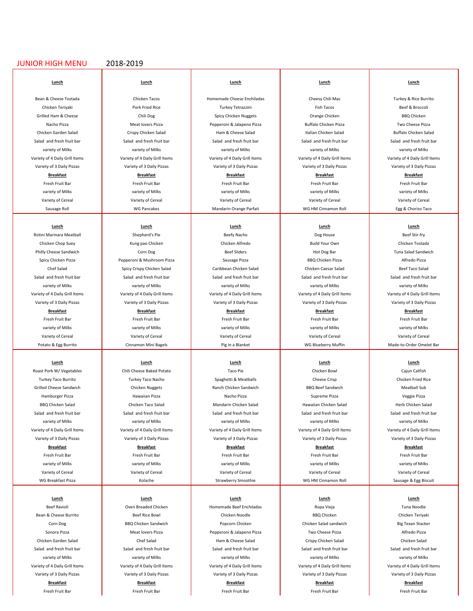#### JUNIOR HIGH MENU 2018-2019

#### **Lunch Lunch Lunch Lunch Lunch**

## 

**Lunch Lunch Lunch Lunch Lunch** Rotini Marinara Meatball Shepherd's Pie Beefy Nacho Beefy Nacho Dog House Boef Btir‐fry

Roast Pork W/ Vegetables **Chili Cheese Baked Potato** Chili Cheese Baked Potato Taco Pie Taco Pie Chicken Bowl Chicken Bowl Cajun Catfish Turkey Taco Burrito Nurrico Turkey Taco Nacho Nurrico Cheese Crisp Cheese Crisp Chicken Fried Rice Chicken Fried Rice Grilled Cheese Sandwich **Chicken Nuggets And Chicken Chicken Sandwich** BBQ Beef Sandwich Meatball Sub Hamburger Pizza Hawaiian Pizza Hawaiian Pizza Hawaiian Pizza Nacho Pizza Nacho Pizza Hamburger Pizza Veggie Pizza BBQ Chicken Salad **Chicken Taco Salad Mandarin Chicken Salad** Hawaiian Chicken Salad Herb Chicken Salad Herb Chicken Salad Salad and fresh fruit bar Salad and fresh fruit bar Salad and fresh fruit bar Salad and fresh fruit bar Salad and fresh fruit bar Salad and fresh fruit bar variety of Milks variety of Milks variety of Milks variety of Milks variety of Milks Variety of 4 Daily Grill Items Variety of 4 Daily Grill Items Variety of 4 Daily Grill Items Variety of 4 Daily Grill Items Variety of 4 Daily Grill Items Variety of 3 Daily Pizzas Variety of 3 Daily Pizzas Variety of 3 Daily Pizzas Variety of 3 Daily Pizzas Variety of 3 Daily Pizzas

the contract of the contract of the contract of the contract of the contract of the contract of the contract of

the contract of the contract of the contract of the contract of the contract of the contract of the contract of

the contract of the contract of the contract of the contract of the contract of the contract of the contract of

the contract of the contract of the contract of the contract of the contract of the contract of the contract of

Bean & Cheese Tostada Number 2012 Chicken Tacos North Chicken Tacos Number 2012 Cheesy Chili Mac Turkey & Rice Burrito Chicken Teriyaki North School (Pork Fried Rice North Turkey Tetrazzini North Tacos North Beef & Broccoli Grilled Ham & Cheese Chili Dog Chicken Chili Dog Spicy Chicken Nuggets Chicken China BBQ Chicken BBQ Chicken Nacho Pizza **Persedia America Pepperoni Brancho Pizza** Pepperoni & Jalapeno Pizza Buffalo Chicken Pizza Two Cheese Pizza Chicken Garden Salad **Internation Crispy Chicken Salad** Ham & Cheese Salad Italian Chicken Salad Buffalo Chicken Salad Buffalo Chicken Salad Salad and fresh fruit bar Salad and fresh fruit bar Salad and fresh fruit bar Salad and fresh fruit bar Salad and fresh fruit bar Salad and fresh fruit bar variety of Milks variety of Milks variety of Milks variety of Milks variety of Milks Variety of 4 Daily Grill Items Nariety of 4 Daily Grill Items Variety of 4 Daily Grill Items Variety of 4 Daily Grill Items Variety of 4 Daily Grill Items Variety of 4 Daily Grill Items Variety of 4 Daily Grill Items Varie Variety of 3 Daily Pizzas Variety of 3 Daily Pizzas Variety of 3 Daily Pizzas Variety of 3 Daily Pizzas Variety of 3 Daily Pizzas Variety of 3 Daily Pizzas Variety of 3 Daily Pizzas Variety of 3 Daily Pizzas Variety of 3 D **Breakfast Breakfast Breakfast Breakfast Breakfast** Fresh Fruit Bar Fresh Fruit Bar Fresh Fruit Bar Fresh Fruit Bar Fresh Fruit Bar Fresh Fruit Bar Fresh Fruit Bar variety of Milks variety of Milks variety of Milks variety of Milks variety of Milks Variety of Cereal Nariety of Cereal Nariety of Cereal Variety of Cereal Variety of Cereal Variety of Cereal Variety of Cereal Variety of Cereal Variety of Cereal Variety of Cereal Variety of Cereal Variety of Cereal Variet

Chicken Chop Suey Nung pao Chicken Nung and Chicken Alfredo Nung Build Your Own Nung Chicken Tostada Philly Cheese Sandwich **Corn Dog Beef Sliders Hot Dog Bar** Hot Dog Bar Tuna Salad Sandwich Corn Dog Bar Tuna Salad Sandwich Spicy Chicken Pizza **Pepperoni & Mushroom Pizza** Sausage Pizza BBQ Chicken Pizza Alfredo Pizza Chef Salad Spicy Crispy Chicken Salad Caribbean Chicken Salad Chicken Caesar Salad Beef Taco Salad Beef Taco Salad Salad and fresh fruit bar Salad and fresh fruit bar Salad and fresh fruit bar Salad and fresh fruit bar Salad and fresh fruit bar Salad and fresh fruit bar Salad and fresh fruit bar variety of Milks variety of Milks variety of Milks variety of Milks variety of Milks Variety of 3 Daily Pizzas Variety of 3 Daily Pizzas Variety of 3 Daily Pizzas Variety of 3 Daily Pizzas Variety of 3 Daily Pizzas **Breakfast Breakfast Breakfast Breakfast Breakfast** Fresh Fruit Bar Fresh Fruit Bar Fresh Fruit Bar Fresh Fruit Bar Fresh Fruit Bar Fresh Fruit Bar Fresh Fruit Bar variety of Milks variety of Milks variety of Milks variety of Milks variety of Milks

**Lunch Lunch Lunch Lunch Lunch**

**Breakfast Breakfast Breakfast Breakfast Breakfast**

WG Breakfast Pizza **Strawberry Strawberry Strawberry Smoothie** WG HM Cinnamon Roll Sausage & Egg Biscuit

**Lunch Lunch Lunch Lunch Lunch** Beef Ravioli **San America Chicken Homemade Beef Enchiladas** Ropa Vieja Ropa Vieja Noodle Bean & Cheese Burrito **Burrith Chicken Teriyaki** Beef Rice Bowl Chicken Noodle Chicken Noodle BBQ Chicken Chicken Chicken Teriyaki Corn Dog BBQ Chicken Sandwich **Popcorn Chicken Chicken Chicken Chicken Salad** sandwich Big Texan Stacker Sonora Pizza **Meat lovers Pizza** Pepperoni & Jalapeno Pizza Two Cheese Pizza Alfredo Pizza Alfredo Pizza Chicken Garden Salad **Ham & Chef Salad Chicken Salad** Ham & Cheese Salad Crispy Chicken Salad Chicken Salad Chicken Salad Salad and fresh fruit bar Salad and fresh fruit bar Salad and fresh fruit bar Salad and fresh fruit bar Salad and fresh fruit bar Salad and fresh fruit bar Salad and fresh fruit bar Salad and fresh fruit bar Salad and fres variety of Milks variety of Milks variety of Milks variety of Milks variety of Milks Variety of 3 Daily Pizzas Variety of 3 Daily Pizzas Variety of 3 Daily Pizzas Variety of 3 Daily Pizzas Variety of 3 Daily Pizzas Variety of 3 Daily Pizzas Variety of 3 Daily Pizzas Variety of 3 Daily Pizzas Variety of 3 D **Breakfast Breakfast Breakfast Breakfast Breakfast** Fresh Fruit Bar Fresh Fruit Bar Fresh Fruit Bar Fresh Fruit Bar Fresh Fruit Bar Fresh Fruit Bar Fresh Fruit Bar

Sausage Roll **Sausage Roll Mandarin Orange Parfait** WG HM Cinnamon Roll **Egg & Chorizo Taco** 

Variety of Cereal Nariety of Cereal Nariety of Cereal Variety of Cereal Variety of Cereal Variety of Cereal Variety of Cereal Variety of Cereal Variety of Cereal Variety of Cereal Variety of Cereal Variety of Cereal Variet

Fresh Fruit Bar Fresh Fruit Bar Fresh Fruit Bar Fresh Fruit Bar Fresh Fruit Bar Fresh Fruit Bar Fresh Fruit Bar variety of Milks variety of Milks variety of Milks variety of Milks variety of Milks Variety of Cereal Nariety of Cereal Nariety of Cereal Variety of Cereal Variety of Cereal Variety of Cereal Variety of Cereal Variety of Cereal Variety of Cereal Variety of Cereal Variety of Cereal Variety of Cereal Variet

Variety of 4 Daily Grill Items Variety of 4 Daily Grill Items Variety of 4 Daily Grill Items Variety of 4 Daily Grill Items Variety of 4 Daily Grill Items Potato & Egg Burrito **Cinnamon Mini Bagels** Pig in a Blanket WG Blueberry Muffin Made‐to‐Order Omelet Bar

Variety of 4 Daily Grill Items Variety of 4 Daily Grill Items Variety of 4 Daily Grill Items Variety of 4 Daily Grill Items Variety of 4 Daily Grill Items Variety of 4 Daily Grill Items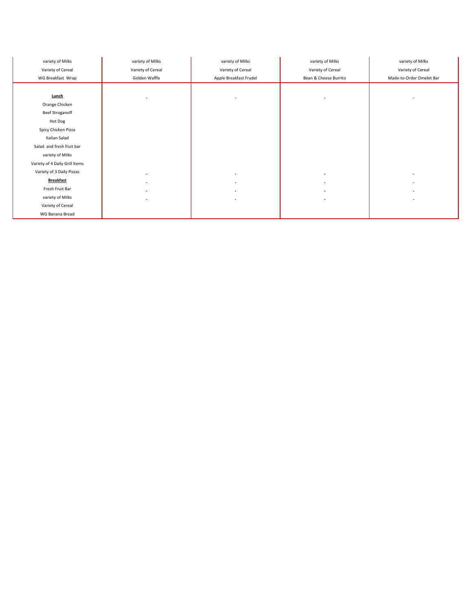| variety of Milks               | variety of Milks  | variety of Milks       | variety of Milks      | variety of Milks         |
|--------------------------------|-------------------|------------------------|-----------------------|--------------------------|
| Variety of Cereal              | Variety of Cereal | Variety of Cereal      | Variety of Cereal     | Variety of Cereal        |
| WG Breakfast Wrap              | Golden Waffle     | Apple Breakfast Frudel | Bean & Cheese Burrito | Made-to-Order Omelet Bar |
|                                |                   |                        |                       |                          |
| <b>Lunch</b>                   | $\alpha$          | $\blacksquare$         | $\blacksquare$        |                          |
| Orange Chicken                 |                   |                        |                       |                          |
| <b>Beef Stroganoff</b>         |                   |                        |                       |                          |
| Hot Dog                        |                   |                        |                       |                          |
| Spicy Chicken Pizza            |                   |                        |                       |                          |
| Italian Salad                  |                   |                        |                       |                          |
| Salad and fresh fruit bar      |                   |                        |                       |                          |
| variety of Milks               |                   |                        |                       |                          |
| Variety of 4 Daily Grill Items |                   |                        |                       |                          |
| Variety of 3 Daily Pizzas      |                   | ۰                      | $\sim$                |                          |
| <b>Breakfast</b>               |                   |                        | $\blacksquare$        |                          |
| Fresh Fruit Bar                |                   |                        | $\sim$                |                          |
| variety of Milks               | $\blacksquare$    | $\blacksquare$         | $\sim$                |                          |
| Variety of Cereal              |                   |                        |                       |                          |
| WG Banana Bread                |                   |                        |                       |                          |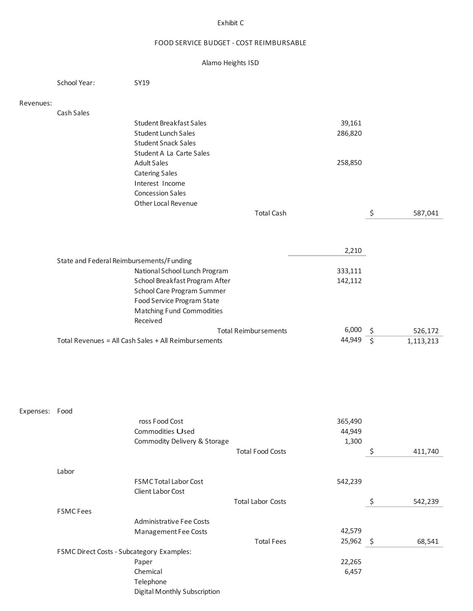### Exhibit C

## FOOD SERVICE BUDGET ‐ COST REIMBURSABLE

## Alamo Heights ISD

|                | School Year:                              | SY19                                                         |                             |                      |               |
|----------------|-------------------------------------------|--------------------------------------------------------------|-----------------------------|----------------------|---------------|
| Revenues:      |                                           |                                                              |                             |                      |               |
|                | Cash Sales                                |                                                              |                             |                      |               |
|                |                                           | <b>Student Breakfast Sales</b><br><b>Student Lunch Sales</b> |                             | 39,161<br>286,820    |               |
|                |                                           | <b>Student Snack Sales</b>                                   |                             |                      |               |
|                |                                           | Student A La Carte Sales                                     |                             |                      |               |
|                |                                           | <b>Adult Sales</b>                                           |                             | 258,850              |               |
|                |                                           | <b>Catering Sales</b><br>Interest Income                     |                             |                      |               |
|                |                                           | <b>Concession Sales</b>                                      |                             |                      |               |
|                |                                           | Other Local Revenue                                          |                             |                      |               |
|                |                                           |                                                              | <b>Total Cash</b>           |                      | \$<br>587,041 |
|                |                                           |                                                              |                             |                      |               |
|                | State and Federal Reimbursements/Funding  |                                                              |                             | 2,210                |               |
|                |                                           | National School Lunch Program                                |                             | 333,111              |               |
|                |                                           | School Breakfast Program After                               |                             | 142,112              |               |
|                |                                           | School Care Program Summer                                   |                             |                      |               |
|                |                                           | Food Service Program State                                   |                             |                      |               |
|                |                                           | Matching Fund Commodities<br>Received                        |                             |                      |               |
|                |                                           |                                                              | <b>Total Reimbursements</b> | $6,000 \leq$         | 526,172       |
|                |                                           | Total Revenues = All Cash Sales + All Reimbursements         |                             | 44,949 $\frac{1}{5}$ | 1,113,213     |
|                |                                           |                                                              |                             |                      |               |
|                |                                           |                                                              |                             |                      |               |
| Expenses: Food |                                           |                                                              |                             |                      |               |
|                |                                           | ross Food Cost                                               |                             | 365,490              |               |
|                |                                           | Commodities Used                                             |                             | 44,949               |               |
|                |                                           | Commodity Delivery & Storage                                 |                             | 1,300                |               |
|                |                                           |                                                              | <b>Total Food Costs</b>     |                      | \$<br>411,740 |
|                | Labor                                     |                                                              |                             |                      |               |
|                |                                           | FSMC Total Labor Cost                                        |                             | 542,239              |               |
|                |                                           | Client Labor Cost                                            |                             |                      |               |
|                | <b>FSMC Fees</b>                          |                                                              | <b>Total Labor Costs</b>    |                      | \$<br>542,239 |
|                |                                           | Administrative Fee Costs                                     |                             |                      |               |
|                |                                           | Management Fee Costs                                         |                             | 42,579               |               |
|                |                                           |                                                              | <b>Total Fees</b>           | 25,962 \$            | 68,541        |
|                | FSMC Direct Costs - Subcategory Examples: | Paper                                                        |                             | 22,265               |               |
|                |                                           | Chemical                                                     |                             | 6,457                |               |
|                |                                           | Telephone                                                    |                             |                      |               |
|                |                                           | Digital Monthly Subscription                                 |                             |                      |               |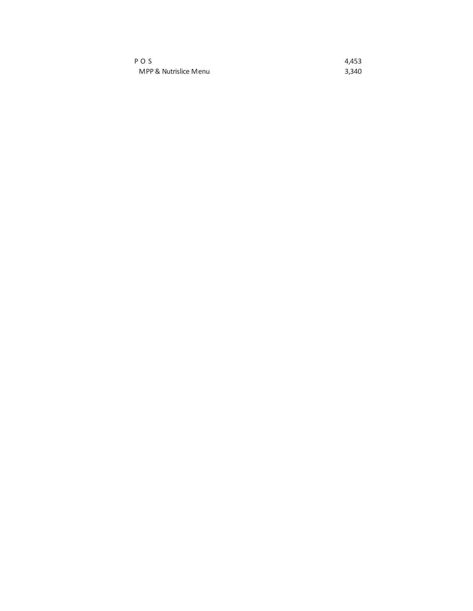| PO <sub>S</sub>       | 4.453 |
|-----------------------|-------|
| MPP & Nutrislice Menu | 3.340 |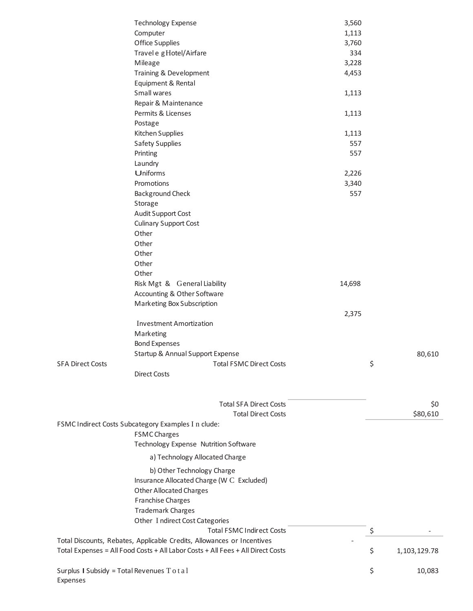|                                                | <b>Technology Expense</b>                                                       | 3,560  |                      |
|------------------------------------------------|---------------------------------------------------------------------------------|--------|----------------------|
|                                                | Computer                                                                        | 1,113  |                      |
|                                                | Office Supplies                                                                 | 3,760  |                      |
|                                                | Travel e g Hotel/Airfare                                                        | 334    |                      |
|                                                | Mileage                                                                         | 3,228  |                      |
|                                                | Training & Development                                                          | 4,453  |                      |
|                                                | Equipment & Rental                                                              |        |                      |
|                                                | Small wares                                                                     | 1,113  |                      |
|                                                | Repair & Maintenance                                                            |        |                      |
|                                                | Permits & Licenses                                                              | 1,113  |                      |
|                                                | Postage                                                                         |        |                      |
|                                                | Kitchen Supplies                                                                | 1,113  |                      |
|                                                | <b>Safety Supplies</b>                                                          | 557    |                      |
|                                                |                                                                                 | 557    |                      |
|                                                | Printing                                                                        |        |                      |
|                                                | Laundry                                                                         |        |                      |
|                                                | Uniforms                                                                        | 2,226  |                      |
|                                                | Promotions                                                                      | 3,340  |                      |
|                                                | <b>Background Check</b>                                                         | 557    |                      |
|                                                | Storage                                                                         |        |                      |
|                                                | Audit Support Cost                                                              |        |                      |
|                                                | <b>Culinary Support Cost</b>                                                    |        |                      |
|                                                | Other                                                                           |        |                      |
|                                                | Other                                                                           |        |                      |
|                                                | Other                                                                           |        |                      |
|                                                | Other                                                                           |        |                      |
|                                                | Other                                                                           |        |                      |
|                                                | Risk Mgt & General Liability                                                    | 14,698 |                      |
|                                                | Accounting & Other Software                                                     |        |                      |
|                                                | Marketing Box Subscription                                                      |        |                      |
|                                                |                                                                                 | 2,375  |                      |
|                                                | <b>Investment Amortization</b>                                                  |        |                      |
|                                                | Marketing                                                                       |        |                      |
|                                                | <b>Bond Expenses</b>                                                            |        |                      |
|                                                | Startup & Annual Support Expense                                                |        | 80,610               |
| <b>SFA Direct Costs</b>                        | <b>Total FSMC Direct Costs</b>                                                  |        | \$                   |
|                                                | <b>Direct Costs</b>                                                             |        |                      |
|                                                |                                                                                 |        |                      |
|                                                |                                                                                 |        |                      |
|                                                | <b>Total SFA Direct Costs</b><br><b>Total Direct Costs</b>                      |        | \$0<br>\$80,610      |
|                                                | FSMC Indirect Costs Subcategory Examples I n clude:                             |        |                      |
|                                                | <b>FSMC Charges</b>                                                             |        |                      |
|                                                | Technology Expense Nutrition Software                                           |        |                      |
|                                                | a) Technology Allocated Charge                                                  |        |                      |
|                                                | b) Other Technology Charge                                                      |        |                      |
|                                                | Insurance Allocated Charge (W C Excluded)                                       |        |                      |
|                                                | <b>Other Allocated Charges</b>                                                  |        |                      |
|                                                |                                                                                 |        |                      |
|                                                | <b>Franchise Charges</b><br><b>Trademark Charges</b>                            |        |                      |
|                                                | Other Indirect Cost Categories                                                  |        |                      |
|                                                |                                                                                 |        |                      |
|                                                | <b>Total FSMC Indirect Costs</b>                                                |        | \$                   |
|                                                | Total Discounts, Rebates, Applicable Credits, Allowances or Incentives          |        |                      |
|                                                | Total Expenses = All Food Costs + All Labor Costs + All Fees + All Direct Costs |        | \$<br>1, 103, 129.78 |
|                                                |                                                                                 |        | \$                   |
| Surplus I Subsidy = Total Revenues $T o t a l$ |                                                                                 |        | 10,083               |

Expenses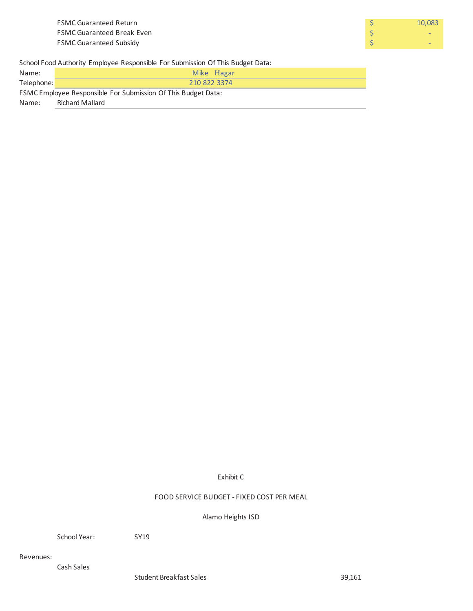

School Food Authority Employee Responsible For Submission Of This Budget Data:

| Name:                                                         | Mike Hagar      |  |  |  |
|---------------------------------------------------------------|-----------------|--|--|--|
| Telephone:                                                    | 210 822 3374    |  |  |  |
| FSMC Employee Responsible For Submission Of This Budget Data: |                 |  |  |  |
| Name:                                                         | Richard Mallard |  |  |  |

Exhibit C

FOOD SERVICE BUDGET ‐ FIXED COST PER MEAL

Alamo Heights ISD

School Year: SY19

Revenues:

Cash Sales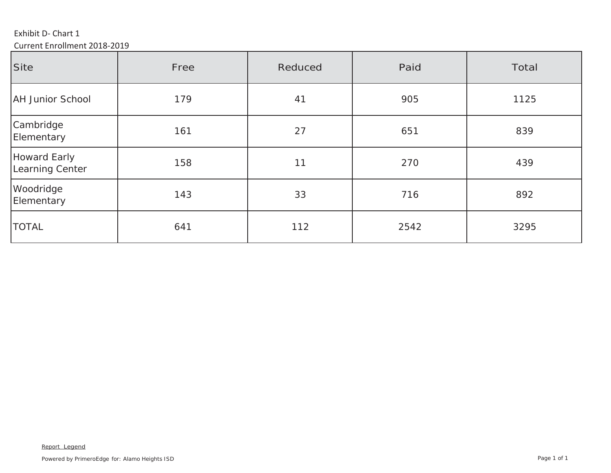Exhibit D‐ Chart 1

Current Enrollment 2018‐2019

| Site                            | Free | Reduced | Paid | Total |
|---------------------------------|------|---------|------|-------|
| <b>AH Junior School</b>         | 179  | 41      | 905  | 1125  |
| Cambridge<br>Elementary         | 161  | 27      | 651  | 839   |
| Howard Early<br>Learning Center | 158  | 11      | 270  | 439   |
| Woodridge<br>Elementary         | 143  | 33      | 716  | 892   |
| <b>TOTAL</b>                    | 641  | 112     | 2542 | 3295  |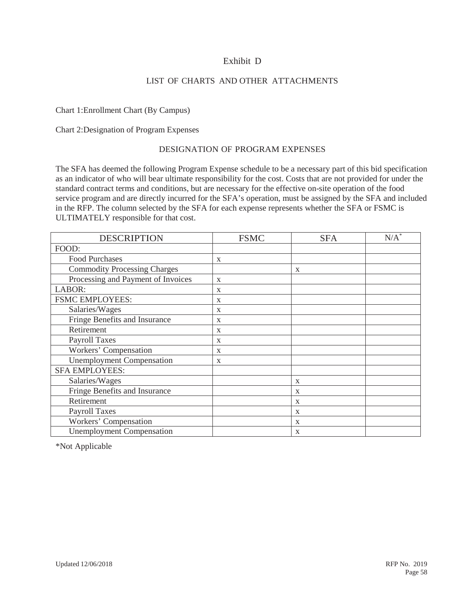## Exhibit D

## LIST OF CHARTS AND OTHER ATTACHMENTS

## Chart 1:Enrollment Chart (By Campus)

Chart 2:Designation of Program Expenses

### DESIGNATION OF PROGRAM EXPENSES

The SFA has deemed the following Program Expense schedule to be a necessary part of this bid specification as an indicator of who will bear ultimate responsibility for the cost. Costs that are not provided for under the standard contract terms and conditions, but are necessary for the effective on-site operation of the food service program and are directly incurred for the SFA's operation, must be assigned by the SFA and included in the RFP. The column selected by the SFA for each expense represents whether the SFA or FSMC is ULTIMATELY responsible for that cost.

| <b>DESCRIPTION</b>                  | <b>FSMC</b>  | <b>SFA</b>   | $N/A^*$ |
|-------------------------------------|--------------|--------------|---------|
| FOOD:                               |              |              |         |
| <b>Food Purchases</b>               | $\mathbf{x}$ |              |         |
| <b>Commodity Processing Charges</b> |              | $\mathbf{x}$ |         |
| Processing and Payment of Invoices  | $\mathbf X$  |              |         |
| LABOR:                              | X            |              |         |
| <b>FSMC EMPLOYEES:</b>              | X            |              |         |
| Salaries/Wages                      | X            |              |         |
| Fringe Benefits and Insurance       | X            |              |         |
| Retirement                          | X            |              |         |
| <b>Payroll Taxes</b>                | X            |              |         |
| Workers' Compensation               | X            |              |         |
| <b>Unemployment Compensation</b>    | X            |              |         |
| <b>SFA EMPLOYEES:</b>               |              |              |         |
| Salaries/Wages                      |              | X            |         |
| Fringe Benefits and Insurance       |              | X            |         |
| Retirement                          |              | X            |         |
| <b>Payroll Taxes</b>                |              | X            |         |
| Workers' Compensation               |              | X            |         |
| <b>Unemployment Compensation</b>    |              | X            |         |

\*Not Applicable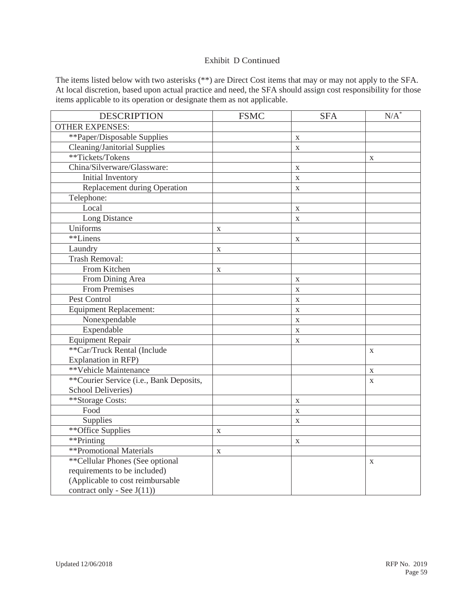## Exhibit D Continued

The items listed below with two asterisks (\*\*) are Direct Cost items that may or may not apply to the SFA. At local discretion, based upon actual practice and need, the SFA should assign cost responsibility for those items applicable to its operation or designate them as not applicable.

| <b>DESCRIPTION</b>                      | <b>FSMC</b>  | <b>SFA</b>  | $N/A^*$     |
|-----------------------------------------|--------------|-------------|-------------|
| <b>OTHER EXPENSES:</b>                  |              |             |             |
| **Paper/Disposable Supplies             |              | $\mathbf X$ |             |
| Cleaning/Janitorial Supplies            |              | $\mathbf X$ |             |
| **Tickets/Tokens                        |              |             | X           |
| China/Silverware/Glassware:             |              | $\mathbf X$ |             |
| Initial Inventory                       |              | $\mathbf X$ |             |
| Replacement during Operation            |              | $\mathbf X$ |             |
| Telephone:                              |              |             |             |
| Local                                   |              | $\mathbf X$ |             |
| Long Distance                           |              | $\mathbf X$ |             |
| Uniforms                                | $\mathbf X$  |             |             |
| **Linens                                |              | $\mathbf X$ |             |
| Laundry                                 | $\mathbf X$  |             |             |
| Trash Removal:                          |              |             |             |
| From Kitchen                            | X            |             |             |
| From Dining Area                        |              | $\mathbf X$ |             |
| <b>From Premises</b>                    |              | $\mathbf X$ |             |
| Pest Control                            |              | $\mathbf X$ |             |
| <b>Equipment Replacement:</b>           |              | $\mathbf X$ |             |
| Nonexpendable                           |              | $\mathbf X$ |             |
| Expendable                              |              | X           |             |
| <b>Equipment Repair</b>                 |              | $\mathbf X$ |             |
| **Car/Truck Rental (Include             |              |             | X           |
| Explanation in RFP)                     |              |             |             |
| **Vehicle Maintenance                   |              |             | $\mathbf X$ |
| **Courier Service (i.e., Bank Deposits, |              |             | $\mathbf X$ |
| School Deliveries)                      |              |             |             |
| **Storage Costs:                        |              | $\mathbf X$ |             |
| Food                                    |              | $\mathbf X$ |             |
| Supplies                                |              | $\mathbf X$ |             |
| ** Office Supplies                      | $\mathbf{X}$ |             |             |
| **Printing                              |              | $\mathbf X$ |             |
| **Promotional Materials                 | $\mathbf X$  |             |             |
| ** Cellular Phones (See optional        |              |             | X           |
| requirements to be included)            |              |             |             |
| (Applicable to cost reimbursable        |              |             |             |
| contract only - See J(11))              |              |             |             |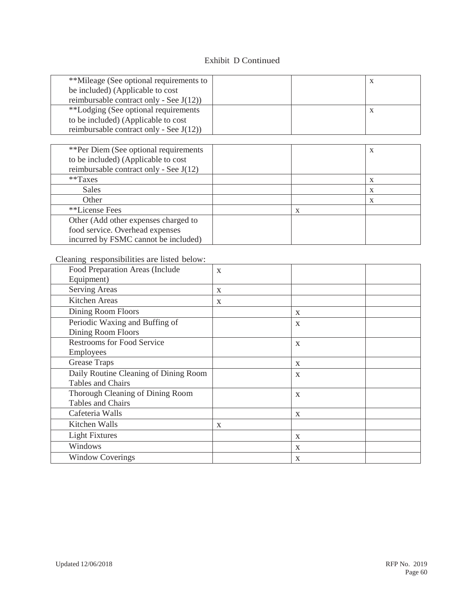## Exhibit D Continued

| **Mileage (See optional requirements to<br>be included) (Applicable to cost |  | X            |
|-----------------------------------------------------------------------------|--|--------------|
| reimbursable contract only - See $J(12)$ )                                  |  |              |
| **Lodging (See optional requirements                                        |  | $\mathbf{X}$ |
| to be included) (Applicable to cost                                         |  |              |
| reimbursable contract only - See $J(12)$ )                                  |  |              |

| **Per Diem (See optional requirements    |   | X |
|------------------------------------------|---|---|
| to be included) (Applicable to cost      |   |   |
| reimbursable contract only - See $J(12)$ |   |   |
| $*$ Taxes                                |   | X |
| <b>Sales</b>                             |   | X |
| Other                                    |   | X |
| **License Fees                           | X |   |
| Other (Add other expenses charged to     |   |   |
| food service. Overhead expenses          |   |   |
| incurred by FSMC cannot be included)     |   |   |

Cleaning responsibilities are listed below:

| Food Preparation Areas (Include       | $\mathbf{X}$ |              |  |
|---------------------------------------|--------------|--------------|--|
| Equipment)                            |              |              |  |
| <b>Serving Areas</b>                  | X            |              |  |
| Kitchen Areas                         | X            |              |  |
| Dining Room Floors                    |              | X            |  |
| Periodic Waxing and Buffing of        |              | X            |  |
| Dining Room Floors                    |              |              |  |
| <b>Restrooms for Food Service</b>     |              | $\mathbf{X}$ |  |
| Employees                             |              |              |  |
| Grease Traps                          |              | X            |  |
| Daily Routine Cleaning of Dining Room |              | X            |  |
| Tables and Chairs                     |              |              |  |
| Thorough Cleaning of Dining Room      |              | X            |  |
| Tables and Chairs                     |              |              |  |
| Cafeteria Walls                       |              | X            |  |
| Kitchen Walls                         | X            |              |  |
| <b>Light Fixtures</b>                 |              | X            |  |
| Windows                               |              | X            |  |
| <b>Window Coverings</b>               |              | X            |  |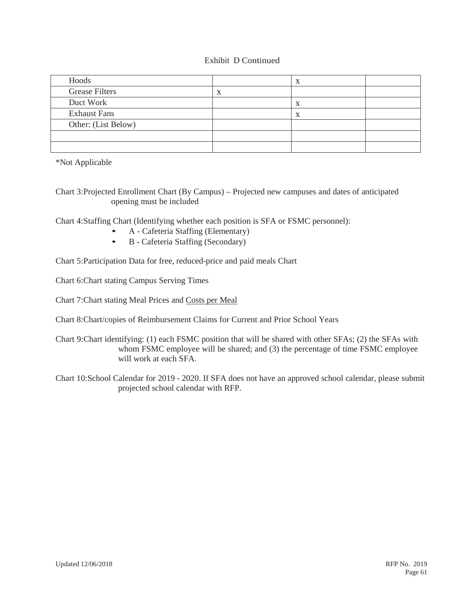## Exhibit D Continued

| Hoods                 |   |  |
|-----------------------|---|--|
| <b>Grease Filters</b> |   |  |
| Duct Work             |   |  |
| <b>Exhaust Fans</b>   | X |  |
| Other: (List Below)   |   |  |
|                       |   |  |
|                       |   |  |

\*Not Applicable

Chart 3:Projected Enrollment Chart (By Campus) – Projected new campuses and dates of anticipated opening must be included

Chart 4:Staffing Chart (Identifying whether each position is SFA or FSMC personnel):

- A Cafeteria Staffing (Elementary)
- B Cafeteria Staffing (Secondary)

Chart 5:Participation Data for free, reduced-price and paid meals Chart

Chart 6:Chart stating Campus Serving Times

Chart 7:Chart stating Meal Prices and Costs per Meal

Chart 8:Chart/copies of Reimbursement Claims for Current and Prior School Years

Chart 9:Chart identifying: (1) each FSMC position that will be shared with other SFAs; (2) the SFAs with whom FSMC employee will be shared; and (3) the percentage of time FSMC employee will work at each SFA.

Chart 10:School Calendar for 2019 - 2020. If SFA does not have an approved school calendar, please submit projected school calendar with RFP.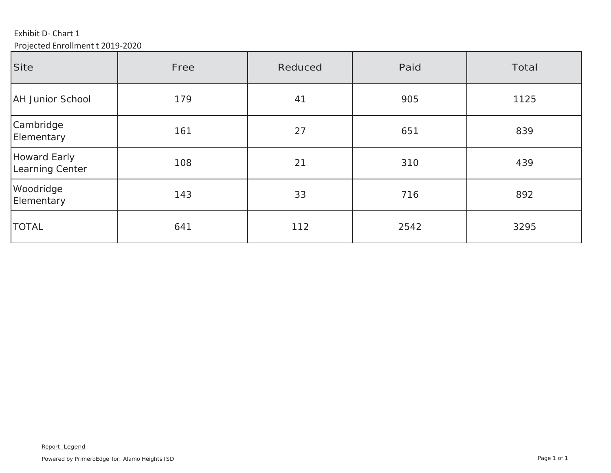Exhibit D‐ Chart 1 Projected Enrollment <sup>t</sup> 2019‐2020

| Site                            | Free | Reduced | Paid | Total |
|---------------------------------|------|---------|------|-------|
| <b>AH Junior School</b>         | 179  | 41      | 905  | 1125  |
| Cambridge<br>Elementary         | 161  | 27      | 651  | 839   |
| Howard Early<br>Learning Center | 108  | 21      | 310  | 439   |
| Woodridge<br>Elementary         | 143  | 33      | 716  | 892   |
| <b>TOTAL</b>                    | 641  | 112     | 2542 | 3295  |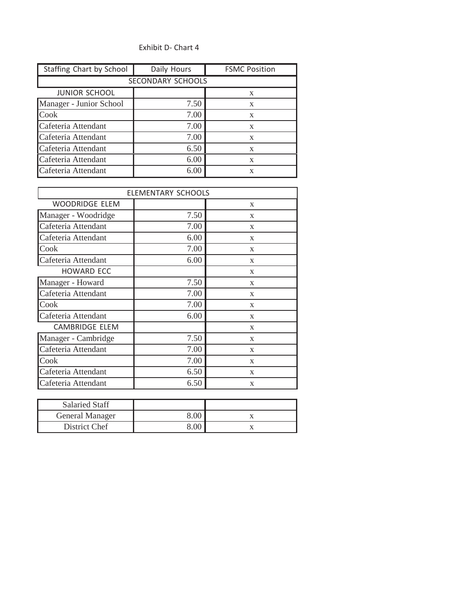## Exhibit D‐ Chart 4

| Staffing Chart by School | Daily Hours | <b>FSMC Position</b> |  |  |  |  |  |
|--------------------------|-------------|----------------------|--|--|--|--|--|
| SECONDARY SCHOOLS        |             |                      |  |  |  |  |  |
| <b>JUNIOR SCHOOL</b>     |             | X                    |  |  |  |  |  |
| Manager - Junior School  | 7.50        | X                    |  |  |  |  |  |
| <b>Cook</b>              | 7.00        | X                    |  |  |  |  |  |
| Cafeteria Attendant      | 7.00        | X                    |  |  |  |  |  |
| Cafeteria Attendant      | 7.00        | X                    |  |  |  |  |  |
| Cafeteria Attendant      | 6.50        | X                    |  |  |  |  |  |
| Cafeteria Attendant      | 6.00        | X                    |  |  |  |  |  |
| Cafeteria Attendant      | 6.00        | X                    |  |  |  |  |  |

|                       | <b>ELEMENTARY SCHOOLS</b> |   |
|-----------------------|---------------------------|---|
| <b>WOODRIDGE ELEM</b> |                           | X |
| Manager - Woodridge   | 7.50                      | X |
| Cafeteria Attendant   | 7.00                      | X |
| Cafeteria Attendant   | 6.00                      | X |
| Cook                  | 7.00                      | X |
| Cafeteria Attendant   | 6.00                      | X |
| <b>HOWARD ECC</b>     |                           | X |
| Manager - Howard      | 7.50                      | X |
| Cafeteria Attendant   | 7.00                      | X |
| Cook                  | 7.00                      | X |
| Cafeteria Attendant   | 6.00                      | X |
| <b>CAMBRIDGE ELEM</b> |                           | X |
| Manager - Cambridge   | 7.50                      | X |
| Cafeteria Attendant   | 7.00                      | X |
| Cook                  | 7.00                      | X |
| Cafeteria Attendant   | 6.50                      | X |
| Cafeteria Attendant   | 6.50                      | X |

| Salaried Staff  |  |
|-----------------|--|
| General Manager |  |
| District Chef   |  |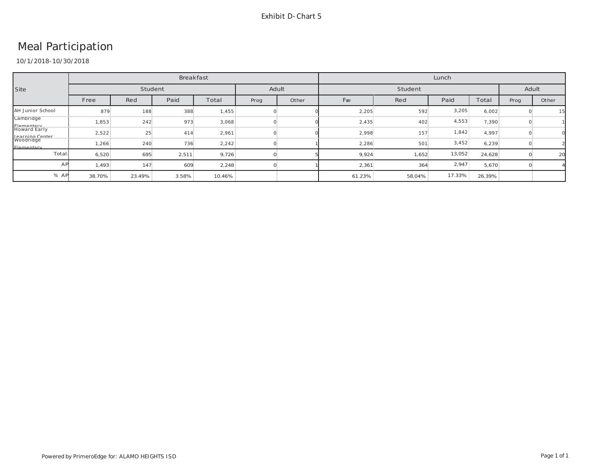# Meal Participation

10/1/2018-10/30/2018

|                                      | <b>Breakfast</b> |        |       |        |       | Lunch |         |        |        |        |      |       |
|--------------------------------------|------------------|--------|-------|--------|-------|-------|---------|--------|--------|--------|------|-------|
| Site                                 | Student          |        |       |        | Adult |       | Student |        |        | Adult  |      |       |
|                                      | Free             | Red    | Paid  | Total  | Prog  | Other | Free    | Red    | Paid   | Total  | Prog | Other |
| AH Junior School                     | 879              | 188    | 388   | 1,455  |       |       | 2,205   | 592    | 3,205  | 6,002  |      | 15    |
| Cambridge                            | 1,853            | 242    | 973   | 3,068  |       |       | 2,435   | 402    | 4,553  | 7,390  |      |       |
| Flementary<br>Howard Early           | 2,522            | 25     | 414   | 2,961  |       |       | 2,998   | 157    | 1,842  | 4,997  |      |       |
| Learning Center<br><b>Flementary</b> | 1,266            | 240    | 736   | 2,242  |       |       | 2,286   | 501    | 3,452  | 6,239  |      |       |
| Total:                               | 6,520            | 695    | 2,511 | 9,726  |       |       | 9,924   | 1,652  | 13,052 | 24,628 |      | 20    |
| AP                                   | 1,493            | 147    | 609   | 2,248  |       |       | 2,361   | 364    | 2,947  | 5,670  |      |       |
| % AP                                 | 38.70%           | 23.49% | 3.58% | 10.46% |       |       | 61.23%  | 58.04% | 17.33% | 26.39% |      |       |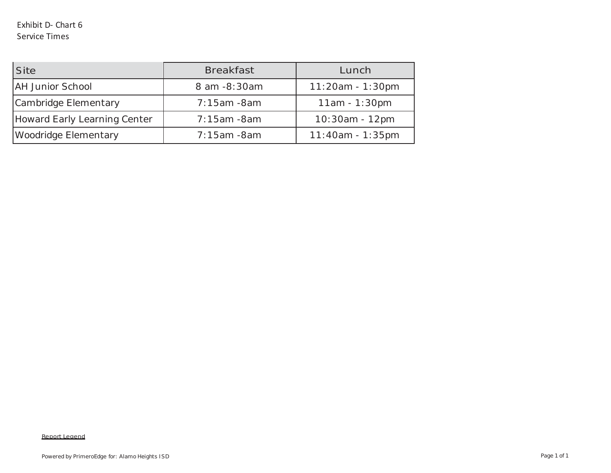| <b>Site</b>                         | <b>Breakfast</b> | Lunch              |
|-------------------------------------|------------------|--------------------|
| <b>AH Junior School</b>             | 8 am -8:30am     | $11:20am - 1:30pm$ |
| Cambridge Elementary                | $7:15am - 8am$   | $11am - 1:30pm$    |
| <b>Howard Early Learning Center</b> | $7:15am - 8am$   | 10:30am - 12pm     |
| Woodridge Elementary                | $7:15am - 8am$   | $11:40am - 1:35pm$ |

#### Report Legend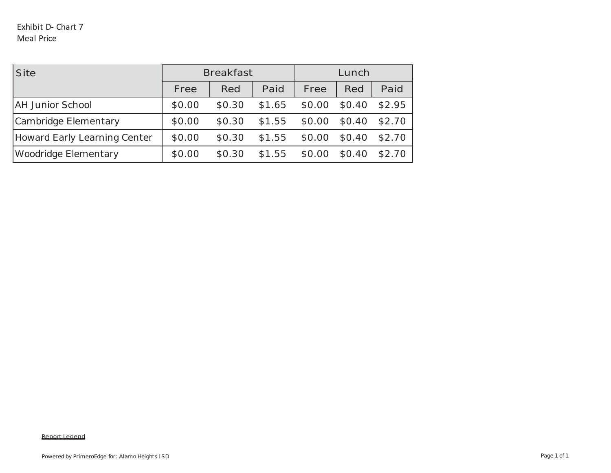| <b>Site</b>                         | <b>Breakfast</b> |        | Lunch  |        |        |        |
|-------------------------------------|------------------|--------|--------|--------|--------|--------|
|                                     | Free             | Red    | Paid   | Free   | Red    | Paid   |
| <b>AH Junior School</b>             | \$0.00           | \$0.30 | \$1.65 | \$0.00 | \$0.40 | \$2.95 |
| Cambridge Elementary                | \$0.00           | \$0.30 | \$1.55 | \$0.00 | \$0.40 | \$2.70 |
| <b>Howard Early Learning Center</b> | \$0.00           | \$0.30 | \$1.55 | \$0.00 | \$0.40 | \$2.70 |
| Woodridge Elementary                | \$0.00           | \$0.30 | \$1.55 | \$0.00 | \$0.40 | \$2.70 |

#### Report Legend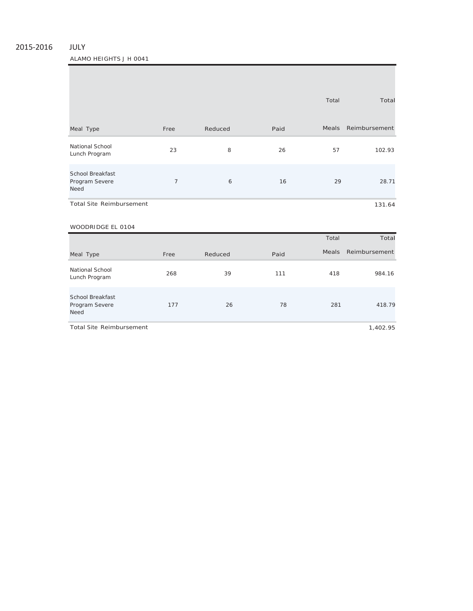## 2015‐2016 JULY

ALAMO HEIGHTS J H 0041

|                                                          |                |         |      | Total        | Total         |
|----------------------------------------------------------|----------------|---------|------|--------------|---------------|
| Meal Type                                                | Free           | Reduced | Paid | Meals        | Reimbursement |
| National School<br>Lunch Program                         | 23             | 8       | 26   | 57           | 102.93        |
| <b>School Breakfast</b><br>Program Severe<br><b>Need</b> | $\overline{7}$ | 6       | 16   | 29           | 28.71         |
| <b>Total Site Reimbursement</b>                          |                |         |      |              | 131.64        |
| WOODRIDGE EL 0104                                        |                |         |      |              |               |
|                                                          |                |         |      | Total        | Total         |
| Meal Type                                                | Free           | Reduced | Paid | <b>Meals</b> | Reimbursement |
| National School<br>Lunch Program                         | 268            | 39      | 111  | 418          | 984.16        |
| <b>School Breakfast</b><br>Program Severe<br><b>Need</b> | 177            | 26      | 78   | 281          | 418.79        |

Total Site Reimbursement

1,402.95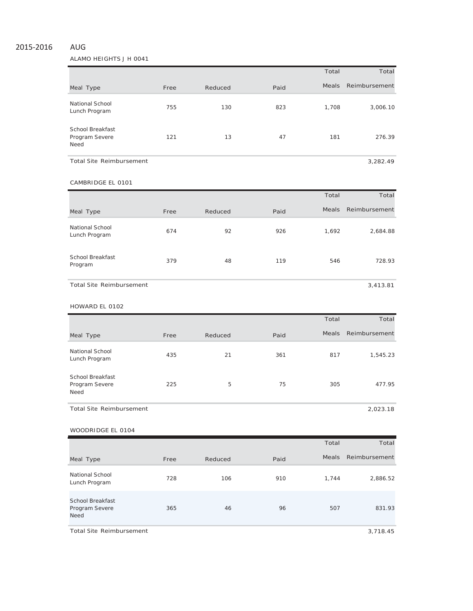## 2015‐2016 AUG

#### ALAMO HEIGHTS J H 0041

|                                            |      |         |      | Total        | Total         |
|--------------------------------------------|------|---------|------|--------------|---------------|
| Meal Type                                  | Free | Reduced | Paid | <b>Meals</b> | Reimbursement |
| National School<br>Lunch Program           | 755  | 130     | 823  | 1.708        | 3,006.10      |
| School Breakfast<br>Program Severe<br>Need | 121  | 13      | 47   | 181          | 276.39        |
| <b>Total Site Reimbursement</b>            |      |         |      |              | 3.282.49      |

### CAMBRIDGE EL <sup>0101</sup>

|                                    |      |         |      | Total        | Total         |
|------------------------------------|------|---------|------|--------------|---------------|
| Meal Type                          | Free | Reduced | Paid | <b>Meals</b> | Reimbursement |
| National School<br>Lunch Program   | 674  | 92      | 926  | 1,692        | 2,684.88      |
| <b>School Breakfast</b><br>Program | 379  | 48      | 119  | 546          | 728.93        |
| <b>Total Site Reimbursement</b>    |      |         |      |              | 3,413.81      |

#### HOWARD EL <sup>0102</sup>

|                                            |      |         |      | Total        | Total         |
|--------------------------------------------|------|---------|------|--------------|---------------|
| Meal Type                                  | Free | Reduced | Paid | <b>Meals</b> | Reimbursement |
| National School<br>Lunch Program           | 435  | 21      | 361  | 817          | 1,545.23      |
| School Breakfast<br>Program Severe<br>Need | 225  | 5       | 75   | 305          | 477.95        |
| <b>Total Site Reimbursement</b>            |      |         |      |              | 2,023.18      |

## WOODRIDGE EL <sup>0104</sup>

|                                                          |      |         |      | Total        | Total         |
|----------------------------------------------------------|------|---------|------|--------------|---------------|
| Meal Type                                                | Free | Reduced | Paid | <b>Meals</b> | Reimbursement |
| National School<br>Lunch Program                         | 728  | 106     | 910  | 1,744        | 2,886.52      |
| <b>School Breakfast</b><br>Program Severe<br><b>Need</b> | 365  | 46      | 96   | 507          | 831.93        |

Total Site Reimbursement 3,718.45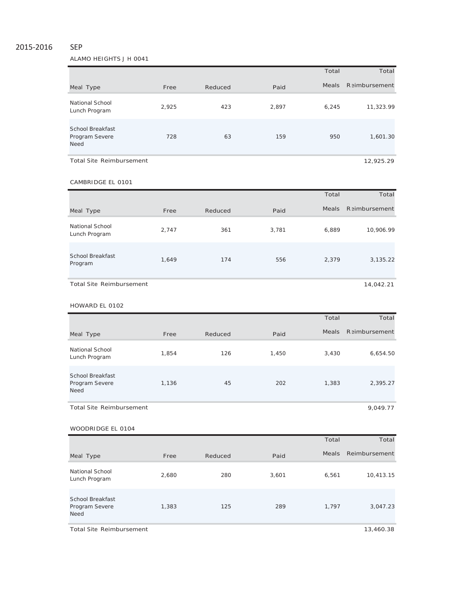### 2015‐2016 SEP

ALAMO HEIGHTS J H 0041

|                                                   |       |         |       | Total        | Total         |
|---------------------------------------------------|-------|---------|-------|--------------|---------------|
| Meal Type                                         | Free  | Reduced | Paid  | <b>Meals</b> | Reimbursement |
| National School<br>Lunch Program                  | 2,925 | 423     | 2,897 | 6,245        | 11,323.99     |
| School Breakfast<br>Program Severe<br><b>Need</b> | 728   | 63      | 159   | 950          | 1,601.30      |
| <b>Total Site Reimbursement</b>                   |       |         |       |              | 12,925.29     |

#### CAMBRIDGE EL <sup>0101</sup>

|                                    |       |         |       | Total        | Total                |
|------------------------------------|-------|---------|-------|--------------|----------------------|
| Meal Type                          | Free  | Reduced | Paid  | <b>Meals</b> | <b>Reimbursement</b> |
| National School<br>Lunch Program   | 2,747 | 361     | 3,781 | 6,889        | 10,906.99            |
| <b>School Breakfast</b><br>Program | 1,649 | 174     | 556   | 2,379        | 3,135.22             |
| <b>Total Site Reimbursement</b>    |       |         |       |              | 14,042.21            |

# HOWARD EL <sup>0102</sup>

|                                                   |       |         |       | Total | Total         |
|---------------------------------------------------|-------|---------|-------|-------|---------------|
| Meal Type                                         | Free  | Reduced | Paid  | Meals | Reimbursement |
| National School<br>Lunch Program                  | 1.854 | 126     | 1,450 | 3,430 | 6,654.50      |
| School Breakfast<br>Program Severe<br><b>Need</b> | 1,136 | 45      | 202   | 1,383 | 2,395.27      |
| Total Site Reimbursement                          |       |         |       |       | 9,049.77      |

1,383 125 289 1,797 3,047.23

# Total Total Meal Type The Free Reduced Paid Paid Meals Reimbursement National School Lunch Program 2,680 <sup>280</sup> 3,601 6,561 10,413.15 School Breakfast WOODRIDGE EL 0104

Total Site Reimbursement 13,460.38

Program Severe

**Need**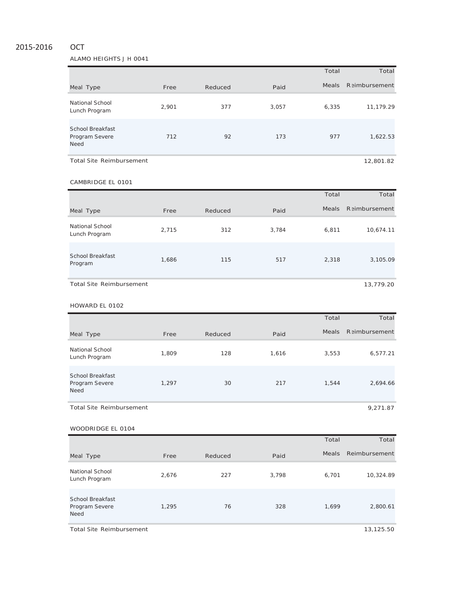## 2015‐2016 OCT

ALAMO HEIGHTS J H 0041

|                                                   |       |         |       | Total        | Total         |
|---------------------------------------------------|-------|---------|-------|--------------|---------------|
| Meal Type                                         | Free  | Reduced | Paid  | <b>Meals</b> | Reimbursement |
| National School<br>Lunch Program                  | 2,901 | 377     | 3,057 | 6,335        | 11,179.29     |
| School Breakfast<br>Program Severe<br><b>Need</b> | 712   | 92      | 173   | 977          | 1,622.53      |
| <b>Total Site Reimbursement</b>                   |       |         |       |              | 12,801.82     |

#### CAMBRIDGE EL <sup>0101</sup>

|                                  |       |         |       | Total        | Total         |
|----------------------------------|-------|---------|-------|--------------|---------------|
| Meal Type                        | Free  | Reduced | Paid  | <b>Meals</b> | Reimbursement |
| National School<br>Lunch Program | 2,715 | 312     | 3,784 | 6,811        | 10,674.11     |
| School Breakfast<br>Program      | 1,686 | 115     | 517   | 2,318        | 3,105.09      |
| <b>Total Site Reimbursement</b>  |       |         |       |              | 13,779.20     |

#### HOWARD EL <sup>0102</sup>

|                                                          |       |         |       | Total        | Total         |
|----------------------------------------------------------|-------|---------|-------|--------------|---------------|
| Meal Type                                                | Free  | Reduced | Paid  | <b>Meals</b> | Reimbursement |
| National School<br>Lunch Program                         | 1,809 | 128     | 1,616 | 3,553        | 6,577.21      |
| <b>School Breakfast</b><br>Program Severe<br><b>Need</b> | 1.297 | 30      | 217   | 1,544        | 2,694.66      |
| <b>Total Site Reimbursement</b>                          |       |         |       |              | 9,271.87      |

## Total Total Meal Type **Free** Reduced Paid Paid Meals Reimbursement National School Lunch Program 2,676 <sup>227</sup> 3,798 6,701 10,324.89 School Breakfast Program Severe Need 1,295 76 328 1,699 2,800.61 WOODRIDGE EL 0104

Total Site Reimbursement 13,125.50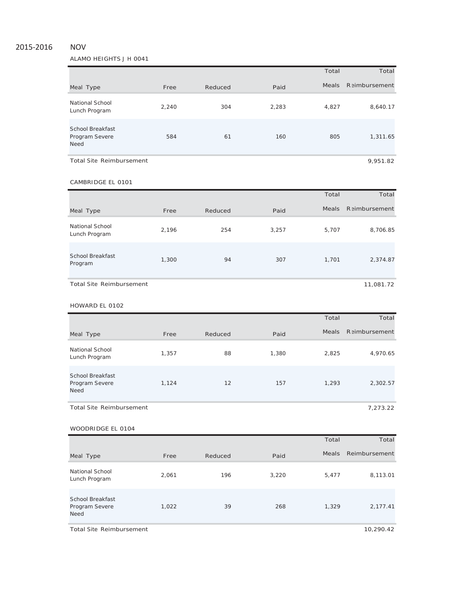## 2015‐2016 NOV

#### ALAMO HEIGHTS J H 0041

|                                                   |       |         |       | Total        | Total                |
|---------------------------------------------------|-------|---------|-------|--------------|----------------------|
| Meal Type                                         | Free  | Reduced | Paid  | <b>Meals</b> | <b>Reimbursement</b> |
| National School<br>Lunch Program                  | 2,240 | 304     | 2,283 | 4,827        | 8,640.17             |
| School Breakfast<br>Program Severe<br><b>Need</b> | 584   | 61      | 160   | 805          | 1,311.65             |
| <b>Total Site Reimbursement</b>                   |       |         |       |              | 9,951.82             |

#### CAMBRIDGE EL <sup>0101</sup>

|                                  |       |         |       | Total        | Total                |
|----------------------------------|-------|---------|-------|--------------|----------------------|
| Meal Type                        | Free  | Reduced | Paid  | <b>Meals</b> | <b>Reimbursement</b> |
| National School<br>Lunch Program | 2,196 | 254     | 3,257 | 5,707        | 8,706.85             |
| School Breakfast<br>Program      | 1,300 | 94      | 307   | 1,701        | 2,374.87             |
| <b>Total Site Reimbursement</b>  |       |         |       |              | 11,081.72            |

#### HOWARD EL <sup>0102</sup>

|                                                   |       |         |       | Total        | Total         |
|---------------------------------------------------|-------|---------|-------|--------------|---------------|
| Meal Type                                         | Free  | Reduced | Paid  | <b>Meals</b> | Reimbursement |
| National School<br>Lunch Program                  | 1,357 | 88      | 1,380 | 2,825        | 4,970.65      |
| School Breakfast<br>Program Severe<br><b>Need</b> | 1,124 | 12      | 157   | 1,293        | 2,302.57      |
| <b>Total Site Reimbursement</b>                   |       |         |       |              | 7,273.22      |

## WOODRIDGE EL 0104

|                                                          |       |         |       | Total | Total         |
|----------------------------------------------------------|-------|---------|-------|-------|---------------|
| Meal Type                                                | Free  | Reduced | Paid  | Meals | Reimbursement |
| National School<br>Lunch Program                         | 2,061 | 196     | 3,220 | 5,477 | 8,113.01      |
| <b>School Breakfast</b><br>Program Severe<br><b>Need</b> | 1,022 | 39      | 268   | 1,329 | 2,177.41      |

Total Site Reimbursement 10,290.42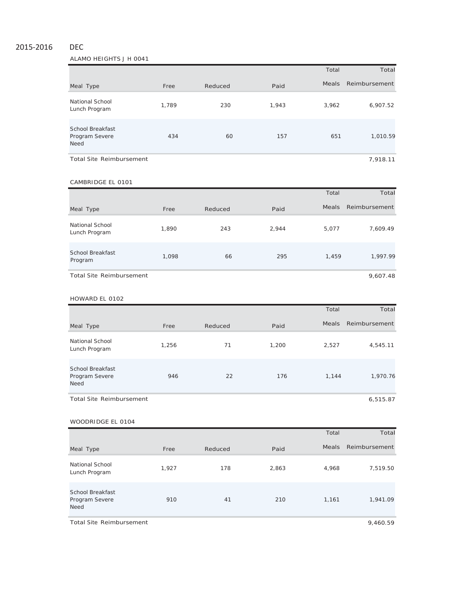## 2015‐2016 DEC

## ALAMO HEIGHTS J H 0041

|                                                          |       |         |       | Total        | Total         |
|----------------------------------------------------------|-------|---------|-------|--------------|---------------|
| Meal Type                                                | Free  | Reduced | Paid  | <b>Meals</b> | Reimbursement |
| National School<br>Lunch Program                         | 1.789 | 230     | 1,943 | 3,962        | 6,907.52      |
| <b>School Breakfast</b><br>Program Severe<br><b>Need</b> | 434   | 60      | 157   | 651          | 1,010.59      |
| <b>Total Site Reimbursement</b>                          |       |         |       |              | 7.918.11      |

#### CAMBRIDGE EL 0101

|                                  |       |         |       | Total        | Total         |
|----------------------------------|-------|---------|-------|--------------|---------------|
| Meal Type                        | Free  | Reduced | Paid  | <b>Meals</b> | Reimbursement |
| National School<br>Lunch Program | 1,890 | 243     | 2,944 | 5,077        | 7,609.49      |
| School Breakfast<br>Program      | 1,098 | 66      | 295   | 1,459        | 1,997.99      |
| <b>Total Site Reimbursement</b>  |       |         |       |              | 9,607.48      |

#### HOWARD EL 0102

|                                                          |       |         |       | Total        | Total         |
|----------------------------------------------------------|-------|---------|-------|--------------|---------------|
| Meal Type                                                | Free  | Reduced | Paid  | <b>Meals</b> | Reimbursement |
| National School<br>Lunch Program                         | 1,256 | 71      | 1,200 | 2,527        | 4,545.11      |
| <b>School Breakfast</b><br>Program Severe<br><b>Need</b> | 946   | 22      | 176   | 1,144        | 1,970.76      |
| Total Site Reimbursement                                 |       |         |       |              | 6,515.87      |

#### WOODRIDGE EL 0104

|                                                          |       |         |       | Total | Total         |
|----------------------------------------------------------|-------|---------|-------|-------|---------------|
| Meal Type                                                | Free  | Reduced | Paid  | Meals | Reimbursement |
| National School<br>Lunch Program                         | 1,927 | 178     | 2,863 | 4,968 | 7,519.50      |
| <b>School Breakfast</b><br>Program Severe<br><b>Need</b> | 910   | 41      | 210   | 1,161 | 1,941.09      |

Total Site Reimbursement 9,460.59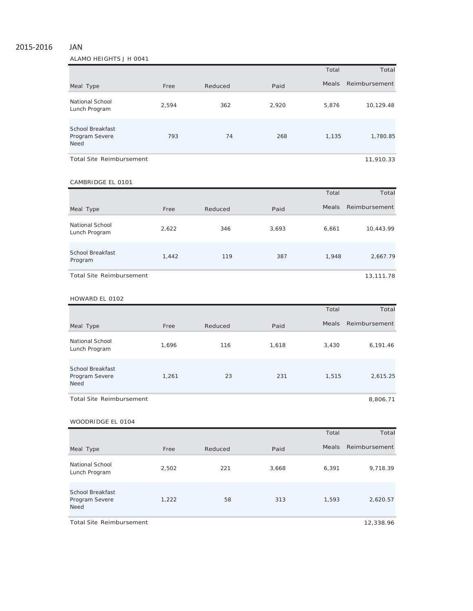## 2015‐2016 JAN

ALAMO HEIGHTS J H 0041

|                                                          |       |         |       | Total        | Total         |
|----------------------------------------------------------|-------|---------|-------|--------------|---------------|
| Meal Type                                                | Free  | Reduced | Paid  | <b>Meals</b> | Reimbursement |
| National School<br>Lunch Program                         | 2.594 | 362     | 2,920 | 5,876        | 10,129.48     |
| <b>School Breakfast</b><br>Program Severe<br><b>Need</b> | 793   | 74      | 268   | 1,135        | 1,780.85      |
| Total Site Reimbursement                                 |       |         |       |              | 11,910.33     |

#### CAMBRIDGE EL 0101

|                                  |       |         |       | Total        | Total         |
|----------------------------------|-------|---------|-------|--------------|---------------|
| Meal Type                        | Free  | Reduced | Paid  | <b>Meals</b> | Reimbursement |
| National School<br>Lunch Program | 2,622 | 346     | 3,693 | 6,661        | 10,443.99     |
| School Breakfast<br>Program      | 1,442 | 119     | 387   | 1,948        | 2,667.79      |
| Total Site Reimbursement         |       |         |       |              | 13,111.78     |

#### HOWARD EL 0102

|                                                          |       |         |       | Total        | Total         |
|----------------------------------------------------------|-------|---------|-------|--------------|---------------|
| Meal Type                                                | Free  | Reduced | Paid  | <b>Meals</b> | Reimbursement |
| National School<br>Lunch Program                         | 1,696 | 116     | 1,618 | 3,430        | 6,191.46      |
| <b>School Breakfast</b><br>Program Severe<br><b>Need</b> | 1,261 | 23      | 231   | 1,515        | 2,615.25      |
| <b>Total Site Reimbursement</b>                          |       |         |       |              | 8,806.71      |

#### WOODRIDGE EL 0104

|                                                          |       |         |       | Total | Total         |
|----------------------------------------------------------|-------|---------|-------|-------|---------------|
| Meal Type                                                | Free  | Reduced | Paid  | Meals | Reimbursement |
| National School<br>Lunch Program                         | 2,502 | 221     | 3,668 | 6,391 | 9,718.39      |
| <b>School Breakfast</b><br>Program Severe<br><b>Need</b> | 1,222 | 58      | 313   | 1,593 | 2,620.57      |

Total Site Reimbursement 12,338.96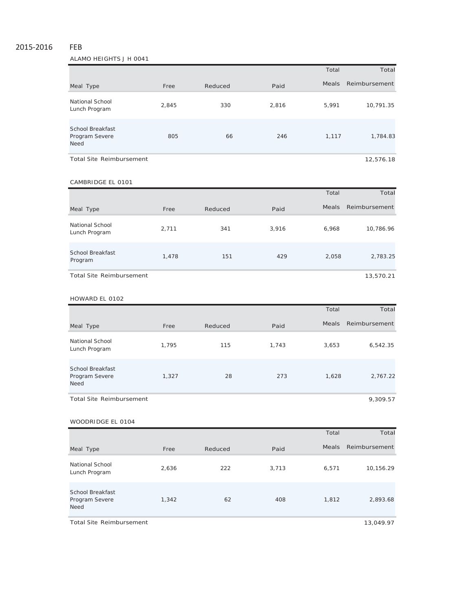## 2015‐2016 FEB

ALAMO HEIGHTS J H 0041

|                                                          |       |         |       | Total        | Total         |
|----------------------------------------------------------|-------|---------|-------|--------------|---------------|
| Meal Type                                                | Free  | Reduced | Paid  | <b>Meals</b> | Reimbursement |
| National School<br>Lunch Program                         | 2,845 | 330     | 2,816 | 5,991        | 10,791.35     |
| <b>School Breakfast</b><br>Program Severe<br><b>Need</b> | 805   | 66      | 246   | 1,117        | 1,784.83      |
| Total Site Reimbursement                                 |       |         |       |              | 12,576.18     |

## CAMBRIDGE EL 0101

|                                    |       |         |       | Total        | Total         |
|------------------------------------|-------|---------|-------|--------------|---------------|
| Meal Type                          | Free  | Reduced | Paid  | <b>Meals</b> | Reimbursement |
| National School<br>Lunch Program   | 2,711 | 341     | 3,916 | 6,968        | 10,786.96     |
| <b>School Breakfast</b><br>Program | 1,478 | 151     | 429   | 2,058        | 2,783.25      |
| <b>Total Site Reimbursement</b>    |       |         |       |              | 13,570.21     |

#### HOWARD EL 0102

|                                                          |       |         |       | Total        | Total         |
|----------------------------------------------------------|-------|---------|-------|--------------|---------------|
| Meal Type                                                | Free  | Reduced | Paid  | <b>Meals</b> | Reimbursement |
| National School<br>Lunch Program                         | 1.795 | 115     | 1,743 | 3,653        | 6,542.35      |
| <b>School Breakfast</b><br>Program Severe<br><b>Need</b> | 1,327 | 28      | 273   | 1,628        | 2,767.22      |
| <b>Total Site Reimbursement</b>                          |       |         |       |              | 9.309.57      |

#### WOODRIDGE EL 0104

|                                                          |       |         |       | Total | Total         |
|----------------------------------------------------------|-------|---------|-------|-------|---------------|
| Meal Type                                                | Free  | Reduced | Paid  | Meals | Reimbursement |
| National School<br>Lunch Program                         | 2,636 | 222     | 3,713 | 6,571 | 10,156.29     |
| <b>School Breakfast</b><br>Program Severe<br><b>Need</b> | 1,342 | 62      | 408   | 1,812 | 2,893.68      |

Total Site Reimbursement 13,049.97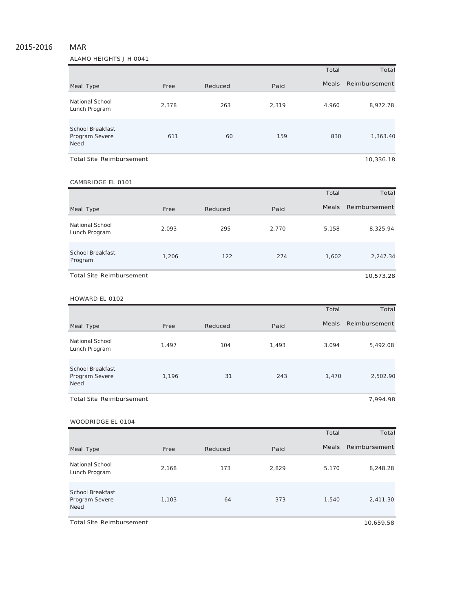# 2015‐2016 MAR

ALAMO HEIGHTS J H 0041

|                                                          |       |         |       | Total        | Total         |
|----------------------------------------------------------|-------|---------|-------|--------------|---------------|
| Meal Type                                                | Free  | Reduced | Paid  | <b>Meals</b> | Reimbursement |
| National School<br>Lunch Program                         | 2.378 | 263     | 2,319 | 4,960        | 8,972.78      |
| <b>School Breakfast</b><br>Program Severe<br><b>Need</b> | 611   | 60      | 159   | 830          | 1,363.40      |
| Total Site Reimbursement                                 |       |         |       |              | 10.336.18     |

CAMBRIDGE EL 0101

|                                  |       |         |       | Total        | Total         |
|----------------------------------|-------|---------|-------|--------------|---------------|
| Meal Type                        | Free  | Reduced | Paid  | <b>Meals</b> | Reimbursement |
| National School<br>Lunch Program | 2,093 | 295     | 2.770 | 5,158        | 8,325.94      |
| School Breakfast<br>Program      | 1,206 | 122     | 274   | 1,602        | 2,247.34      |
| <b>Total Site Reimbursement</b>  |       |         |       |              | 10,573.28     |

#### HOWARD EL 0102

|                                                          |       |         |       | Total        | Total         |
|----------------------------------------------------------|-------|---------|-------|--------------|---------------|
| Meal Type                                                | Free  | Reduced | Paid  | <b>Meals</b> | Reimbursement |
| National School<br>Lunch Program                         | 1,497 | 104     | 1,493 | 3,094        | 5,492.08      |
| <b>School Breakfast</b><br>Program Severe<br><b>Need</b> | 1,196 | 31      | 243   | 1.470        | 2,502.90      |
| <b>Total Site Reimbursement</b>                          |       |         |       |              | 7,994.98      |

#### WOODRIDGE EL 0104

|                                                          |       |         |       | Total | Total         |
|----------------------------------------------------------|-------|---------|-------|-------|---------------|
| Meal Type                                                | Free  | Reduced | Paid  | Meals | Reimbursement |
| National School<br>Lunch Program                         | 2,168 | 173     | 2,829 | 5,170 | 8,248.28      |
| <b>School Breakfast</b><br>Program Severe<br><b>Need</b> | 1,103 | 64      | 373   | 1,540 | 2,411.30      |

Total Site Reimbursement 10,659.58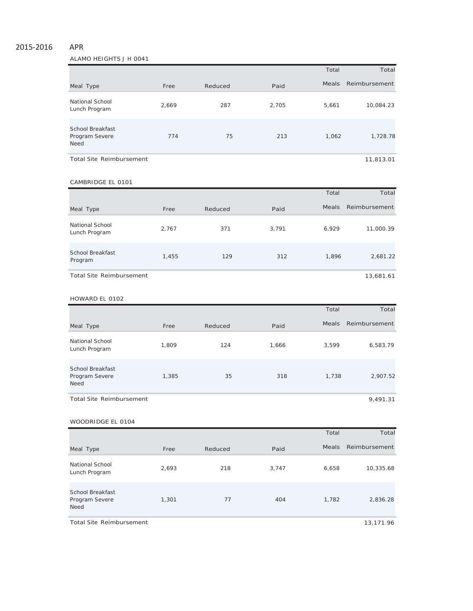# 2015‐2016 APR

ALAMO HEIGHTS J H 0041

|                                                          |       |         |       | Total        | Total         |
|----------------------------------------------------------|-------|---------|-------|--------------|---------------|
| Meal Type                                                | Free  | Reduced | Paid  | <b>Meals</b> | Reimbursement |
| National School<br>Lunch Program                         | 2,669 | 287     | 2,705 | 5,661        | 10,084.23     |
| <b>School Breakfast</b><br>Program Severe<br><b>Need</b> | 774   | 75      | 213   | 1,062        | 1,728.78      |
| Total Site Reimbursement                                 |       |         |       |              | 11,813.01     |

#### CAMBRIDGE EL 0101

|                                    |       |         |       | Total        | Total         |
|------------------------------------|-------|---------|-------|--------------|---------------|
| Meal Type                          | Free  | Reduced | Paid  | <b>Meals</b> | Reimbursement |
| National School<br>Lunch Program   | 2,767 | 371     | 3,791 | 6,929        | 11,000.39     |
| <b>School Breakfast</b><br>Program | 1,455 | 129     | 312   | 1,896        | 2,681.22      |
| <b>Total Site Reimbursement</b>    |       |         |       |              | 13,681.61     |

#### HOWARD EL 0102

|                                                          |       |         |       | Total        | Total         |
|----------------------------------------------------------|-------|---------|-------|--------------|---------------|
| Meal Type                                                | Free  | Reduced | Paid  | <b>Meals</b> | Reimbursement |
| National School<br>Lunch Program                         | 1,809 | 124     | 1,666 | 3,599        | 6,583.79      |
| <b>School Breakfast</b><br>Program Severe<br><b>Need</b> | 1,385 | 35      | 318   | 1.738        | 2,907.52      |
| <b>Total Site Reimbursement</b>                          |       |         |       |              | 9,491.31      |

#### WOODRIDGE EL 0104

|                                                          |       |         |       | Total | Total         |
|----------------------------------------------------------|-------|---------|-------|-------|---------------|
| Meal Type                                                | Free  | Reduced | Paid  | Meals | Reimbursement |
| National School<br>Lunch Program                         | 2,693 | 218     | 3,747 | 6,658 | 10,335.68     |
| <b>School Breakfast</b><br>Program Severe<br><b>Need</b> | 1,301 | 77      | 404   | 1,782 | 2,836.28      |

Total Site Reimbursement 13,171.96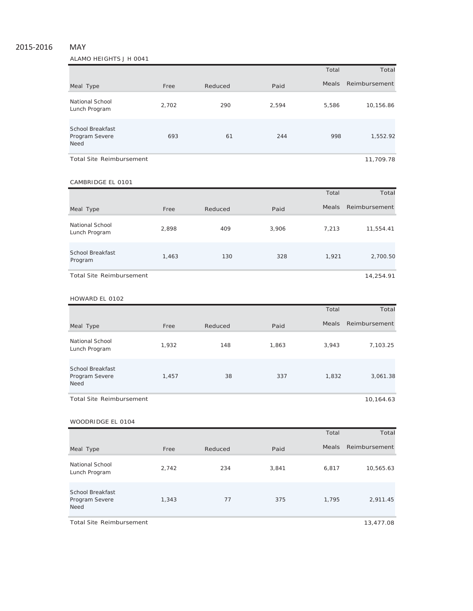# 2015‐2016 MAY

## ALAMO HEIGHTS J H 0041

|                                                          |       |         |       | Total        | Total         |
|----------------------------------------------------------|-------|---------|-------|--------------|---------------|
| Meal Type                                                | Free  | Reduced | Paid  | <b>Meals</b> | Reimbursement |
| National School<br>Lunch Program                         | 2,702 | 290     | 2,594 | 5,586        | 10,156.86     |
| <b>School Breakfast</b><br>Program Severe<br><b>Need</b> | 693   | 61      | 244   | 998          | 1,552.92      |
| <b>Total Site Reimbursement</b>                          |       |         |       |              | 11,709.78     |

#### CAMBRIDGE EL 0101

|                                  |       |         |       | Total        | Total         |
|----------------------------------|-------|---------|-------|--------------|---------------|
| Meal Type                        | Free  | Reduced | Paid  | <b>Meals</b> | Reimbursement |
| National School<br>Lunch Program | 2,898 | 409     | 3,906 | 7,213        | 11,554.41     |
| School Breakfast<br>Program      | 1,463 | 130     | 328   | 1,921        | 2,700.50      |
| Total Site Reimbursement         |       |         |       |              | 14,254.91     |

#### HOWARD EL 0102

|                                                   |       |         |       | Total        | Total         |
|---------------------------------------------------|-------|---------|-------|--------------|---------------|
| Meal Type                                         | Free  | Reduced | Paid  | <b>Meals</b> | Reimbursement |
| National School<br>Lunch Program                  | 1,932 | 148     | 1,863 | 3,943        | 7,103.25      |
| School Breakfast<br>Program Severe<br><b>Need</b> | 1,457 | 38      | 337   | 1,832        | 3,061.38      |
| <b>Total Site Reimbursement</b>                   |       |         |       |              | 10,164.63     |

#### WOODRIDGE EL 0104

|                                                          |       |         |       | Total | Total         |
|----------------------------------------------------------|-------|---------|-------|-------|---------------|
| Meal Type                                                | Free  | Reduced | Paid  | Meals | Reimbursement |
| National School<br>Lunch Program                         | 2,742 | 234     | 3,841 | 6,817 | 10,565.63     |
| <b>School Breakfast</b><br>Program Severe<br><b>Need</b> | 1,343 | 77      | 375   | 1,795 | 2,911.45      |

Total Site Reimbursement 13,477.08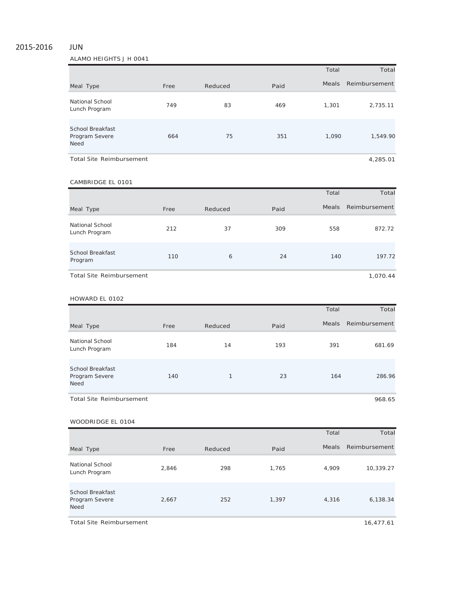## 2015‐2016 JUN

ALAMO HEIGHTS J H 0041

|                                                          |      |         |      | Total        | Total         |
|----------------------------------------------------------|------|---------|------|--------------|---------------|
| Meal Type                                                | Free | Reduced | Paid | <b>Meals</b> | Reimbursement |
| National School<br>Lunch Program                         | 749  | 83      | 469  | 1,301        | 2,735.11      |
| <b>School Breakfast</b><br>Program Severe<br><b>Need</b> | 664  | 75      | 351  | 1.090        | 1,549.90      |
| <b>Total Site Reimbursement</b>                          |      |         |      |              | 4,285.01      |

#### CAMBRIDGE EL 0101

|                                  |      |         |      | Total | Total         |
|----------------------------------|------|---------|------|-------|---------------|
| Meal Type                        | Free | Reduced | Paid | Meals | Reimbursement |
| National School<br>Lunch Program | 212  | 37      | 309  | 558   | 872.72        |
| School Breakfast<br>Program      | 110  | 6       | 24   | 140   | 197.72        |
| <b>Total Site Reimbursement</b>  |      |         |      |       | 1,070.44      |

#### HOWARD EL 0102

|                                                          |      |              |      | Total        | Total         |
|----------------------------------------------------------|------|--------------|------|--------------|---------------|
| Meal Type                                                | Free | Reduced      | Paid | <b>Meals</b> | Reimbursement |
| National School<br>Lunch Program                         | 184  | 14           | 193  | 391          | 681.69        |
| <b>School Breakfast</b><br>Program Severe<br><b>Need</b> | 140  | $\mathbf{1}$ | 23   | 164          | 286.96        |
| <b>Total Site Reimbursement</b>                          |      |              |      |              | 968.65        |

#### WOODRIDGE EL 0104

|                                                          |       |         |       | Total | Total         |
|----------------------------------------------------------|-------|---------|-------|-------|---------------|
| Meal Type                                                | Free  | Reduced | Paid  | Meals | Reimbursement |
| National School<br>Lunch Program                         | 2,846 | 298     | 1,765 | 4,909 | 10,339.27     |
| <b>School Breakfast</b><br>Program Severe<br><b>Need</b> | 2,667 | 252     | 1,397 | 4,316 | 6,138.34      |

Total Site Reimbursement 16,477.61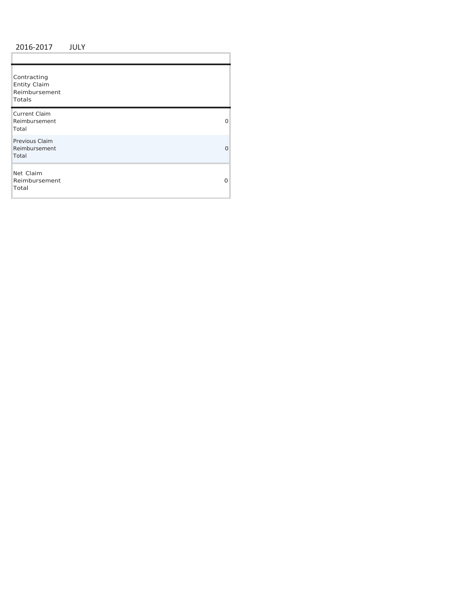## 2016 ‐2017 JULY

ï

| Contracting<br><b>Entity Claim</b><br>Reimbursement<br>Totals |   |
|---------------------------------------------------------------|---|
| <b>Current Claim</b><br>Reimbursement<br>Total                | 0 |
| Previous Claim<br>Reimbursement<br>Total                      | Ω |
| Net Claim<br>Reimbursement<br>Total                           | O |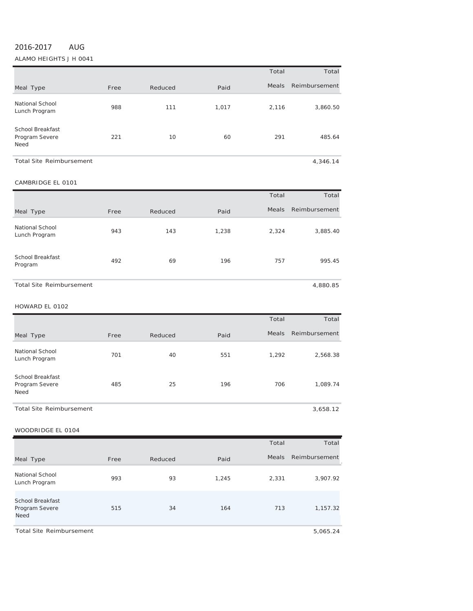# 2016‐2017 AUG

## ALAMO HEIGHTS J H 0041

|                                            |      |         |       | Total | Total         |
|--------------------------------------------|------|---------|-------|-------|---------------|
| Meal Type                                  | Free | Reduced | Paid  | Meals | Reimbursement |
| National School<br>Lunch Program           | 988  | 111     | 1,017 | 2,116 | 3,860.50      |
| School Breakfast<br>Program Severe<br>Need | 221  | 10      | 60    | 291   | 485.64        |
| <b>Total Site Reimbursement</b>            |      |         |       |       | 4.346.14      |

## CAMBRIDGE EL <sup>0101</sup>

|                                  |      |         |       | Total        | Total         |
|----------------------------------|------|---------|-------|--------------|---------------|
| Meal Type                        | Free | Reduced | Paid  | <b>Meals</b> | Reimbursement |
| National School<br>Lunch Program | 943  | 143     | 1,238 | 2,324        | 3,885.40      |
| School Breakfast<br>Program      | 492  | 69      | 196   | 757          | 995.45        |
| <b>Total Site Reimbursement</b>  |      |         |       |              | 4,880.85      |

#### HOWARD EL <sup>0102</sup>

|                                            |      |         |      | Total        | Total         |
|--------------------------------------------|------|---------|------|--------------|---------------|
| Meal Type                                  | Free | Reduced | Paid | <b>Meals</b> | Reimbursement |
| <b>National School</b><br>Lunch Program    | 701  | 40      | 551  | 1,292        | 2,568.38      |
| School Breakfast<br>Program Severe<br>Need | 485  | 25      | 196  | 706          | 1,089.74      |
| <b>Total Site Reimbursement</b>            |      |         |      |              | 3,658.12      |

#### WOODRIDGE EL <sup>0104</sup>

|                                                   |      |         |       | Total | Total         |
|---------------------------------------------------|------|---------|-------|-------|---------------|
| Meal Type                                         | Free | Reduced | Paid  | Meals | Reimbursement |
| <b>National School</b><br>Lunch Program           | 993  | 93      | 1,245 | 2,331 | 3,907.92      |
| <b>School Breakfast</b><br>Program Severe<br>Need | 515  | 34      | 164   | 713   | 1,157.32      |

Total Site Reimbursement 5,065.24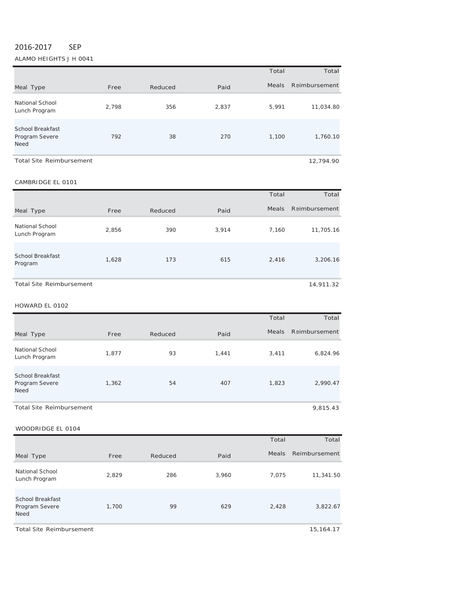## 2016‐2017 SEP

ALAMO HEIGHTS J H 0041

|                                                   |       |         |       | Total        | Total         |
|---------------------------------------------------|-------|---------|-------|--------------|---------------|
| Meal Type                                         | Free  | Reduced | Paid  | <b>Meals</b> | Reimbursement |
| National School<br>Lunch Program                  | 2.798 | 356     | 2,837 | 5,991        | 11,034.80     |
| School Breakfast<br>Program Severe<br><b>Need</b> | 792   | 38      | 270   | 1.100        | 1,760.10      |
| <b>Total Site Reimbursement</b>                   |       |         |       |              | 12,794.90     |

## CAMBRIDGE EL <sup>0101</sup>

|                                    |       |         |       | Total | Total         |
|------------------------------------|-------|---------|-------|-------|---------------|
| Meal Type                          | Free  | Reduced | Paid  | Meals | Reimbursement |
| National School<br>Lunch Program   | 2,856 | 390     | 3,914 | 7.160 | 11,705.16     |
| <b>School Breakfast</b><br>Program | 1,628 | 173     | 615   | 2,416 | 3,206.16      |
| <b>Total Site Reimbursement</b>    |       |         |       |       | 14,911.32     |

HOWARD EL <sup>0102</sup>

|                                                          |       |         |       | Total        | Total         |
|----------------------------------------------------------|-------|---------|-------|--------------|---------------|
| Meal Type                                                | Free  | Reduced | Paid  | <b>Meals</b> | Reimbursement |
| National School<br>Lunch Program                         | 1,877 | 93      | 1,441 | 3,411        | 6,824.96      |
| <b>School Breakfast</b><br>Program Severe<br><b>Need</b> | 1,362 | 54      | 407   | 1,823        | 2,990.47      |

## WOODRIDGE EL 0104

|                                                          |       |         |       | Total        | Total         |
|----------------------------------------------------------|-------|---------|-------|--------------|---------------|
| Meal Type                                                | Free  | Reduced | Paid  | <b>Meals</b> | Reimbursement |
| National School<br>Lunch Program                         | 2,829 | 286     | 3,960 | 7,075        | 11,341.50     |
| <b>School Breakfast</b><br>Program Severe<br><b>Need</b> | 1,700 | 99      | 629   | 2,428        | 3,822.67      |

Total Site Reimbursement 15,164.17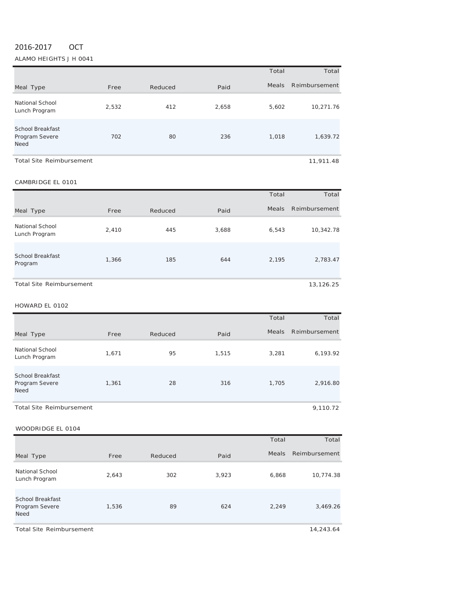# 2016‐2017 OCT

ALAMO HEIGHTS J H 0041

|                                                          |       |         |       | Total | Total         |
|----------------------------------------------------------|-------|---------|-------|-------|---------------|
| Meal Type                                                | Free  | Reduced | Paid  | Meals | Reimbursement |
| National School<br>Lunch Program                         | 2,532 | 412     | 2,658 | 5,602 | 10,271.76     |
| <b>School Breakfast</b><br>Program Severe<br><b>Need</b> | 702   | 80      | 236   | 1,018 | 1,639.72      |
| Total Site Reimbursement                                 |       |         |       |       | 11,911.48     |

CAMBRIDGE EL <sup>0101</sup>

# Meal Type **Free** Reduced Paid Total Meals R eimbursement Total National School Lunch Program 2,410 <sup>445</sup> 3,688 6,543 10,342.78 School Breakfast Program 1,366 <sup>185</sup> <sup>644</sup> 2,195 2,783.47 Total Site Reimbursement **13,126.25**

## HOWARD EL <sup>0102</sup>

|                                                          |       |         |       | Total | Total         |
|----------------------------------------------------------|-------|---------|-------|-------|---------------|
| Meal Type                                                | Free  | Reduced | Paid  | Meals | Reimbursement |
| <b>National School</b><br>Lunch Program                  | 1,671 | 95      | 1,515 | 3,281 | 6,193.92      |
| <b>School Breakfast</b><br>Program Severe<br><b>Need</b> | 1,361 | 28      | 316   | 1.705 | 2,916.80      |
| <b>Total Site Reimbursement</b>                          |       |         |       |       | 9,110.72      |

WOODRIDGE EL 0104

|                                                          |       |         |       | Total        | Total         |
|----------------------------------------------------------|-------|---------|-------|--------------|---------------|
| Meal Type                                                | Free  | Reduced | Paid  | <b>Meals</b> | Reimbursement |
| National School<br>Lunch Program                         | 2,643 | 302     | 3,923 | 6,868        | 10,774.38     |
| <b>School Breakfast</b><br>Program Severe<br><b>Need</b> | 1,536 | 89      | 624   | 2,249        | 3,469.26      |

Total Site Reimbursement 14,243.64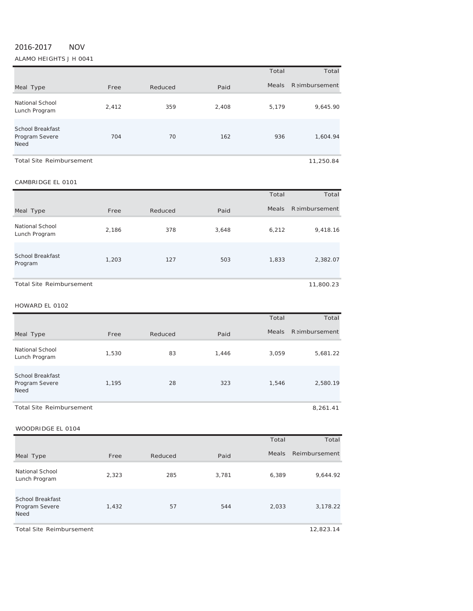# 2016‐2017 NOV

ALAMO HEIGHTS J H 0041

|                                                   |       |         |       | Total        | Total                |
|---------------------------------------------------|-------|---------|-------|--------------|----------------------|
| Meal Type                                         | Free  | Reduced | Paid  | <b>Meals</b> | <b>Raimbursement</b> |
| National School<br>Lunch Program                  | 2,412 | 359     | 2,408 | 5,179        | 9,645.90             |
| School Breakfast<br>Program Severe<br><b>Need</b> | 704   | 70      | 162   | 936          | 1,604.94             |
| <b>Total Site Reimbursement</b>                   |       |         |       |              | 11,250.84            |

CAMBRIDGE EL <sup>0101</sup>

# Meal Type **Free** Reduced Paid Total Meals R eimbursement Total National School Lunch Program 2,186 <sup>378</sup> 3,648 6,212 9,418.16 School Breakfast Program 1,203 <sup>127</sup> <sup>503</sup> 1,833 2,382.07

Total Site Reimbursement 11,800.23

## HOWARD EL <sup>0102</sup>

|                                                          |       |         |       | Total | Total                 |
|----------------------------------------------------------|-------|---------|-------|-------|-----------------------|
| Meal Type                                                | Free  | Reduced | Paid  | Meals | <b>R</b> simbursement |
| <b>National School</b><br>Lunch Program                  | 1,530 | 83      | 1,446 | 3,059 | 5,681.22              |
| <b>School Breakfast</b><br>Program Severe<br><b>Need</b> | 1,195 | 28      | 323   | 1,546 | 2,580.19              |
| <b>Total Site Reimbursement</b>                          |       |         |       |       | 8,261.41              |

WOODRIDGE EL 0104

|                                                   |       |         |       | Total        | Total         |
|---------------------------------------------------|-------|---------|-------|--------------|---------------|
| Meal Type                                         | Free  | Reduced | Paid  | <b>Meals</b> | Reimbursement |
| National School<br>Lunch Program                  | 2,323 | 285     | 3,781 | 6,389        | 9,644.92      |
| <b>School Breakfast</b><br>Program Severe<br>Need | 1,432 | 57      | 544   | 2,033        | 3,178.22      |

Total Site Reimbursement 12,823.14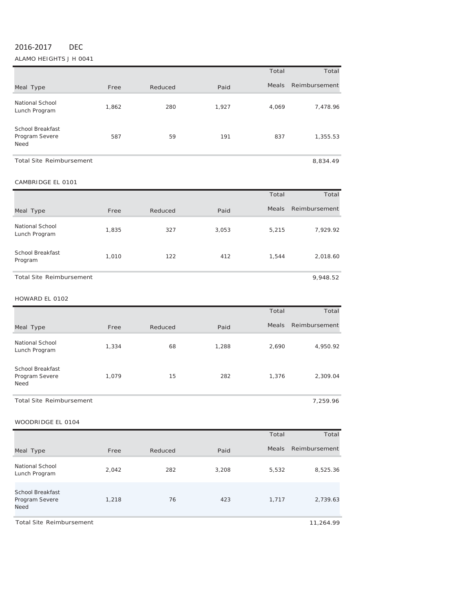# 2016‐2017 DEC

#### ALAMO HEIGHTS J H 0041

|                                                   |       |         |       | Total        | Total         |
|---------------------------------------------------|-------|---------|-------|--------------|---------------|
| Meal Type                                         | Free  | Reduced | Paid  | <b>Meals</b> | Reimbursement |
| <b>National School</b><br>Lunch Program           | 1,862 | 280     | 1,927 | 4,069        | 7,478.96      |
| <b>School Breakfast</b><br>Program Severe<br>Need | 587   | 59      | 191   | 837          | 1,355.53      |
| <b>Total Site Reimbursement</b>                   |       |         |       |              | 8,834.49      |

#### CAMBRIDGE EL <sup>0101</sup>

|                                  |       |         |       | Total        | Total         |
|----------------------------------|-------|---------|-------|--------------|---------------|
| Meal Type                        | Free  | Reduced | Paid  | <b>Meals</b> | Reimbursement |
| National School<br>Lunch Program | 1,835 | 327     | 3,053 | 5,215        | 7,929.92      |
| School Breakfast<br>Program      | 1,010 | 122     | 412   | 1,544        | 2,018.60      |
| <b>Total Site Reimbursement</b>  |       |         |       |              | 9,948.52      |

HOWARD EL <sup>0102</sup>

|                                                   |       |         |       | Total        | Total         |
|---------------------------------------------------|-------|---------|-------|--------------|---------------|
| Meal Type                                         | Free  | Reduced | Paid  | <b>Meals</b> | Reimbursement |
| National School<br>Lunch Program                  | 1,334 | 68      | 1,288 | 2,690        | 4,950.92      |
| <b>School Breakfast</b><br>Program Severe<br>Need | 1,079 | 15      | 282   | 1,376        | 2,309.04      |

Total Site Reimbursement **The Internal Site Reimbursement 7,259.96** 

|                                                          |       |         |       | Total        | Total         |
|----------------------------------------------------------|-------|---------|-------|--------------|---------------|
| Meal Type                                                | Free  | Reduced | Paid  | <b>Meals</b> | Reimbursement |
| National School<br>Lunch Program                         | 2,042 | 282     | 3,208 | 5,532        | 8,525.36      |
| <b>School Breakfast</b><br>Program Severe<br><b>Need</b> | 1,218 | 76      | 423   | 1,717        | 2,739.63      |
| <b>Total Site Reimbursement</b>                          |       |         |       |              | 11,264.99     |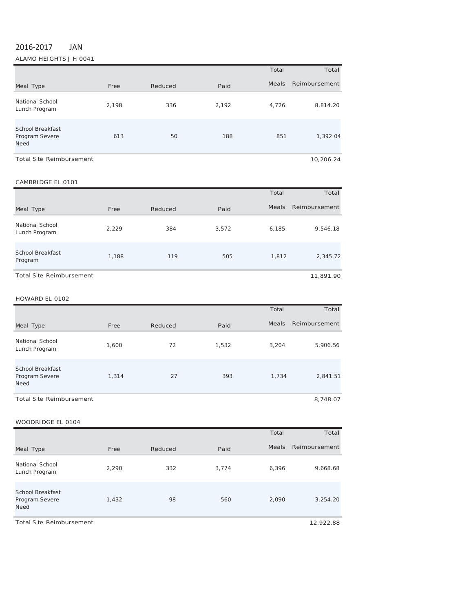# 2016‐2017 JAN

ALAMO HEIGHTS J H 0041

|                                                   |       |         |       | Total | Total         |
|---------------------------------------------------|-------|---------|-------|-------|---------------|
| Meal Type                                         | Free  | Reduced | Paid  | Meals | Reimbursement |
| National School<br>Lunch Program                  | 2,198 | 336     | 2,192 | 4,726 | 8,814.20      |
| <b>School Breakfast</b><br>Program Severe<br>Need | 613   | 50      | 188   | 851   | 1,392.04      |
| <b>Total Site Reimbursement</b>                   |       |         |       |       | 10.206.24     |

#### CAMBRIDGE EL 0101

|                                    |       |         |       | Total        | Total         |
|------------------------------------|-------|---------|-------|--------------|---------------|
| Meal Type                          | Free  | Reduced | Paid  | <b>Meals</b> | Reimbursement |
| National School<br>Lunch Program   | 2,229 | 384     | 3,572 | 6,185        | 9,546.18      |
| <b>School Breakfast</b><br>Program | 1,188 | 119     | 505   | 1,812        | 2,345.72      |
| Total Site Reimbursement           |       |         |       |              | 11,891.90     |

#### HOWARD EL 0102

|                                                   |       |         |       | Total        | Total         |
|---------------------------------------------------|-------|---------|-------|--------------|---------------|
| Meal Type                                         | Free  | Reduced | Paid  | <b>Meals</b> | Reimbursement |
| <b>National School</b><br>Lunch Program           | 1,600 | 72      | 1,532 | 3,204        | 5,906.56      |
| <b>School Breakfast</b><br>Program Severe<br>Need | 1,314 | 27      | 393   | 1,734        | 2,841.51      |
| <b>Total Site Reimbursement</b>                   |       |         |       |              | 8,748.07      |

| WUUDRIDGE EL 0104                                 |       |         |       |       |               |
|---------------------------------------------------|-------|---------|-------|-------|---------------|
|                                                   |       |         |       | Total | Total         |
| Meal Type                                         | Free  | Reduced | Paid  | Meals | Reimbursement |
| National School<br>Lunch Program                  | 2,290 | 332     | 3,774 | 6,396 | 9,668.68      |
| <b>School Breakfast</b><br>Program Severe<br>Need | 1,432 | 98      | 560   | 2,090 | 3,254.20      |
| <b>Total Site Reimbursement</b>                   |       |         |       |       | 12,922.88     |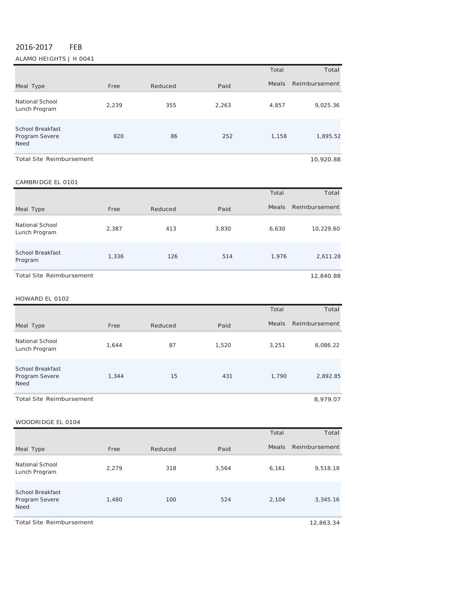# 2016‐2017 FEB

ALAMO HEIGHTS J H 0041

|                                                   |       |         |       | Total | Total         |
|---------------------------------------------------|-------|---------|-------|-------|---------------|
| Meal Type                                         | Free  | Reduced | Paid  | Meals | Reimbursement |
| National School<br>Lunch Program                  | 2,239 | 355     | 2,263 | 4,857 | 9,025.36      |
| <b>School Breakfast</b><br>Program Severe<br>Need | 820   | 86      | 252   | 1,158 | 1,895.52      |
| <b>Total Site Reimbursement</b>                   |       |         |       |       | 10,920.88     |

## CAMBRIDGE EL 0101

|                                    |       |         |       | Total        | Total         |
|------------------------------------|-------|---------|-------|--------------|---------------|
| Meal Type                          | Free  | Reduced | Paid  | <b>Meals</b> | Reimbursement |
| National School<br>Lunch Program   | 2,387 | 413     | 3,830 | 6,630        | 10,229.60     |
| <b>School Breakfast</b><br>Program | 1,336 | 126     | 514   | 1,976        | 2,611.28      |
| <b>Total Site Reimbursement</b>    |       |         |       |              | 12,840.88     |

#### HOWARD EL 0102

|                                                   |       |         |       | Total        | Total         |
|---------------------------------------------------|-------|---------|-------|--------------|---------------|
| Meal Type                                         | Free  | Reduced | Paid  | <b>Meals</b> | Reimbursement |
| National School<br>Lunch Program                  | 1.644 | 87      | 1,520 | 3,251        | 6,086.22      |
| <b>School Breakfast</b><br>Program Severe<br>Need | 1,344 | 15      | 431   | 1,790        | 2,892.85      |
| Total Site Reimbursement                          |       |         |       |              | 8,979.07      |

| WOODRIDGE EL 0104                                 |       |         |       |              |               |
|---------------------------------------------------|-------|---------|-------|--------------|---------------|
|                                                   |       |         |       | Total        | Total         |
| Meal Type                                         | Free  | Reduced | Paid  | <b>Meals</b> | Reimbursement |
| <b>National School</b><br>Lunch Program           | 2,279 | 318     | 3,564 | 6,161        | 9,518.18      |
| <b>School Breakfast</b><br>Program Severe<br>Need | 1,480 | 100     | 524   | 2,104        | 3,345.16      |
| <b>Total Site Reimbursement</b>                   |       |         |       |              | 12,863.34     |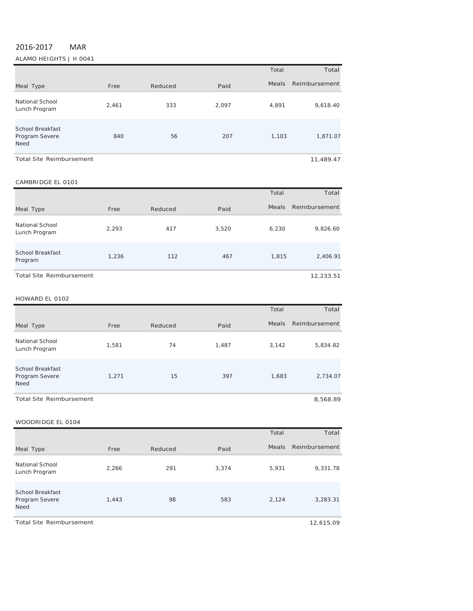# 2016‐2017 MAR

ALAMO HEIGHTS J H 0041

|                                                          |       |         |       | Total        | Total         |
|----------------------------------------------------------|-------|---------|-------|--------------|---------------|
| Meal Type                                                | Free  | Reduced | Paid  | <b>Meals</b> | Reimbursement |
| National School<br>Lunch Program                         | 2,461 | 333     | 2,097 | 4,891        | 9,618.40      |
| <b>School Breakfast</b><br>Program Severe<br><b>Need</b> | 840   | 56      | 207   | 1,103        | 1,871.07      |
| <b>Total Site Reimbursement</b>                          |       |         |       |              | 11,489.47     |

#### CAMBRIDGE EL 0101

|                                    |       |         |       | Total        | Total         |
|------------------------------------|-------|---------|-------|--------------|---------------|
| Meal Type                          | Free  | Reduced | Paid  | <b>Meals</b> | Reimbursement |
| National School<br>Lunch Program   | 2,293 | 417     | 3,520 | 6,230        | 9,826.60      |
| <b>School Breakfast</b><br>Program | 1,236 | 112     | 467   | 1,815        | 2,406.91      |
| Total Site Reimbursement           |       |         |       |              | 12,233.51     |

#### HOWARD EL 0102

|                                                   |       |         |       | Total        | Total         |
|---------------------------------------------------|-------|---------|-------|--------------|---------------|
| Meal Type                                         | Free  | Reduced | Paid  | <b>Meals</b> | Reimbursement |
| National School<br>Lunch Program                  | 1,581 | 74      | 1,487 | 3,142        | 5,834.82      |
| <b>School Breakfast</b><br>Program Severe<br>Need | 1,271 | 15      | 397   | 1,683        | 2,734.07      |
| <b>Total Site Reimbursement</b>                   |       |         |       |              | 8,568.89      |

| WUUDKIDGE EL 0104                                        |       |         |       |              |               |
|----------------------------------------------------------|-------|---------|-------|--------------|---------------|
|                                                          |       |         |       | Total        | Total         |
| Meal Type                                                | Free  | Reduced | Paid  | <b>Meals</b> | Reimbursement |
| National School<br>Lunch Program                         | 2,266 | 291     | 3,374 | 5,931        | 9,331.78      |
| <b>School Breakfast</b><br>Program Severe<br><b>Need</b> | 1,443 | 98      | 583   | 2,124        | 3,283.31      |
| <b>Total Site Reimbursement</b>                          |       |         |       |              | 12,615.09     |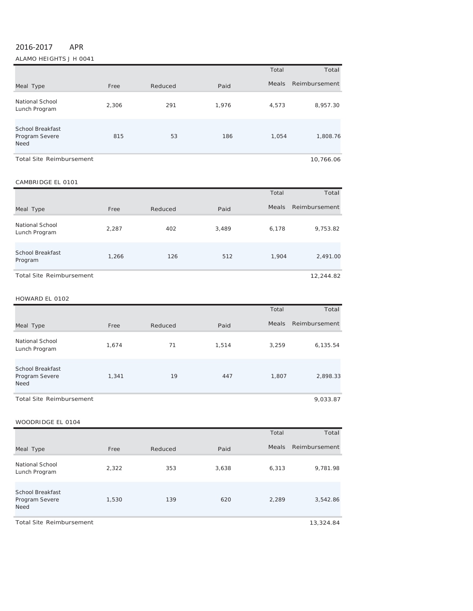# 2016‐2017 APR

ALAMO HEIGHTS J H 0041

|                                                   |       |         |       | Total | Total         |
|---------------------------------------------------|-------|---------|-------|-------|---------------|
| Meal Type                                         | Free  | Reduced | Paid  | Meals | Reimbursement |
| National School<br>Lunch Program                  | 2,306 | 291     | 1.976 | 4,573 | 8,957.30      |
| <b>School Breakfast</b><br>Program Severe<br>Need | 815   | 53      | 186   | 1,054 | 1,808.76      |
| <b>Total Site Reimbursement</b>                   |       |         |       |       | 10,766.06     |

#### CAMBRIDGE EL 0101

|                                    |       |         |       | Total        | Total         |
|------------------------------------|-------|---------|-------|--------------|---------------|
| Meal Type                          | Free  | Reduced | Paid  | <b>Meals</b> | Reimbursement |
| National School<br>Lunch Program   | 2,287 | 402     | 3,489 | 6,178        | 9,753.82      |
| <b>School Breakfast</b><br>Program | 1,266 | 126     | 512   | 1,904        | 2,491.00      |
| <b>Total Site Reimbursement</b>    |       |         |       |              | 12,244.82     |

#### HOWARD EL 0102

|                                                          |       |         |       | Total | Total         |
|----------------------------------------------------------|-------|---------|-------|-------|---------------|
| Meal Type                                                | Free  | Reduced | Paid  | Meals | Reimbursement |
| National School<br>Lunch Program                         | 1.674 | 71      | 1.514 | 3,259 | 6,135.54      |
| <b>School Breakfast</b><br>Program Severe<br><b>Need</b> | 1,341 | 19      | 447   | 1,807 | 2,898.33      |
| <b>Total Site Reimbursement</b>                          |       |         |       |       | 9.033.87      |

| WOODRIDGE EL 0104                                 |       |         |       |              |               |
|---------------------------------------------------|-------|---------|-------|--------------|---------------|
|                                                   |       |         |       | Total        | Total         |
| Meal Type                                         | Free  | Reduced | Paid  | <b>Meals</b> | Reimbursement |
| <b>National School</b><br>Lunch Program           | 2,322 | 353     | 3,638 | 6,313        | 9,781.98      |
| <b>School Breakfast</b><br>Program Severe<br>Need | 1,530 | 139     | 620   | 2,289        | 3,542.86      |
| <b>Total Site Reimbursement</b>                   |       |         |       |              | 13,324.84     |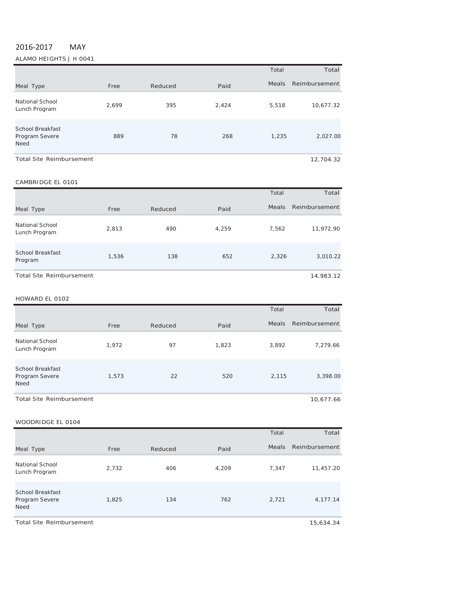# 2016‐2017 MAY

ALAMO HEIGHTS J H 0041

|                                                          |       |         |       | Total        | Total         |
|----------------------------------------------------------|-------|---------|-------|--------------|---------------|
| Meal Type                                                | Free  | Reduced | Paid  | <b>Meals</b> | Reimbursement |
| National School<br>Lunch Program                         | 2,699 | 395     | 2,424 | 5,518        | 10,677.32     |
| <b>School Breakfast</b><br>Program Severe<br><b>Need</b> | 889   | 78      | 268   | 1,235        | 2,027.00      |
| <b>Total Site Reimbursement</b>                          |       |         |       |              | 12.704.32     |

#### CAMBRIDGE EL 0101

|                                    |       |         |       | Total        | Total         |
|------------------------------------|-------|---------|-------|--------------|---------------|
| Meal Type                          | Free  | Reduced | Paid  | <b>Meals</b> | Reimbursement |
| National School<br>Lunch Program   | 2,813 | 490     | 4,259 | 7,562        | 11,972.90     |
| <b>School Breakfast</b><br>Program | 1,536 | 138     | 652   | 2,326        | 3,010.22      |
| <b>Total Site Reimbursement</b>    |       |         |       |              | 14,983.12     |

#### HOWARD EL 0102

|                                                   |       |         |       | Total        | Total         |
|---------------------------------------------------|-------|---------|-------|--------------|---------------|
| Meal Type                                         | Free  | Reduced | Paid  | <b>Meals</b> | Reimbursement |
| <b>National School</b><br>Lunch Program           | 1,972 | 97      | 1,823 | 3,892        | 7,279.66      |
| <b>School Breakfast</b><br>Program Severe<br>Need | 1,573 | 22      | 520   | 2,115        | 3,398.00      |
| <b>Total Site Reimbursement</b>                   |       |         |       |              | 10,677.66     |

|                                            |       |         |       | Total | Total         |
|--------------------------------------------|-------|---------|-------|-------|---------------|
| Meal Type                                  | Free  | Reduced | Paid  | Meals | Reimbursement |
| National School<br>Lunch Program           | 2,732 | 406     | 4,209 | 7,347 | 11,457.20     |
| School Breakfast<br>Program Severe<br>Need | 1,825 | 134     | 762   | 2,721 | 4,177.14      |
| <b>Total Site Reimbursement</b>            |       |         |       |       | 15,634.34     |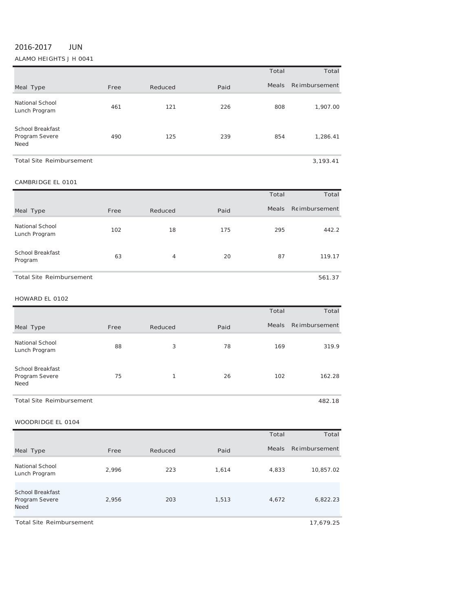# 2016‐2017 JUN

## ALAMO HEIGHTS J H 0041

|                                            |      |         |      | Total        | Total          |
|--------------------------------------------|------|---------|------|--------------|----------------|
| Meal Type                                  | Free | Reduced | Paid | <b>Meals</b> | Re imbursement |
| <b>National School</b><br>Lunch Program    | 461  | 121     | 226  | 808          | 1,907.00       |
| School Breakfast<br>Program Severe<br>Need | 490  | 125     | 239  | 854          | 1,286.41       |
| <b>Total Site Reimbursement</b>            |      |         |      |              | 3,193.41       |

| CAMBRIDGE EL 0101                |      |         |      |              |                      |  |
|----------------------------------|------|---------|------|--------------|----------------------|--|
|                                  |      |         |      | Total        | Total                |  |
| Meal Type                        | Free | Reduced | Paid | <b>Meals</b> | <b>Reimbursement</b> |  |
| National School<br>Lunch Program | 102  | 18      | 175  | 295          | 442.2                |  |
| School Breakfast<br>Program      | 63   | 4       | 20   | 87           | 119.17               |  |
| <b>Total Site Reimbursement</b>  |      |         |      |              | 561.37               |  |

HOWARD EL <sup>0102</sup>

|                                                   |      |         |      | Total        | Total          |
|---------------------------------------------------|------|---------|------|--------------|----------------|
| Meal Type                                         | Free | Reduced | Paid | <b>Meals</b> | Re imbursement |
| <b>National School</b><br>Lunch Program           | 88   | 3       | 78   | 169          | 319.9          |
| <b>School Breakfast</b><br>Program Severe<br>Need | 75   | 1       | 26   | 102          | 162.28         |

Total Site Reimbursement 482.18

|                                                   |       |         |       | Total        | Total          |
|---------------------------------------------------|-------|---------|-------|--------------|----------------|
| Meal Type                                         | Free  | Reduced | Paid  | <b>Meals</b> | Re imbursement |
| National School<br>Lunch Program                  | 2.996 | 223     | 1,614 | 4,833        | 10,857.02      |
| School Breakfast<br>Program Severe<br><b>Need</b> | 2,956 | 203     | 1,513 | 4,672        | 6,822.23       |
| <b>Total Site Reimbursement</b>                   |       |         |       |              | 17,679.25      |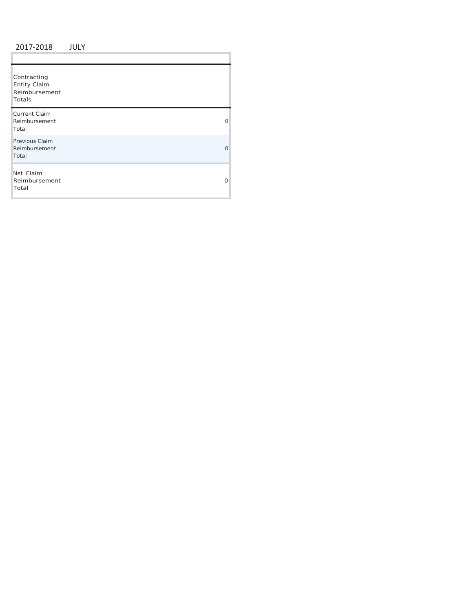## 2017 ‐2018 JULY

ï

| Contracting<br><b>Entity Claim</b><br>Reimbursement<br>Totals |   |
|---------------------------------------------------------------|---|
| <b>Current Claim</b><br>Reimbursement<br>Total                | 0 |
| Previous Claim<br>Reimbursement<br>Total                      | Ω |
| Net Claim<br>Reimbursement<br>Total                           | O |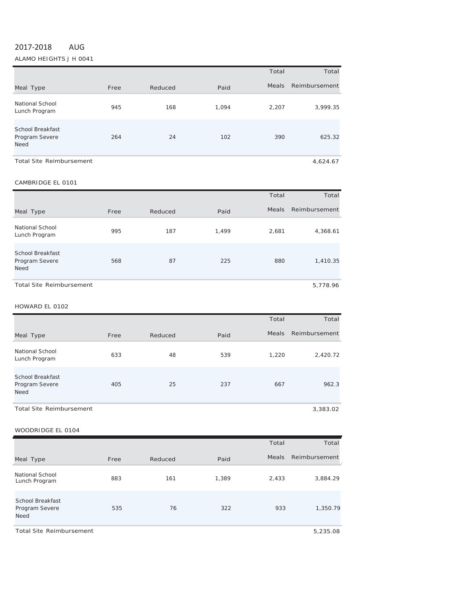# 2017‐2018 AUG

ALAMO HEIGHTS J H 0041

|                                                   |      |         |       | Total        | Total         |
|---------------------------------------------------|------|---------|-------|--------------|---------------|
| Meal Type                                         | Free | Reduced | Paid  | <b>Meals</b> | Reimbursement |
| National School<br>Lunch Program                  | 945  | 168     | 1,094 | 2,207        | 3,999.35      |
| School Breakfast<br>Program Severe<br><b>Need</b> | 264  | 24      | 102   | 390          | 625.32        |
| <b>Total Site Reimbursement</b>                   |      |         |       |              | 4.624.67      |

## CAMBRIDGE EL <sup>0101</sup>

|                                                   |      |         |       | Total        | Total         |
|---------------------------------------------------|------|---------|-------|--------------|---------------|
| Meal Type                                         | Free | Reduced | Paid  | <b>Meals</b> | Reimbursement |
| National School<br>Lunch Program                  | 995  | 187     | 1,499 | 2,681        | 4,368.61      |
| School Breakfast<br>Program Severe<br><b>Need</b> | 568  | 87      | 225   | 880          | 1,410.35      |
| <b>Total Site Reimbursement</b>                   |      |         |       |              | 5,778.96      |

#### HOWARD EL <sup>0102</sup>

|                                                          |      |         |      | Total        | Total         |
|----------------------------------------------------------|------|---------|------|--------------|---------------|
| Meal Type                                                | Free | Reduced | Paid | <b>Meals</b> | Reimbursement |
| National School<br>Lunch Program                         | 633  | 48      | 539  | 1,220        | 2,420.72      |
| <b>School Breakfast</b><br>Program Severe<br><b>Need</b> | 405  | 25      | 237  | 667          | 962.3         |
| <b>Total Site Reimbursement</b>                          |      |         |      |              | 3,383.02      |

#### WOODRIDGE EL <sup>0104</sup>

|                                                   |      |         |       | Total | Total         |
|---------------------------------------------------|------|---------|-------|-------|---------------|
| Meal Type                                         | Free | Reduced | Paid  | Meals | Reimbursement |
| National School<br>Lunch Program                  | 883  | 161     | 1,389 | 2,433 | 3,884.29      |
| <b>School Breakfast</b><br>Program Severe<br>Need | 535  | 76      | 322   | 933   | 1,350.79      |

Total Site Reimbursement 5,235.08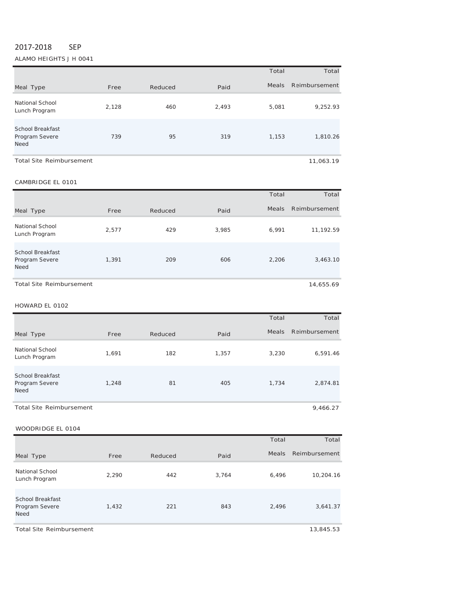## 2017‐2018 SEP

ALAMO HEIGHTS J H 0041

|                                                   |       |         |       | Total        | Total         |
|---------------------------------------------------|-------|---------|-------|--------------|---------------|
| Meal Type                                         | Free  | Reduced | Paid  | <b>Meals</b> | Reimbursement |
| National School<br>Lunch Program                  | 2,128 | 460     | 2,493 | 5,081        | 9,252.93      |
| School Breakfast<br>Program Severe<br><b>Need</b> | 739   | 95      | 319   | 1,153        | 1,810.26      |
| <b>Total Site Reimbursement</b>                   |       |         |       |              | 11,063.19     |

#### CAMBRIDGE EL <sup>0101</sup>

|                                                          |       |         |       | Total | Total         |
|----------------------------------------------------------|-------|---------|-------|-------|---------------|
| Meal Type                                                | Free  | Reduced | Paid  | Meals | Reimbursement |
| National School<br>Lunch Program                         | 2,577 | 429     | 3,985 | 6,991 | 11,192.59     |
| <b>School Breakfast</b><br>Program Severe<br><b>Need</b> | 1.391 | 209     | 606   | 2,206 | 3,463.10      |
| <b>Total Site Reimbursement</b>                          |       |         |       |       | 14,655.69     |

## HOWARD EL <sup>0102</sup>

|                                                          |       |         |       | Total | Total               |
|----------------------------------------------------------|-------|---------|-------|-------|---------------------|
| Meal Type                                                | Free  | Reduced | Paid  |       | Meals Reimbursement |
| National School<br>Lunch Program                         | 1,691 | 182     | 1,357 | 3,230 | 6,591.46            |
| <b>School Breakfast</b><br>Program Severe<br><b>Need</b> | 1.248 | 81      | 405   | 1,734 | 2,874.81            |
| Total Site Reimbursement                                 |       |         |       |       | 9,466.27            |

## WOODRIDGE EL 0104

|                                            |       |         |       | Total        | Total         |
|--------------------------------------------|-------|---------|-------|--------------|---------------|
| Meal Type                                  | Free  | Reduced | Paid  | <b>Meals</b> | Reimbursement |
| National School<br>Lunch Program           | 2,290 | 442     | 3,764 | 6,496        | 10,204.16     |
| School Breakfast<br>Program Severe<br>Need | 1,432 | 221     | 843   | 2,496        | 3,641.37      |

Total Site Reimbursement 13,845.53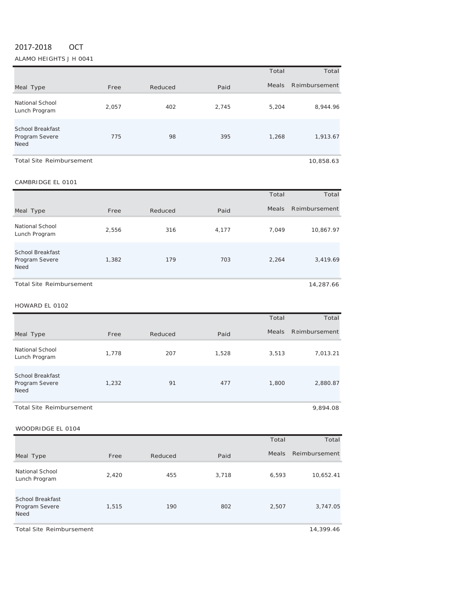# 2017‐2018 OCT

ALAMO HEIGHTS J H 0041

|                                                          |       |         |       | Total | Total         |
|----------------------------------------------------------|-------|---------|-------|-------|---------------|
| Meal Type                                                | Free  | Reduced | Paid  | Meals | Reimbursement |
| <b>National School</b><br>Lunch Program                  | 2,057 | 402     | 2,745 | 5,204 | 8,944.96      |
| <b>School Breakfast</b><br>Program Severe<br><b>Need</b> | 775   | 98      | 395   | 1,268 | 1,913.67      |
| <b>Total Site Reimbursement</b>                          |       |         |       |       | 10,858.63     |

#### CAMBRIDGE EL <sup>0101</sup>

|                                                          |       |         |       | Total | Total         |
|----------------------------------------------------------|-------|---------|-------|-------|---------------|
| Meal Type                                                | Free  | Reduced | Paid  | Meals | Reimbursement |
| National School<br>Lunch Program                         | 2,556 | 316     | 4,177 | 7.049 | 10,867.97     |
| <b>School Breakfast</b><br>Program Severe<br><b>Need</b> | 1,382 | 179     | 703   | 2,264 | 3,419.69      |
| <b>Total Site Reimbursement</b>                          |       |         |       |       | 14.287.66     |

HOWARD EL <sup>0102</sup>

|                                                          |       |         |       | Total        | Total         |
|----------------------------------------------------------|-------|---------|-------|--------------|---------------|
| Meal Type                                                | Free  | Reduced | Paid  | <b>Meals</b> | Reimbursement |
| National School<br>Lunch Program                         | 1,778 | 207     | 1,528 | 3,513        | 7,013.21      |
| <b>School Breakfast</b><br>Program Severe<br><b>Need</b> | 1,232 | 91      | 477   | 1,800        | 2,880.87      |
| Total Site Reimbursement                                 |       |         |       |              | 9,894.08      |

## WOODRIDGE EL 0104

|                                                   |       |         |       | Total        | Total         |
|---------------------------------------------------|-------|---------|-------|--------------|---------------|
| Meal Type                                         | Free  | Reduced | Paid  | <b>Meals</b> | Reimbursement |
| National School<br>Lunch Program                  | 2,420 | 455     | 3,718 | 6,593        | 10,652.41     |
| <b>School Breakfast</b><br>Program Severe<br>Need | 1,515 | 190     | 802   | 2,507        | 3,747.05      |

Total Site Reimbursement 14,399.46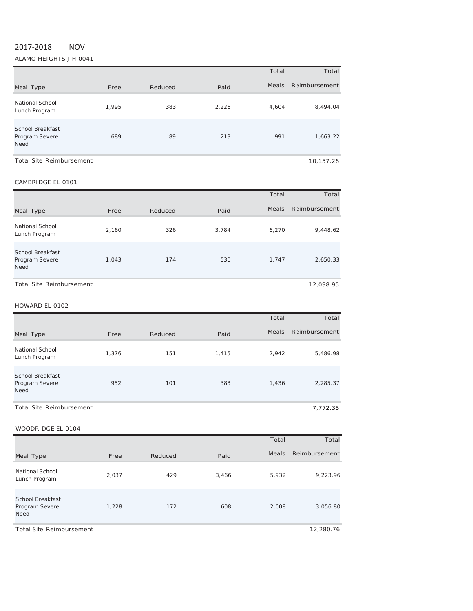# 2017‐2018 NOV

ALAMO HEIGHTS J H 0041

|                                                   |       |         |       | Total        | Total                 |
|---------------------------------------------------|-------|---------|-------|--------------|-----------------------|
| Meal Type                                         | Free  | Reduced | Paid  | <b>Meals</b> | <b>R</b> aimbursement |
| National School<br>Lunch Program                  | 1,995 | 383     | 2,226 | 4,604        | 8,494.04              |
| School Breakfast<br>Program Severe<br><b>Need</b> | 689   | 89      | 213   | 991          | 1,663.22              |
| <b>Total Site Reimbursement</b>                   |       |         |       |              | 10,157.26             |

## CAMBRIDGE EL <sup>0101</sup>

|                                                          |       |         |       | Total        | Total                 |
|----------------------------------------------------------|-------|---------|-------|--------------|-----------------------|
| Meal Type                                                | Free  | Reduced | Paid  | <b>Meals</b> | <b>R</b> aimbursement |
| National School<br>Lunch Program                         | 2,160 | 326     | 3.784 | 6.270        | 9,448.62              |
| <b>School Breakfast</b><br>Program Severe<br><b>Need</b> | 1,043 | 174     | 530   | 1.747        | 2,650.33              |
| <b>Total Site Reimbursement</b>                          |       |         |       |              | 12.098.95             |

## HOWARD EL <sup>0102</sup>

|                                                          |       |         |       | Total | Total               |
|----------------------------------------------------------|-------|---------|-------|-------|---------------------|
| Meal Type                                                | Free  | Reduced | Paid  |       | Meals Reimbursement |
| National School<br>Lunch Program                         | 1,376 | 151     | 1.415 | 2.942 | 5,486.98            |
| <b>School Breakfast</b><br>Program Severe<br><b>Need</b> | 952   | 101     | 383   | 1,436 | 2,285.37            |
| Total Site Reimbursement                                 |       |         |       |       | 7.772.35            |

## WOODRIDGE EL 0104

|                                                   |       |         |       | Total        | Total         |
|---------------------------------------------------|-------|---------|-------|--------------|---------------|
| Meal Type                                         | Free  | Reduced | Paid  | <b>Meals</b> | Reimbursement |
| National School<br>Lunch Program                  | 2,037 | 429     | 3,466 | 5,932        | 9,223.96      |
| School Breakfast<br>Program Severe<br><b>Need</b> | 1,228 | 172     | 608   | 2,008        | 3,056.80      |

Total Site Reimbursement 12,280.76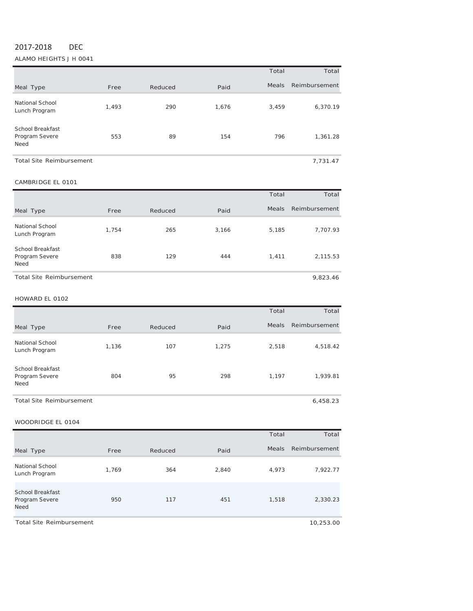# 2017‐2018 DEC

ALAMO HEIGHTS J H 0041

|                                            |       |         |       | Total | Total         |
|--------------------------------------------|-------|---------|-------|-------|---------------|
| Meal Type                                  | Free  | Reduced | Paid  | Meals | Reimbursement |
| <b>National School</b><br>Lunch Program    | 1,493 | 290     | 1,676 | 3,459 | 6,370.19      |
| School Breakfast<br>Program Severe<br>Need | 553   | 89      | 154   | 796   | 1,361.28      |
| <b>Total Site Reimbursement</b>            |       |         |       |       | 7,731.47      |

## CAMBRIDGE EL <sup>0101</sup>

|                                            |       |         |       | Total | Total         |  |
|--------------------------------------------|-------|---------|-------|-------|---------------|--|
| Meal Type                                  | Free  | Reduced | Paid  | Meals | Reimbursement |  |
| National School<br>Lunch Program           | 1,754 | 265     | 3,166 | 5,185 | 7,707.93      |  |
| School Breakfast<br>Program Severe<br>Need | 838   | 129     | 444   | 1,411 | 2,115.53      |  |
| Total Site Reimbursement<br>9.823.46       |       |         |       |       |               |  |

#### HOWARD EL <sup>0102</sup>

|                                                   |       |         |       | Total        | Total         |
|---------------------------------------------------|-------|---------|-------|--------------|---------------|
| Meal Type                                         | Free  | Reduced | Paid  | <b>Meals</b> | Reimbursement |
| National School<br>Lunch Program                  | 1,136 | 107     | 1,275 | 2,518        | 4,518.42      |
| <b>School Breakfast</b><br>Program Severe<br>Need | 804   | 95      | 298   | 1,197        | 1,939.81      |

Total Site Reimbursement **6,458.23** 6,458.23

|                                                   |       |         |       | Total | Total         |
|---------------------------------------------------|-------|---------|-------|-------|---------------|
| Meal Type                                         | Free  | Reduced | Paid  | Meals | Reimbursement |
| National School<br>Lunch Program                  | 1,769 | 364     | 2,840 | 4,973 | 7,922.77      |
| School Breakfast<br>Program Severe<br><b>Need</b> | 950   | 117     | 451   | 1,518 | 2,330.23      |
| <b>Total Site Reimbursement</b>                   |       |         |       |       | 10,253.00     |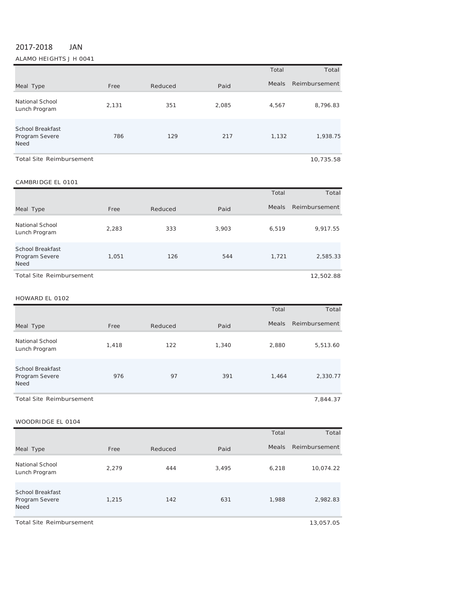# 2017‐2018 JAN

ALAMO HEIGHTS J H 0041

|                                                          |       |         |       | Total | Total         |
|----------------------------------------------------------|-------|---------|-------|-------|---------------|
| Meal Type                                                | Free  | Reduced | Paid  | Meals | Reimbursement |
| National School<br>Lunch Program                         | 2,131 | 351     | 2,085 | 4,567 | 8,796.83      |
| <b>School Breakfast</b><br>Program Severe<br><b>Need</b> | 786   | 129     | 217   | 1,132 | 1,938.75      |
| <b>Total Site Reimbursement</b>                          |       |         |       |       | 10.735.58     |

#### CAMBRIDGE EL 0101

|                                                          |       |         |       | Total        | Total         |
|----------------------------------------------------------|-------|---------|-------|--------------|---------------|
| Meal Type                                                | Free  | Reduced | Paid  | <b>Meals</b> | Reimbursement |
| National School<br>Lunch Program                         | 2,283 | 333     | 3,903 | 6,519        | 9,917.55      |
| <b>School Breakfast</b><br>Program Severe<br><b>Need</b> | 1,051 | 126     | 544   | 1,721        | 2,585.33      |
| Total Site Reimbursement                                 |       |         |       |              | 12,502.88     |

#### HOWARD EL 0102

|                                                          |       |         |       | Total        | Total         |
|----------------------------------------------------------|-------|---------|-------|--------------|---------------|
| Meal Type                                                | Free  | Reduced | Paid  | <b>Meals</b> | Reimbursement |
| National School<br>Lunch Program                         | 1.418 | 122     | 1.340 | 2,880        | 5,513.60      |
| <b>School Breakfast</b><br>Program Severe<br><b>Need</b> | 976   | 97      | 391   | 1,464        | 2,330.77      |
| <b>Total Site Reimbursement</b>                          |       |         |       |              | 7.844.37      |

| WUUURILUGE EL UTU4                                |       |         |       |       |               |
|---------------------------------------------------|-------|---------|-------|-------|---------------|
|                                                   |       |         |       | Total | Total         |
| Meal Type                                         | Free  | Reduced | Paid  | Meals | Reimbursement |
| National School<br>Lunch Program                  | 2.279 | 444     | 3,495 | 6,218 | 10,074.22     |
| <b>School Breakfast</b><br>Program Severe<br>Need | 1,215 | 142     | 631   | 1,988 | 2,982.83      |
| <b>Total Site Reimbursement</b>                   |       |         |       |       | 13,057.05     |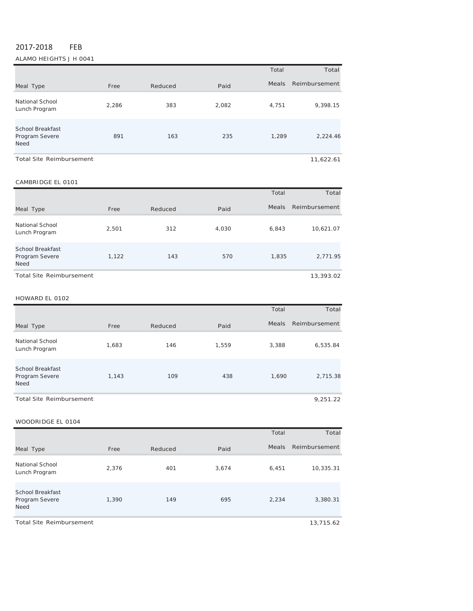# 2017‐2018 FEB

ALAMO HEIGHTS J H 0041

|                                                          |       |         |       | Total        | Total         |
|----------------------------------------------------------|-------|---------|-------|--------------|---------------|
| Meal Type                                                | Free  | Reduced | Paid  | <b>Meals</b> | Reimbursement |
| National School<br>Lunch Program                         | 2.286 | 383     | 2,082 | 4,751        | 9,398.15      |
| <b>School Breakfast</b><br>Program Severe<br><b>Need</b> | 891   | 163     | 235   | 1,289        | 2,224.46      |
| <b>Total Site Reimbursement</b>                          |       |         |       |              | 11,622.61     |

#### CAMBRIDGE EL 0101

|                                                   |       |         |       | Total        | Total         |
|---------------------------------------------------|-------|---------|-------|--------------|---------------|
| Meal Type                                         | Free  | Reduced | Paid  | <b>Meals</b> | Reimbursement |
| National School<br>Lunch Program                  | 2,501 | 312     | 4,030 | 6.843        | 10,621.07     |
| School Breakfast<br>Program Severe<br><b>Need</b> | 1,122 | 143     | 570   | 1.835        | 2,771.95      |
| <b>Total Site Reimbursement</b>                   |       |         |       |              | 13,393.02     |

#### HOWARD EL 0102

|                                                          |       |         |       | Total        | Total         |
|----------------------------------------------------------|-------|---------|-------|--------------|---------------|
| Meal Type                                                | Free  | Reduced | Paid  | <b>Meals</b> | Reimbursement |
| National School<br>Lunch Program                         | 1,683 | 146     | 1,559 | 3,388        | 6,535.84      |
| <b>School Breakfast</b><br>Program Severe<br><b>Need</b> | 1,143 | 109     | 438   | 1,690        | 2,715.38      |
| <b>Total Site Reimbursement</b>                          |       |         |       |              | 9,251.22      |

|                                            |       |         |       | Total | Total         |
|--------------------------------------------|-------|---------|-------|-------|---------------|
| Meal Type                                  | Free  | Reduced | Paid  | Meals | Reimbursement |
| National School<br>Lunch Program           | 2,376 | 401     | 3,674 | 6,451 | 10,335.31     |
| School Breakfast<br>Program Severe<br>Need | 1,390 | 149     | 695   | 2,234 | 3,380.31      |
| <b>Total Site Reimbursement</b>            |       |         |       |       | 13,715.62     |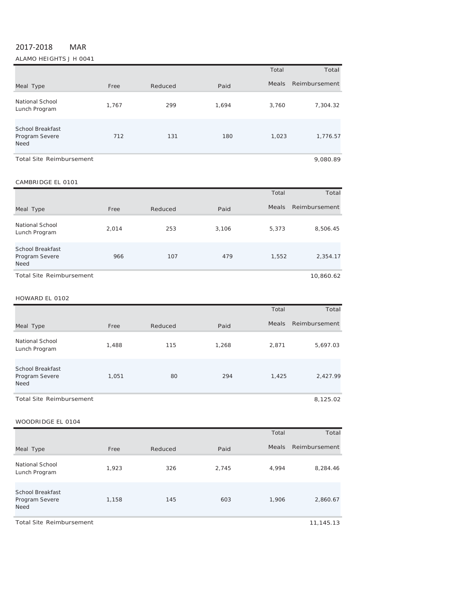# 2017‐2018 MAR

ALAMO HEIGHTS J H 0041

|                                                   |       |         |       | Total        | Total         |
|---------------------------------------------------|-------|---------|-------|--------------|---------------|
| Meal Type                                         | Free  | Reduced | Paid  | <b>Meals</b> | Reimbursement |
| National School<br>Lunch Program                  | 1,767 | 299     | 1,694 | 3,760        | 7,304.32      |
| <b>School Breakfast</b><br>Program Severe<br>Need | 712   | 131     | 180   | 1,023        | 1,776.57      |
| Total Site Reimbursement                          |       |         |       |              | 9.080.89      |

#### CAMBRIDGE EL 0101

|                                                   |       |         |       | Total        | Total         |
|---------------------------------------------------|-------|---------|-------|--------------|---------------|
| Meal Type                                         | Free  | Reduced | Paid  | <b>Meals</b> | Reimbursement |
| National School<br>Lunch Program                  | 2,014 | 253     | 3.106 | 5.373        | 8,506.45      |
| School Breakfast<br>Program Severe<br><b>Need</b> | 966   | 107     | 479   | 1,552        | 2,354.17      |
| <b>Total Site Reimbursement</b>                   |       |         |       |              | 10,860.62     |

#### HOWARD EL 0102

|                                                          |       |         |       | Total        | Total         |
|----------------------------------------------------------|-------|---------|-------|--------------|---------------|
| Meal Type                                                | Free  | Reduced | Paid  | <b>Meals</b> | Reimbursement |
| <b>National School</b><br>Lunch Program                  | 1,488 | 115     | 1,268 | 2,871        | 5,697.03      |
| <b>School Breakfast</b><br>Program Severe<br><b>Need</b> | 1,051 | 80      | 294   | 1,425        | 2,427.99      |
| <b>Total Site Reimbursement</b>                          |       |         |       |              | 8,125.02      |

|                                                   |       |         |       | Total | Total         |
|---------------------------------------------------|-------|---------|-------|-------|---------------|
| Meal Type                                         | Free  | Reduced | Paid  | Meals | Reimbursement |
| National School<br>Lunch Program                  | 1,923 | 326     | 2,745 | 4,994 | 8,284.46      |
| <b>School Breakfast</b><br>Program Severe<br>Need | 1,158 | 145     | 603   | 1,906 | 2,860.67      |
| <b>Total Site Reimbursement</b>                   |       |         |       |       | 11,145.13     |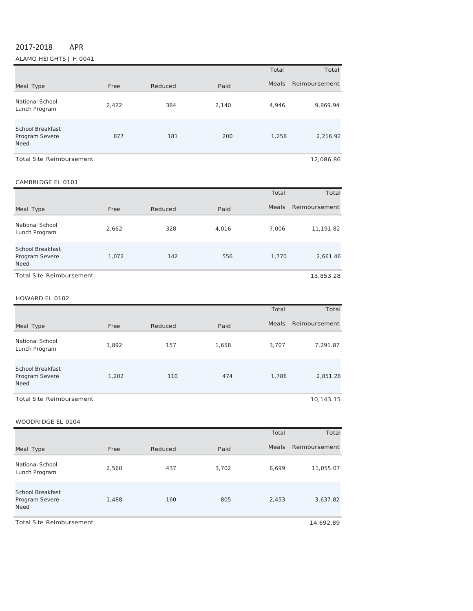# 2017‐2018 APR

ALAMO HEIGHTS J H 0041

|                                                   |       |         |       | Total | Total         |
|---------------------------------------------------|-------|---------|-------|-------|---------------|
| Meal Type                                         | Free  | Reduced | Paid  | Meals | Reimbursement |
| National School<br>Lunch Program                  | 2,422 | 384     | 2,140 | 4,946 | 9,869.94      |
| <b>School Breakfast</b><br>Program Severe<br>Need | 877   | 181     | 200   | 1,258 | 2,216.92      |
| <b>Total Site Reimbursement</b>                   |       |         |       |       | 12,086.86     |

#### CAMBRIDGE EL 0101

|                                                          |       |         |       | Total        | Total         |
|----------------------------------------------------------|-------|---------|-------|--------------|---------------|
| Meal Type                                                | Free  | Reduced | Paid  | <b>Meals</b> | Reimbursement |
| National School<br>Lunch Program                         | 2,662 | 328     | 4,016 | 7.006        | 11,191.82     |
| <b>School Breakfast</b><br>Program Severe<br><b>Need</b> | 1,072 | 142     | 556   | 1.770        | 2,661.46      |
| <b>Total Site Reimbursement</b>                          |       |         |       |              | 13,853.28     |

#### HOWARD EL 0102

|                                                   |       |         |       | Total        | Total         |
|---------------------------------------------------|-------|---------|-------|--------------|---------------|
| Meal Type                                         | Free  | Reduced | Paid  | <b>Meals</b> | Reimbursement |
| National School<br>Lunch Program                  | 1,892 | 157     | 1,658 | 3,707        | 7,291.87      |
| <b>School Breakfast</b><br>Program Severe<br>Need | 1,202 | 110     | 474   | 1,786        | 2,851.28      |
| Total Site Reimbursement                          |       |         |       |              | 10,143.15     |

#### WOODRIDGE EL 0104

|                                                   |       |         |       | Total | Total         |
|---------------------------------------------------|-------|---------|-------|-------|---------------|
| Meal Type                                         | Free  | Reduced | Paid  | Meals | Reimbursement |
| National School<br>Lunch Program                  | 2,560 | 437     | 3,702 | 6,699 | 11,055.07     |
| <b>School Breakfast</b><br>Program Severe<br>Need | 1,488 | 160     | 805   | 2,453 | 3,637.82      |
| <b>Total Site Reimbursement</b>                   |       |         |       |       | 14,692.89     |

 $\overline{\phantom{0}}$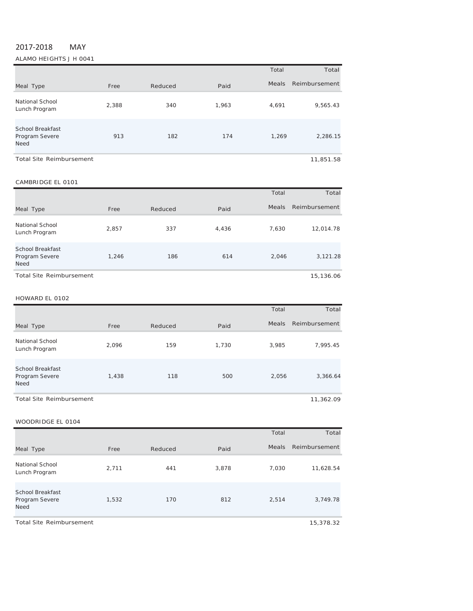# 2017‐2018 MAY

ALAMO HEIGHTS J H 0041

|                                                          |       |         |       | Total        | Total         |
|----------------------------------------------------------|-------|---------|-------|--------------|---------------|
| Meal Type                                                | Free  | Reduced | Paid  | <b>Meals</b> | Reimbursement |
| National School<br>Lunch Program                         | 2,388 | 340     | 1,963 | 4,691        | 9,565.43      |
| <b>School Breakfast</b><br>Program Severe<br><b>Need</b> | 913   | 182     | 174   | 1,269        | 2,286.15      |
| <b>Total Site Reimbursement</b>                          |       |         |       |              | 11,851.58     |

#### CAMBRIDGE EL 0101

|                                                   |       |         |       | Total        | Total         |
|---------------------------------------------------|-------|---------|-------|--------------|---------------|
| Meal Type                                         | Free  | Reduced | Paid  | <b>Meals</b> | Reimbursement |
| National School<br>Lunch Program                  | 2,857 | 337     | 4,436 | 7,630        | 12,014.78     |
| School Breakfast<br>Program Severe<br><b>Need</b> | 1,246 | 186     | 614   | 2,046        | 3,121.28      |
| <b>Total Site Reimbursement</b>                   |       |         |       |              | 15,136.06     |

#### HOWARD EL 0102

|                                                          |       |         |       | Total        | Total         |
|----------------------------------------------------------|-------|---------|-------|--------------|---------------|
| Meal Type                                                | Free  | Reduced | Paid  | <b>Meals</b> | Reimbursement |
| National School<br>Lunch Program                         | 2.096 | 159     | 1,730 | 3,985        | 7,995.45      |
| <b>School Breakfast</b><br>Program Severe<br><b>Need</b> | 1,438 | 118     | 500   | 2,056        | 3,366.64      |
| <b>Total Site Reimbursement</b>                          |       |         |       |              | 11,362.09     |

|                                                          |       |         |       | Total        | Total         |
|----------------------------------------------------------|-------|---------|-------|--------------|---------------|
| Meal Type                                                | Free  | Reduced | Paid  | <b>Meals</b> | Reimbursement |
| National School<br>Lunch Program                         | 2,711 | 441     | 3,878 | 7,030        | 11,628.54     |
| <b>School Breakfast</b><br>Program Severe<br><b>Need</b> | 1,532 | 170     | 812   | 2,514        | 3,749.78      |
| <b>Total Site Reimbursement</b>                          |       |         |       |              | 15,378.32     |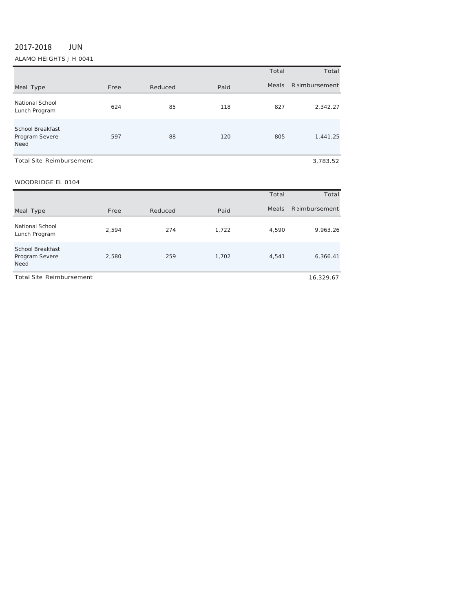# 2017‐2018 JUN

ALAMO HEIGHTS J H 0041

|                                                          |      |         |      | Total        | Total                 |
|----------------------------------------------------------|------|---------|------|--------------|-----------------------|
| Meal Type                                                | Free | Reduced | Paid | <b>Meals</b> | <b>R</b> aimbursement |
| National School<br>Lunch Program                         | 624  | 85      | 118  | 827          | 2,342.27              |
| <b>School Breakfast</b><br>Program Severe<br><b>Need</b> | 597  | 88      | 120  | 805          | 1,441.25              |
| <b>Total Site Reimbursement</b>                          |      |         |      |              | 3,783.52              |

|                                                          |       |         |       | Total | Total                |
|----------------------------------------------------------|-------|---------|-------|-------|----------------------|
| Meal Type                                                | Free  | Reduced | Paid  | Meals | <b>Reimbursement</b> |
| National School<br>Lunch Program                         | 2,594 | 274     | 1,722 | 4,590 | 9,963.26             |
| <b>School Breakfast</b><br>Program Severe<br><b>Need</b> | 2,580 | 259     | 1,702 | 4.541 | 6,366.41             |
| Total Site Reimbursement                                 |       |         |       |       | 16.329.67            |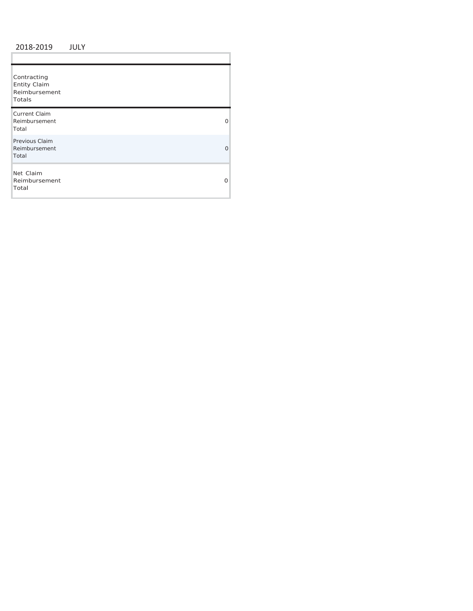## 2018 ‐2019 JULY

Ì.

| Contracting<br><b>Entity Claim</b><br>Reimbursement<br>Totals |          |
|---------------------------------------------------------------|----------|
| Current Claim<br>Reimbursement<br>Total                       | 0        |
| Previous Claim<br>Reimbursement<br>Total                      | $\Omega$ |
| Net Claim<br>Reimbursement<br>Total                           | O        |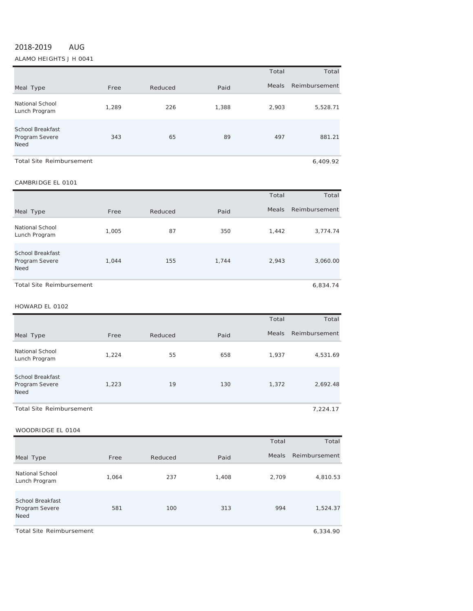# 2018‐2019 AUG

ALAMO HEIGHTS J H 0041

|                                                   |       |         |       | Total        | Total         |
|---------------------------------------------------|-------|---------|-------|--------------|---------------|
| Meal Type                                         | Free  | Reduced | Paid  | <b>Meals</b> | Reimbursement |
| National School<br>Lunch Program                  | 1,289 | 226     | 1,388 | 2,903        | 5,528.71      |
| School Breakfast<br>Program Severe<br><b>Need</b> | 343   | 65      | 89    | 497          | 881.21        |
| <b>Total Site Reimbursement</b>                   |       |         |       |              | 6.409.92      |

## CAMBRIDGE EL <sup>0101</sup>

|                                                   |       |         |       | Total | Total         |
|---------------------------------------------------|-------|---------|-------|-------|---------------|
| Meal Type                                         | Free  | Reduced | Paid  | Meals | Reimbursement |
| <b>National School</b><br>Lunch Program           | 1,005 | 87      | 350   | 1,442 | 3,774.74      |
| School Breakfast<br>Program Severe<br><b>Need</b> | 1,044 | 155     | 1,744 | 2,943 | 3,060.00      |
| <b>Total Site Reimbursement</b>                   |       |         |       |       | 6,834.74      |

#### HOWARD EL <sup>0102</sup>

|                                                          |       |         |      | Total        | Total         |
|----------------------------------------------------------|-------|---------|------|--------------|---------------|
| Meal Type                                                | Free  | Reduced | Paid | <b>Meals</b> | Reimbursement |
| National School<br>Lunch Program                         | 1,224 | 55      | 658  | 1,937        | 4,531.69      |
| <b>School Breakfast</b><br>Program Severe<br><b>Need</b> | 1,223 | 19      | 130  | 1,372        | 2,692.48      |
| <b>Total Site Reimbursement</b>                          |       |         |      |              | 7,224.17      |

#### WOODRIDGE EL 0104

|                                                          |       |         |       | Total        | Total         |
|----------------------------------------------------------|-------|---------|-------|--------------|---------------|
| Meal Type                                                | Free  | Reduced | Paid  | <b>Meals</b> | Reimbursement |
| National School<br>Lunch Program                         | 1,064 | 237     | 1,408 | 2,709        | 4,810.53      |
| <b>School Breakfast</b><br>Program Severe<br><b>Need</b> | 581   | 100     | 313   | 994          | 1,524.37      |

Total Site Reimbursement 6,334.90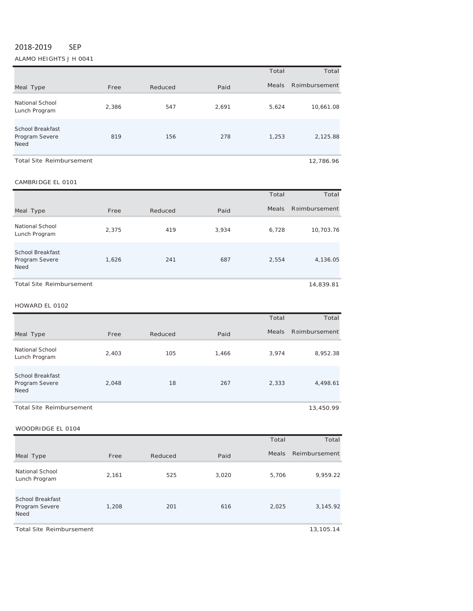## 2018‐2019 SEP

ALAMO HEIGHTS J H 0041

|                                                   |       |         |       | Total        | Total         |
|---------------------------------------------------|-------|---------|-------|--------------|---------------|
| Meal Type                                         | Free  | Reduced | Paid  | <b>Meals</b> | Reimbursement |
| National School<br>Lunch Program                  | 2,386 | 547     | 2,691 | 5,624        | 10,661.08     |
| School Breakfast<br>Program Severe<br><b>Need</b> | 819   | 156     | 278   | 1,253        | 2,125.88      |
| <b>Total Site Reimbursement</b>                   |       |         |       |              | 12,786.96     |

#### CAMBRIDGE EL <sup>0101</sup>

|                                                          |       |         |       | Total | Total         |
|----------------------------------------------------------|-------|---------|-------|-------|---------------|
| Meal Type                                                | Free  | Reduced | Paid  | Meals | Reimbursement |
| National School<br>Lunch Program                         | 2,375 | 419     | 3.934 | 6,728 | 10,703.76     |
| <b>School Breakfast</b><br>Program Severe<br><b>Need</b> | 1,626 | 241     | 687   | 2,554 | 4,136.05      |
| <b>Total Site Reimbursement</b>                          |       |         |       |       | 14,839.81     |

## HOWARD EL <sup>0102</sup>

|                                                          |       |         |       | Total | Total               |
|----------------------------------------------------------|-------|---------|-------|-------|---------------------|
| Meal Type                                                | Free  | Reduced | Paid  |       | Meals Reimbursement |
| National School<br>Lunch Program                         | 2,403 | 105     | 1.466 | 3.974 | 8,952.38            |
| <b>School Breakfast</b><br>Program Severe<br><b>Need</b> | 2,048 | 18      | 267   | 2,333 | 4,498.61            |
| Total Site Reimbursement                                 |       |         |       |       | 13,450.99           |

## WOODRIDGE EL 0104

|                                                          |       |         |       | Total        | Total         |
|----------------------------------------------------------|-------|---------|-------|--------------|---------------|
| Meal Type                                                | Free  | Reduced | Paid  | <b>Meals</b> | Reimbursement |
| National School<br>Lunch Program                         | 2,161 | 525     | 3,020 | 5,706        | 9,959.22      |
| <b>School Breakfast</b><br>Program Severe<br><b>Need</b> | 1,208 | 201     | 616   | 2,025        | 3,145.92      |

Total Site Reimbursement 13,105.14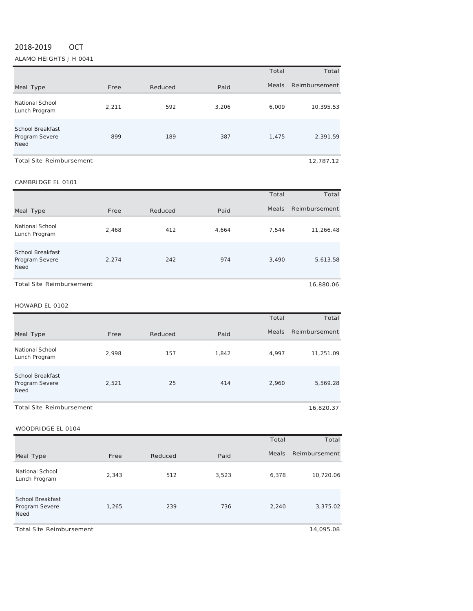# 2018‐2019 OCT

ALAMO HEIGHTS J H 0041

|                                                          |       |         |       | Total        | Total         |
|----------------------------------------------------------|-------|---------|-------|--------------|---------------|
| Meal Type                                                | Free  | Reduced | Paid  | <b>Meals</b> | Reimbursement |
| National School<br>Lunch Program                         | 2,211 | 592     | 3,206 | 6,009        | 10,395.53     |
| <b>School Breakfast</b><br>Program Severe<br><b>Need</b> | 899   | 189     | 387   | 1,475        | 2,391.59      |
| <b>Total Site Reimbursement</b>                          |       |         |       |              | 12.787.12     |

## CAMBRIDGE EL <sup>0101</sup>

|                                                          |       |         |       | Total | Total         |
|----------------------------------------------------------|-------|---------|-------|-------|---------------|
| Meal Type                                                | Free  | Reduced | Paid  | Meals | Reimbursement |
| National School<br>Lunch Program                         | 2.468 | 412     | 4.664 | 7.544 | 11,266.48     |
| <b>School Breakfast</b><br>Program Severe<br><b>Need</b> | 2.274 | 242     | 974   | 3,490 | 5,613.58      |
| Total Site Reimbursement                                 |       |         |       |       | 16,880.06     |

## HOWARD EL <sup>0102</sup>

|                                            |       |         |       | Total        | Total         |
|--------------------------------------------|-------|---------|-------|--------------|---------------|
| Meal Type                                  | Free  | Reduced | Paid  | <b>Meals</b> | Reimbursement |
| National School<br>Lunch Program           | 2.998 | 157     | 1.842 | 4.997        | 11,251.09     |
| School Breakfast<br>Program Severe<br>Need | 2,521 | 25      | 414   | 2,960        | 5,569.28      |
| Total Site Reimbursement                   |       |         |       |              | 16,820.37     |

WOODRIDGE EL 0104

|                                                   |       |         |       | Total        | Total         |
|---------------------------------------------------|-------|---------|-------|--------------|---------------|
| Meal Type                                         | Free  | Reduced | Paid  | <b>Meals</b> | Reimbursement |
| National School<br>Lunch Program                  | 2,343 | 512     | 3,523 | 6,378        | 10,720.06     |
| <b>School Breakfast</b><br>Program Severe<br>Need | 1,265 | 239     | 736   | 2,240        | 3,375.02      |

Total Site Reimbursement 14,095.08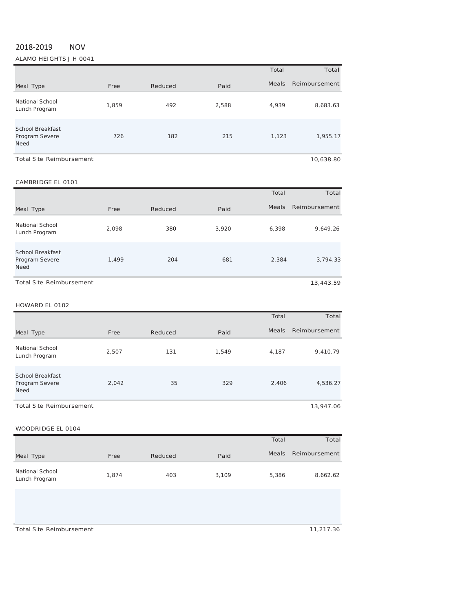# 2018‐2019 NOV

ALAMO HEIGHTS J H 0041

|                                                          |       |         |       | Total | Total         |
|----------------------------------------------------------|-------|---------|-------|-------|---------------|
| Meal Type                                                | Free  | Reduced | Paid  | Meals | Reimbursement |
| National School<br>Lunch Program                         | 1,859 | 492     | 2,588 | 4,939 | 8,683.63      |
| <b>School Breakfast</b><br>Program Severe<br><b>Need</b> | 726   | 182     | 215   | 1,123 | 1,955.17      |
| <b>Total Site Reimbursement</b>                          |       |         |       |       | 10,638.80     |

## CAMBRIDGE EL 0101

| CAMPNIDGE LE VIVI                                        |       |         |       |              |               |
|----------------------------------------------------------|-------|---------|-------|--------------|---------------|
|                                                          |       |         |       | Total        | Total         |
| Meal Type                                                | Free  | Reduced | Paid  | <b>Meals</b> | Reimbursement |
| <b>National School</b><br>Lunch Program                  | 2.098 | 380     | 3,920 | 6,398        | 9,649.26      |
| <b>School Breakfast</b><br>Program Severe<br><b>Need</b> | 1,499 | 204     | 681   | 2,384        | 3,794.33      |
| <b>Total Site Reimbursement</b>                          |       |         |       |              | 13,443.59     |

#### HOWARD EL 0102

|                                                          |       |         |       | Total        | Total         |
|----------------------------------------------------------|-------|---------|-------|--------------|---------------|
| Meal Type                                                | Free  | Reduced | Paid  | <b>Meals</b> | Reimbursement |
| National School<br>Lunch Program                         | 2,507 | 131     | 1,549 | 4,187        | 9,410.79      |
| <b>School Breakfast</b><br>Program Severe<br><b>Need</b> | 2,042 | 35      | 329   | 2,406        | 4,536.27      |
| Total Site Reimbursement                                 |       |         |       |              | 13,947.06     |

## WOODRIDGE EL 0104

|                                  |       |         |       | Total | Total         |
|----------------------------------|-------|---------|-------|-------|---------------|
| Meal Type                        | Free  | Reduced | Paid  | Meals | Reimbursement |
| National School<br>Lunch Program | 1.874 | 403     | 3.109 | 5,386 | 8,662.62      |

Total Site Reimbursement 11,217.36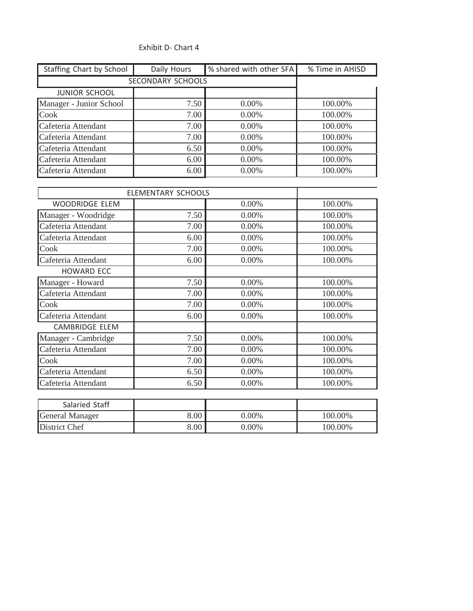# Exhibit D‐ Chart 4

| Staffing Chart by School | Daily Hours       | % shared with other SFA | % Time in AHISD |
|--------------------------|-------------------|-------------------------|-----------------|
|                          | SECONDARY SCHOOLS |                         |                 |
| <b>JUNIOR SCHOOL</b>     |                   |                         |                 |
| Manager - Junior School  | 7.50              | $0.00\%$                | 100.00%         |
| <b>Cook</b>              | 7.00              | $0.00\%$                | 100.00%         |
| Cafeteria Attendant      | 7.00              | $0.00\%$                | 100.00%         |
| Cafeteria Attendant      | 7.00              | $0.00\%$                | 100.00%         |
| Cafeteria Attendant      | 6.50              | $0.00\%$                | 100.00%         |
| Cafeteria Attendant      | 6.00              | $0.00\%$                | 100.00%         |
| Cafeteria Attendant      | 6.00              | $0.00\%$                | 100.00%         |

|                       | <b>ELEMENTARY SCHOOLS</b> |          |         |
|-----------------------|---------------------------|----------|---------|
| <b>WOODRIDGE ELEM</b> |                           | 0.00%    | 100.00% |
| Manager - Woodridge   | 7.50                      | $0.00\%$ | 100.00% |
| Cafeteria Attendant   | 7.00                      | 0.00%    | 100.00% |
| Cafeteria Attendant   | 6.00                      | 0.00%    | 100.00% |
| Cook                  | 7.00                      | 0.00%    | 100.00% |
| Cafeteria Attendant   | 6.00                      | 0.00%    | 100.00% |
| <b>HOWARD ECC</b>     |                           |          |         |
| Manager - Howard      | 7.50                      | 0.00%    | 100.00% |
| Cafeteria Attendant   | 7.00                      | $0.00\%$ | 100.00% |
| Cook                  | 7.00                      | 0.00%    | 100.00% |
| Cafeteria Attendant   | 6.00                      | 0.00%    | 100.00% |
| <b>CAMBRIDGE ELEM</b> |                           |          |         |
| Manager - Cambridge   | 7.50                      | 0.00%    | 100.00% |
| Cafeteria Attendant   | 7.00                      | 0.00%    | 100.00% |
| Cook                  | 7.00                      | $0.00\%$ | 100.00% |
| Cafeteria Attendant   | 6.50                      | 0.00%    | 100.00% |
| Cafeteria Attendant   | 6.50                      | 0.00%    | 100.00% |

| Salaried Staff  |          |          |         |
|-----------------|----------|----------|---------|
| General Manager | 8.00     | $0.00\%$ | 100.00% |
| District Chef   | $8.00\,$ | $0.00\%$ | 100.00% |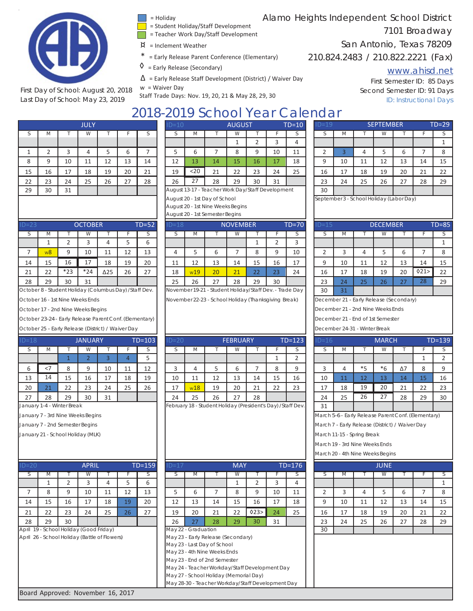

First Day of School: August 20, 2018 Last Day of School: May 23, 2019

- = Holiday
- = Student Holiday/Staff Development
- = Teacher Work Day/Staff Development
- $\beta$  = Inclement Weather
- = Early Release Parent Conference (Elementary)
- $\Diamond$  = Early Release (Secondary)
- $\Delta$  = Early Release Staff Development (District) / Waiver Day

w = Waiver Day

Staff Trade Days: Nov. 19, 20, 21 & May 28, 29, 30

Alamo Heights Independent School District

# 7101 Broadway

# San Antonio, Texas 78209

210.824.2483 / 210.822.2221 (Fax)

# www.ahisd.net

First Semester ID: 85 Days Second Semester ID: 91 Days ID: Instructional Days

# 2018-2019 School Year Calendar<br>
Prince 10 2019 2019 2019 2021 10-19

|    |                |    | <b>JULY</b> |    |    |    |
|----|----------------|----|-------------|----|----|----|
| S  | M              |    | W           |    | F  | S  |
|    |                |    |             |    |    |    |
| 1  | $\overline{2}$ | 3  | 4           | 5  | 6  | 7  |
| 8  | 9              | 10 | 11          | 12 | 13 | 14 |
| 15 | 16             | 17 | 18          | 19 | 20 | 21 |
| 22 | 23             | 24 | 25          | 26 | 27 | 28 |
| 29 | 30             | 31 |             |    |    |    |

| ◡  | IVI  |               | ۷V       |    |    |    |    | IVI  |    | VV. |    |    |    |          | <b>IVI</b> |    | <b>VV</b> |    |    |    |
|----|------|---------------|----------|----|----|----|----|------|----|-----|----|----|----|----------|------------|----|-----------|----|----|----|
|    |      |               |          |    |    |    |    |      |    |     |    |    |    |          |            |    |           |    |    |    |
|    |      |               |          |    |    |    |    |      |    |     |    | 10 | 11 |          |            |    |           |    |    |    |
| 8  | U    | 10            | 11<br>ᆠᆂ | 12 | 13 | 14 | 12 | 13   | 14 | 15  | 16 | 17 | 18 | $\Omega$ | 10         | 11 | 12        | 13 | 14 | 15 |
| 15 | 16   | 17            | 18       | 19 | 20 | 21 | 19 | $20$ | 21 | 22  | 23 | 24 | 25 | 16       | 17         | 18 | 19        | 20 | 21 | 22 |
| 22 | 23   | 24            | 25       | 26 | 27 | 28 | 26 | 27   | 28 | 29  | 30 | 31 |    | 23       | 24         | 25 | 26        | 27 | 28 | 29 |
| -- | $ -$ | $\sim$ $\sim$ |          |    |    |    |    |      |    |     |    |    |    | $-$      |            |    |           |    |    |    |

August 13-17 - Teacher Work Day/Staff Development August 20 - 1st Day of School August 20 - 1st Nine Weeks Begins

August 20 - 1st Semester Begins

| $ID = 23$ |                |       | <b>OCTOBER</b> |             |    | $TD = 52$ |
|-----------|----------------|-------|----------------|-------------|----|-----------|
| S         | M              |       | W              |             |    | S         |
|           |                |       | 3              |             |    |           |
|           | w <sub>8</sub> | 9     | 10             | 11          | 12 | 13        |
| 14        | 15             | 16    | 17             | 18          | 19 | 20        |
| 21        | 22             | $*23$ | $*24$          | $\Delta$ 25 | 26 | 27        |
| 28        | 29             | 30    | 31             |             |    |           |

| D=18 |       | <b>JANUARY</b> |    | $TD=103$ |    |              |  |
|------|-------|----------------|----|----------|----|--------------|--|
| S    | M     |                | W  |          | F  | <sub>S</sub> |  |
|      |       |                | 2  | 3        |    |              |  |
| 6    | $<$ 7 | 8              | 9  | 10       | 11 | 12           |  |
| 13   | 14    | 15             | 16 | 17       | 18 | 19           |  |
| 20   | 21    | 22             | 23 | 24       | 25 | 26           |  |
| 27   | 28    | 29             | 30 | 31       |    |              |  |

January 1-4 - Winter Break

January 7 - 3rd Nine Weeks Begins

January 7 - 2nd Semester Begins

January 21 - School Holiday (MLK)

| $ID=20$ |                                               |    | <b>APRIL</b> |    |    | $TD = 159$ | $ID=17$ |                     |                                                                                                                                   | <b>MAY</b> |     |    | $TD=176$ |    |    |    | <b>JUNE</b> |    |    |    |
|---------|-----------------------------------------------|----|--------------|----|----|------------|---------|---------------------|-----------------------------------------------------------------------------------------------------------------------------------|------------|-----|----|----------|----|----|----|-------------|----|----|----|
|         | M                                             |    | W            |    |    |            |         | IVI                 |                                                                                                                                   | W          |     |    |          |    |    |    | W           |    |    |    |
|         |                                               |    |              |    |    | b          |         |                     |                                                                                                                                   |            |     | 3  | 4        |    |    |    |             |    |    |    |
|         | 8                                             | q  | 10           | 11 | 12 | 13         |         | h                   |                                                                                                                                   | 8          | 9   | 10 | 11       |    |    |    |             | h  |    | 8  |
| 14      | 15                                            | 16 | 17           | 18 | 19 | 20         | 12      | 13                  | 14                                                                                                                                | 15         | 16  | 17 | 18       | 9  | 10 | 11 | 12          | 13 | 14 | 15 |
| 21      | 22                                            | 23 | 24           | 25 | 26 | 27         | 19      | 20                  | 21                                                                                                                                | 22         | 023 | 24 | 25       | 16 | 17 | 18 | 19          | 20 | 21 | 22 |
| 28      | 29                                            | 30 |              |    |    |            | 26      | 27                  | 28                                                                                                                                | 29         | 30  | 31 |          | 23 | 24 | 25 | 26          | 27 | 28 | 29 |
|         | April 19 - School Holiday (Good Friday)       |    |              |    |    |            |         | May 22 - Graduation |                                                                                                                                   |            |     |    |          | 30 |    |    |             |    |    |    |
|         | April 26 - School Holiday (Battle of Flowers) |    |              |    |    |            |         |                     | May 23 - Early Release (Secondary)<br>May 23 - Last Day of School<br>May 23 - 4th Nine Weeks Ends<br>May 23 - End of 2nd Semester |            |     |    |          |    |    |    |             |    |    |    |
|         |                                               |    |              |    |    |            |         |                     |                                                                                                                                   |            |     |    |          |    |    |    |             |    |    |    |

|           |                                                                      |                                    |  | October 8 - Student Holiday (Columbus Day) / Staff Dev. |    |                                                         |         |   | November 19-21 - Student Holiday/Staff Dev. - Trade Day |                 |  |   |                                   | 30                                      | 31 |      |              |            |   |            |
|-----------|----------------------------------------------------------------------|------------------------------------|--|---------------------------------------------------------|----|---------------------------------------------------------|---------|---|---------------------------------------------------------|-----------------|--|---|-----------------------------------|-----------------------------------------|----|------|--------------|------------|---|------------|
|           |                                                                      | October 16 - 1st Nine Weeks Ends   |  |                                                         |    |                                                         |         |   | November 22-23 - School Holiday (Thanksgiving Break)    |                 |  |   |                                   | December 21 - Early Release (Secondary) |    |      |              |            |   |            |
|           |                                                                      | October 17 - 2nd Nine Weeks Begins |  |                                                         |    |                                                         |         |   |                                                         |                 |  |   |                                   | December 21 - 2nd Nine Weeks Ends       |    |      |              |            |   |            |
|           |                                                                      |                                    |  |                                                         |    | October 23-24 - Early Release Parent Conf. (Elementary) |         |   |                                                         |                 |  |   | December 21 - End of 1st Semester |                                         |    |      |              |            |   |            |
|           |                                                                      |                                    |  |                                                         |    |                                                         |         |   |                                                         |                 |  |   |                                   | December 24-31 - Winter Break           |    |      |              |            |   |            |
|           | October 25 - Early Release (District) / Waiver Day<br><b>JANUARY</b> |                                    |  |                                                         |    |                                                         |         |   |                                                         |                 |  |   |                                   |                                         |    |      |              |            |   |            |
| $ID = 18$ |                                                                      |                                    |  |                                                         |    | $TD=103$                                                | $ID=20$ |   |                                                         | <b>FEBRUARY</b> |  |   | $TD=123$                          | $ID=16$                                 |    |      | <b>MARCH</b> |            |   | $TD = 139$ |
|           | M                                                                    |                                    |  |                                                         |    |                                                         |         | M |                                                         |                 |  |   |                                   |                                         | -M |      | VV.          |            |   |            |
|           |                                                                      |                                    |  |                                                         |    |                                                         |         |   |                                                         |                 |  |   |                                   |                                         |    |      |              |            |   |            |
|           | $<$ 7                                                                | 8                                  |  | 10                                                      | 11 | 12                                                      |         |   |                                                         | b               |  | 8 | 9                                 |                                         | 4  | $*5$ | $*6$         | $\Delta$ 7 | 8 |            |

| $= 20$                                                                                   |    |    | <b>APRIL</b> |    |    | $TD = 159$ | $ID=17$ |    |                                                   | <b>MAY</b> |     |    | $TD=176$ |    |    |    | <b>JUNE</b> |    |    |                |  |  |  |
|------------------------------------------------------------------------------------------|----|----|--------------|----|----|------------|---------|----|---------------------------------------------------|------------|-----|----|----------|----|----|----|-------------|----|----|----------------|--|--|--|
|                                                                                          | M  |    | W            |    |    | S          | S       | M  |                                                   | W          |     |    | S        |    | М  |    | W           |    |    |                |  |  |  |
|                                                                                          |    |    | 3            | 4  | 5. | 6          |         |    |                                                   |            |     | 3  | 4        |    |    |    |             |    |    |                |  |  |  |
|                                                                                          | 8  | 9  | 10           | 11 | 12 | 13         | 5       | 6  |                                                   | 8          | 9   | 10 | 11       |    | 3  | 4  | 5.          | 6  |    |                |  |  |  |
| .4                                                                                       | 15 | 16 | 17           | 18 | 19 | 20         | 12      | 13 | 14                                                | 15         | 16  | 17 | 18       | 9  | 10 | 11 | 12          | 13 | 14 | 15             |  |  |  |
|                                                                                          | 22 | 23 | 24           | 25 | 26 | 27         | 19      | 20 | 21                                                | 22         | 023 | 24 | 25       | 16 | 17 | 18 | 19          | 20 | 21 | 22             |  |  |  |
| :8                                                                                       | 29 | 30 |              |    |    |            | 26      | 27 | 28                                                | 29         | 30  | 31 |          | 23 | 24 | 25 | 26          | 27 | 28 | 2 <sup>0</sup> |  |  |  |
| il 19 - School Holiday (Good Friday)<br>May 22 - Graduation                              |    |    |              |    |    |            |         |    |                                                   | 30         |     |    |          |    |    |    |             |    |    |                |  |  |  |
| il 26 - School Holiday (Battle of Flowers)<br>May 23 - Early Release (Secondary)         |    |    |              |    |    |            |         |    |                                                   |            |     |    |          |    |    |    |             |    |    |                |  |  |  |
|                                                                                          |    |    |              |    |    |            |         |    | May 23 - Last Day of School                       |            |     |    |          |    |    |    |             |    |    |                |  |  |  |
|                                                                                          |    |    |              |    |    |            |         |    | May 23 - 4th Nine Weeks Ends                      |            |     |    |          |    |    |    |             |    |    |                |  |  |  |
|                                                                                          |    |    |              |    |    |            |         |    | May 23 - End of 2nd Semester                      |            |     |    |          |    |    |    |             |    |    |                |  |  |  |
|                                                                                          |    |    |              |    |    |            |         |    |                                                   |            |     |    |          |    |    |    |             |    |    |                |  |  |  |
| May 24 - Teacher Workday/Staff Development Day<br>May 27 - School Holiday (Memorial Day) |    |    |              |    |    |            |         |    |                                                   |            |     |    |          |    |    |    |             |    |    |                |  |  |  |
|                                                                                          |    |    |              |    |    |            |         |    | May 28-30 - Teacher Workday/Staff Development Day |            |     |    |          |    |    |    |             |    |    |                |  |  |  |
|                                                                                          |    |    |              |    |    |            |         |    |                                                   |            |     |    |          |    |    |    |             |    |    |                |  |  |  |

|   | <b>JULY</b> |    |    |    |    |          |  |    |     |                                                   | <b>AUGUST</b> |    |    | $TD=10$ | $ID=19$ |     |    | <b>SEPTEMBER</b> |    |    | $TD=29$ |  |  |  |  |
|---|-------------|----|----|----|----|----------|--|----|-----|---------------------------------------------------|---------------|----|----|---------|---------|-----|----|------------------|----|----|---------|--|--|--|--|
|   | IΜ          |    | W  |    |    |          |  |    | M   |                                                   | VV.           |    |    |         |         | IVI |    | W                |    |    |         |  |  |  |  |
|   |             |    |    |    |    |          |  |    |     |                                                   |               |    |    |         |         |     |    |                  |    |    |         |  |  |  |  |
|   |             |    | 4  |    | h  |          |  |    |     |                                                   | Õ             | q  | 10 | 11      |         |     |    |                  | b  |    |         |  |  |  |  |
|   |             | 10 | 11 | 12 | 13 | 14       |  | 12 | 13  | 14                                                | 15            | 16 |    | 18      | q       | 10  | 11 | 12               | 13 | 14 | 15      |  |  |  |  |
|   | 16          | 17 | 18 | 19 | 20 | 21<br>41 |  | 19 | <20 | 21                                                | 22            | 23 | 24 | 25      | 16      | 17  | 18 | 19               | 20 | 21 | 22      |  |  |  |  |
| 2 | 23          | 24 | 25 | 26 | 27 | 28       |  | 26 | 27  | 28                                                | 29            | 30 | 31 |         | 23      | 24  | 25 | 26               | 27 | 28 | 29      |  |  |  |  |
| q | 30          | 31 |    |    |    |          |  |    |     | August 13-17 - Teacher Work Day/Staff Development |               |    |    |         | 30      |     |    |                  |    |    |         |  |  |  |  |
|   |             |    |    |    |    |          |  |    |     |                                                   |               |    |    |         |         |     |    |                  |    |    |         |  |  |  |  |

September 3 - School Holiday (Labor Day)

|           |      |                                  |                |                                                         |    |           |         |                                                                                                 | August 20 - Tat Johnostor Doğims                        |                 |    |    |           |         |    |    |                 |    |     |           |
|-----------|------|----------------------------------|----------------|---------------------------------------------------------|----|-----------|---------|-------------------------------------------------------------------------------------------------|---------------------------------------------------------|-----------------|----|----|-----------|---------|----|----|-----------------|----|-----|-----------|
| $ID = 23$ |      |                                  | <b>OCTOBER</b> |                                                         |    | $TD = 52$ | $ID=18$ |                                                                                                 |                                                         | <b>NOVEMBER</b> |    |    | $TD = 70$ | $ID=15$ |    |    | <b>DECEMBER</b> |    |     | $TD = 85$ |
|           | IVI. |                                  |                |                                                         |    |           |         | M                                                                                               |                                                         | w               |    |    |           |         | М  |    | w               |    |     |           |
|           |      |                                  |                |                                                         |    | 6         |         |                                                                                                 |                                                         |                 |    |    |           |         |    |    |                 |    |     |           |
|           | w8   | 9                                | 10             | 11                                                      | 12 | 13        |         |                                                                                                 |                                                         |                 |    |    | 10        |         |    |    |                 | b  |     |           |
| 14        | 15   | 16                               | 17             | 18                                                      | 19 | 20        | 11      | 12                                                                                              | 13                                                      | 14              | 15 | 16 | 17        | 9       | 10 | 11 | 12              | 13 | 14  | 15        |
| 21        | 22   | $*23$                            | $*24$          | $\Delta$ 25                                             | 26 | 27        | 18      | w19                                                                                             | 20                                                      | 21              | 22 | 23 | 24        | 16      | 17 | 18 | 19              | 20 | 021 | 22        |
| 28        | 29   | 30                               | 31             |                                                         |    |           | 25      | 26                                                                                              | 27                                                      | 28              | 29 | 30 |           | 23      | 24 | 25 | 26              | 27 | 28  | 29        |
|           |      |                                  |                | October 8 - Student Holiday (Columbus Day) / Staff Dev. |    |           |         |                                                                                                 | November 19-21 - Student Holiday/Staff Dev. - Trade Day |                 |    |    |           | 30      | 31 |    |                 |    |     |           |
|           |      | October 16 - 1st Nine Weeks Ends |                |                                                         |    |           |         | December 21 - Early Release (Secondary)<br>November 22-23 - School Holiday (Thanksgiving Break) |                                                         |                 |    |    |           |         |    |    |                 |    |     |           |

| $=18$                           |       |    | <b>JANUARY</b> |    |    | $TD=103$ | $ID=20$ |                                                                    |    | <b>FEBRUARY</b> |    |    | $TD=123$ |    | $ID=16$ |      |               | <b>MARCH</b> | $TD=139$   |    |    |  |
|---------------------------------|-------|----|----------------|----|----|----------|---------|--------------------------------------------------------------------|----|-----------------|----|----|----------|----|---------|------|---------------|--------------|------------|----|----|--|
|                                 | М     |    |                |    |    |          |         |                                                                    |    | W               |    |    |          |    |         | IVI. |               |              |            |    |    |  |
|                                 |       |    |                |    |    |          |         |                                                                    |    |                 |    |    |          |    |         |      |               |              |            |    |    |  |
| 6                               | $<$ 7 | 8  |                | 10 | 11 | 12       |         |                                                                    |    | b               |    | 8  |          |    |         | 4    | $*$ $\square$ | $*6$         | $\Delta$ 7 | 8  |    |  |
| 13                              | 14    | 15 | 16             | 17 | 18 | 19       | 10      | 11                                                                 | 12 | 13              | 14 | 15 | 16       |    | 10      | 11   | 12            | 13           | 14         | 15 | 16 |  |
| 20                              | 21    | 22 | 23             | 24 | 25 | 26       | 17      | w18                                                                | 19 | 20              | 21 | 22 | 23       |    | 17      | 18   | 19            | 20           | 21         | 22 | 23 |  |
| 27<br>30<br>31<br>28<br>29      |       |    |                |    |    | 24       | 25      | 26                                                                 | 27 | 28              |    |    |          | 24 | 25      | 26   | 27            | 28           | 29         | 30 |    |  |
| nuary 1-4 - Winter Break        |       |    |                |    |    |          |         | February 18 - Student Holiday (President's Day) / Staff Dev.<br>31 |    |                 |    |    |          |    |         |      |               |              |            |    |    |  |
| nuary 7 - 3rd Nine Weeks Begins |       |    |                |    |    |          |         | March 5-6 - Early Release Parent Conf. (Elementary)                |    |                 |    |    |          |    |         |      |               |              |            |    |    |  |

March 7 - Early Release (District) / Waiver Day

March 11-15 - Spring Break

March 19 - 3rd Nine Weeks Ends

March 20 - 4th Nine Weeks Begins

|                 |    |    | <b>JUNE</b> |    |    |    |
|-----------------|----|----|-------------|----|----|----|
| S               | M  |    | W           | F  | S  |    |
|                 |    |    |             |    |    | 1  |
| $\overline{2}$  | 3  | 4  | 5           | 6  |    | 8  |
| 9               | 10 | 11 | 12          | 13 | 14 | 15 |
| 16              | 17 | 18 | 19          | 20 | 21 | 22 |
| 23              | 24 | 25 | 26          | 27 | 28 | 29 |
| $\overline{30}$ |    |    |             |    |    |    |
|                 |    |    |             |    |    |    |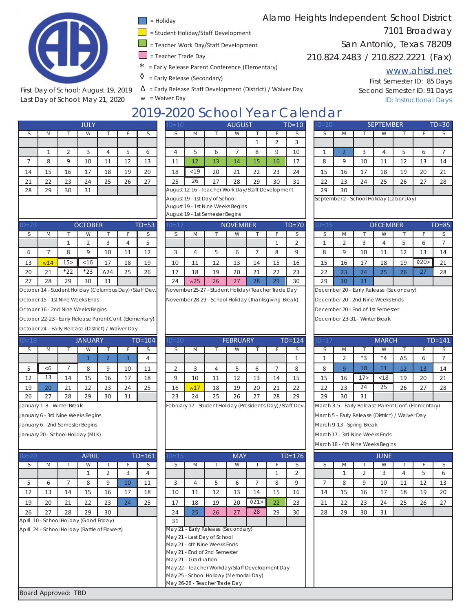

First Day of School: August 19, 2019 Last Day of School: May 21, 2020

- = Holiday
- = Student Holiday/Staff Development
- = Teacher Work Day/Staff Development
- = Teacher Trade Day
- \* <sup>=</sup> Early Release Parent Conference (Elementary)
- $\Diamond$  = Early Release (Secondary)
- $\Delta$  = Early Release Staff Development (District) / Waiver Day

w = Waiver Day

# Alamo Heights Independent School District 7101 Broadway

San Antonio, Texas 78209

210.824.2483 / 210.822.2221 (Fax)

### www.ahisd.net

First Semester ID: 85 Days Second Semester ID: 91 Days ID: Instructional Days

# 2019-2020 School Year Calendar  $\begin{array}{|c|c|c|}\hline \text{AUGUST} & \text{TD=10}\ \hline \end{array}$

|    |    |    | <b>JULY</b> |    |    |    | $ID=10$ |      |                                                   | <b>AUGUST</b> |    |    | TD: |
|----|----|----|-------------|----|----|----|---------|------|---------------------------------------------------|---------------|----|----|-----|
|    | M  |    | W           |    |    |    | S       | M    |                                                   | W             |    |    |     |
|    |    |    |             |    |    |    |         |      |                                                   |               |    |    |     |
|    |    |    | 3           | 4  | 5  | 6  | 4       | 5    | 6                                                 |               | 8  | 9  |     |
|    | 8  | 9  | 10          | 11 | 12 | 13 | 11      | 12   | 13                                                | 14            | 15 | 16 |     |
| 14 | 15 | 16 | 17          | 18 | 19 | 20 | 18      | $19$ | 20                                                | 21            | 22 | 23 |     |
| 21 | 22 | 23 | 24          | 25 | 26 | 27 | 25      | 26   | 27                                                | 28            | 29 | 30 |     |
| 28 | 29 | 30 | 31          |    |    |    |         |      | August 12-16 - Teacher Work Day/Staff Development |               |    |    |     |
|    |    |    |             |    |    |    |         |      |                                                   |               |    |    |     |

|               | $\mathbf{v}$ |        | v v    |    |    |    |    | $\mathbf{v}$ |    | <b>VV</b> |    |    |            |        | $\mathbf{v}$ |    | <b>VV</b> |    |         |    |
|---------------|--------------|--------|--------|----|----|----|----|--------------|----|-----------|----|----|------------|--------|--------------|----|-----------|----|---------|----|
|               |              |        |        |    |    |    |    |              |    |           |    |    |            |        |              |    |           |    |         |    |
|               |              |        |        |    |    |    |    |              |    |           |    |    | 10         |        |              |    |           |    |         |    |
|               |              |        | 10     | 11 | 12 | 13 | 11 | 12           | 13 | 14        | 15 | 16 | 17         |        |              | 10 | 11        | 12 | 12<br>ᆚ | 14 |
| 14            | 15           | 16     | 17     | 18 | 19 | 20 | 18 | $<$ 19       | 20 | 21        | 22 | 23 | 24         | 15     | 16           | 17 | 18        | 19 | 20      | 21 |
| 21            | 22<br>∠∠     | 23     | 24     | 25 | 26 | 27 | 25 | 26           | 27 | 28        | 29 | 30 | 31<br>ـد ب | 22     | 23           | 24 | 25        | 26 | 27      | 28 |
| $\sim$ $\sim$ | $\sim$       | $\sim$ | $\sim$ |    |    |    |    |              |    |           |    |    |            | $\sim$ | $\sim$       |    |           |    |         |    |

November 25-27 - Student Holiday/Teacher Trade Day November 28-29 - School Holiday (Thanksgiving Break)

| $D = 23$ |                   |                 | <b>OCTOBER</b> |             |    | $TD = 53$ | $ID=1$           |     |    | <b>NOVEMBER</b> |    |    | $TD=70$ | TEL                      |    |              | <b>DECEMBER</b> |    |          | $TD = 85$ |
|----------|-------------------|-----------------|----------------|-------------|----|-----------|------------------|-----|----|-----------------|----|----|---------|--------------------------|----|--------------|-----------------|----|----------|-----------|
|          | IVI.              |                 | v v            |             |    |           |                  | M   |    | <b>VV</b>       |    |    |         |                          | -M |              | VV              |    |          |           |
|          |                   |                 |                |             |    |           |                  |     |    |                 |    |    |         |                          |    |              |                 |    | t.       |           |
|          |                   |                 |                | 10          | ᆠᅶ | 12        |                  |     |    |                 |    |    |         |                          |    | $\sim$<br>πU | ᆠ               | ᆠ  | 13       | 14        |
| 13       | W14               | 15 <sub>2</sub> | $<$ 16         | 17          | 18 | 19        | 10               | 11  | 12 | 13              | 14 | 15 | 16      | 15                       | 16 | ∸            | 18              | 19 | 020      | 21        |
| 20       | $\mathbf{A}$<br>ᅀ | $*22$           | $*23$          | $\Delta$ 24 | 25 | 26        | 17<br><b>. .</b> | 18  | 19 | 20              | 21 | 22 | 23      | $\mathbf{\hat{z}}$<br>__ | 23 | 24           | 25              | 26 | 27<br>-- | 28        |
| 27       | 28                | 29              | 30             | 31          |    |           | 24               | w25 | 26 | 27              | 28 | 29 | 30      | 29                       | 30 | 31           |                 |    |          |           |

October 14 - Student Holiday (Columbus Day) /Staff Dev.

October 15 - 1st Nine Weeks Ends

October 16 - 2nd Nine Weeks Begins

October 22-23 - Early Release Parent Conf.(Elementary)

October 24 - Early Release (District) / Waiver Day

| D=19 |    |    | <b>JANUARY</b> |                |    | $TD = 104$ |
|------|----|----|----------------|----------------|----|------------|
| S    | M  |    | W              |                |    | S          |
|      |    |    |                | $\overline{2}$ | 3  |            |
| 5    | <6 |    | 8              | q              | 10 | 11         |
| 12   | 13 | 14 | 15             | 16             | 17 | 18         |
| 19   | 20 | 21 | 22             | 23             | 24 | 25         |
| 26   | 27 | 28 | 29             | 30             | 31 |            |

January 1-3 - Winter Break

January 6 - 3rd Nine Weeks Begins

January 6 - 2nd Semester Begins

January 20 - School Holiday (MLK)

| $ID=20$ |     |    | <b>APRIL</b> |              |    | $TD = 161$ | $ID=15$ |     |    | <b>MAY</b> |       |    | $TD=176$ |    |      |    | <b>JUNE</b> |
|---------|-----|----|--------------|--------------|----|------------|---------|-----|----|------------|-------|----|----------|----|------|----|-------------|
|         | IVI |    | W            |              |    |            |         | IVI |    | W          |       |    |          |    | IVI. |    | W           |
|         |     |    |              |              | ∽  | 4          |         |     |    |            |       |    |          |    |      |    |             |
| ر       | ь   |    | 8            |              | 10 | 11         |         | 4   |    | ь          |       |    |          |    |      |    | 10          |
| 12      | 13  | 14 | 15           | 16           | 17 | 18         | 10      | 11  | 12 | 13         | 14    | 15 | 16       | 14 | 15   | 16 | 17          |
| 19      | 20  | 21 | 22           | 23           | 24 | 25         | 17      | 18  | 19 | 20         | 021 > | 22 | 23       | 21 | 22   | 23 | 24          |
| 26      | っっ  | 28 | 29           | $30^{\circ}$ |    |            | 24      | つに  | 26 | つつ         | 28    | 79 | 30       | 28 | 29   | 30 | 21          |

April 10 - School Holiday (Good Friday)

April 24 - School Holiday (Battle of Flowers)

| $ID=19$ |          |                           | <b>JANUARY</b> |    |    | $TD = 104$ | $ID = 20$ |     |                                                             | <b>FEBRUARY</b> |    |    | $TD=124$ | $ID=17$ |                                                    |                 | <b>MARCH</b>    |            |    | $TD = 141$ |
|---------|----------|---------------------------|----------------|----|----|------------|-----------|-----|-------------------------------------------------------------|-----------------|----|----|----------|---------|----------------------------------------------------|-----------------|-----------------|------------|----|------------|
|         | М        |                           | VV             |    |    |            |           | M   |                                                             |                 |    |    |          |         | M                                                  |                 | VV.             |            |    |            |
|         |          |                           |                |    |    |            |           |     |                                                             |                 |    |    |          |         |                                                    | $*$             | $*_{\varDelta}$ | $\Delta$ 5 | b  |            |
|         | <6       |                           |                |    | 10 | 11         |           |     |                                                             |                 |    |    | 8        |         |                                                    | 10              |                 | 12         | 13 | 14         |
| 12      | 13       | 14                        | 15             | 16 | 17 | 18         |           | 10  | 11                                                          | 12              | 13 | 14 | 15       | 15      | 16                                                 | 17 <sub>2</sub> | $18$            | 19         | 20 | 21         |
| 19      | 20       | 21                        | 22             | 23 | 24 | 25         | 16        | w17 | 18                                                          | 19              | 20 | 21 | 22       | 22      | 23                                                 | 24              | 25              | 26         | 27 | 28         |
| 26      | っっ<br>رے | 28                        | 29             | 30 | 31 |            | 23        | 24  | 25                                                          | 26              | 27 | 28 | 29       | 29      | 30                                                 | 31              |                 |            |    |            |
|         |          | January 1.3. Winter Break |                |    |    |            |           |     | February 17 - Student Holiday (President's Day) (Staff Dev) |                 |    |    |          |         | March 3-5 - Farly Rologso Paront Conf (Flomontary) |                 |                 |            |    |            |

| $=20$ |                                              |                                                                         | <b>APRIL</b> |    |    | $TD=161$ | $ID=15$             |    |                                                | <b>MAY</b> |     |    | $TD=176$ |    |    |    | <b>JUNE</b> |    |    |    |
|-------|----------------------------------------------|-------------------------------------------------------------------------|--------------|----|----|----------|---------------------|----|------------------------------------------------|------------|-----|----|----------|----|----|----|-------------|----|----|----|
|       | М                                            |                                                                         | W            |    |    | S.       |                     | М  |                                                | W          |     |    | S        |    | M  |    | w           |    |    |    |
|       |                                              |                                                                         |              |    | 3  | 4        |                     |    |                                                |            |     |    | 2        |    |    | 2  | 3           | 4  | 5  | 6  |
| 5     | 6                                            |                                                                         | 8            | 9  | 10 | 11       | 3                   | 4  | 5.                                             | 6          |     | 8  | 9        |    | 8  | 9  | 10          | 11 | 12 | 13 |
| 12    | 13                                           | 14                                                                      | 15           | 16 | 17 | 18       | 10                  | 11 | 12                                             | 13         | 14  | 15 | 16       | 14 | 15 | 16 | 17          | 18 | 19 | 20 |
| 19    | 20                                           | 21                                                                      | 22           | 23 | 24 | 25       | 17                  | 18 | 19                                             | 20         | 021 | 22 | 23       | 21 | 22 | 23 | 24          | 25 | 26 | 27 |
| 26    | 27                                           | 28                                                                      | 29           | 30 |    |          | 24                  | 25 | 26                                             | 27         | 28  | 29 | 30       | 28 | 29 | 30 | 31          |    |    |    |
|       | oril 10 - School Holiday (Good Friday)       |                                                                         |              |    |    |          | 31                  |    |                                                |            |     |    |          |    |    |    |             |    |    |    |
|       | oril 24 - School Holiday (Battle of Flowers) |                                                                         |              |    |    |          |                     |    | May 21 - Early Release (Secondary)             |            |     |    |          |    |    |    |             |    |    |    |
|       |                                              |                                                                         |              |    |    |          |                     |    | May 21 - Last Day of School                    |            |     |    |          |    |    |    |             |    |    |    |
|       |                                              |                                                                         |              |    |    |          |                     |    | May 21 - 4th Nine Weeks Ends                   |            |     |    |          |    |    |    |             |    |    |    |
|       |                                              |                                                                         |              |    |    |          |                     |    | May 21 - End of 2nd Semester                   |            |     |    |          |    |    |    |             |    |    |    |
|       |                                              |                                                                         |              |    |    |          | May 21 - Graduation |    |                                                |            |     |    |          |    |    |    |             |    |    |    |
|       |                                              |                                                                         |              |    |    |          |                     |    | May 22 - Teacher Workday/Staff Development Day |            |     |    |          |    |    |    |             |    |    |    |
|       |                                              |                                                                         |              |    |    |          |                     |    |                                                |            |     |    |          |    |    |    |             |    |    |    |
|       |                                              | May 25 - School Holiday (Memorial Day)<br>May 26-28 - Teacher Trade Day |              |    |    |          |                     |    |                                                |            |     |    |          |    |    |    |             |    |    |    |

|                |     |    | JULY |    |    |    | $ID = 10$ |     |                                                   | <b>AUGUST</b> |    |    | TD=10. | ⊪∪=∠∪                                  |     |    | <b>SEPTEMBER</b> |    |    | I D=30. |
|----------------|-----|----|------|----|----|----|-----------|-----|---------------------------------------------------|---------------|----|----|--------|----------------------------------------|-----|----|------------------|----|----|---------|
|                | ΙVΙ |    | W    |    |    |    |           | IVI |                                                   | w             |    |    |        |                                        | IVI |    |                  |    |    |         |
|                |     |    |      |    |    |    |           |     |                                                   |               |    |    |        |                                        |     |    |                  |    |    |         |
|                |     |    |      |    |    |    |           |     |                                                   |               | 8  |    | 10     |                                        |     |    |                  |    | b  |         |
|                |     |    | 10   | 11 | 12 | 13 | 11        | 12  | 13                                                | 14            | 15 | 16 | $1 -$  | 8                                      |     | 10 | 11               | 12 | 13 | 14      |
| $\overline{4}$ | 15  | 16 | 17   | 18 | 19 | 20 | 18        | <19 | 20                                                | 21            | 22 | 23 | 24     | 15                                     | 16  | 17 | 18               | 19 | 20 | 21      |
|                | 22  | 23 | 24   | 25 | 26 | 27 | 25        | 26  | 27                                                | 28            | 29 | 30 | 31     | 22                                     | 23  | 24 | 25               | 26 | 27 | 28      |
| 8              | 29  | 30 | 31   |    |    |    |           |     | August 12-16 - Teacher Work Day/Staff Development |               |    |    |        | 29                                     | 30  |    |                  |    |    |         |
|                |     |    |      |    |    |    |           |     | August 10 1st Doy of School                       |               |    |    |        | Contember 2 School Holiday (Labor Day) |     |    |                  |    |    |         |

ember 2 - School Holiday (Labor Day)

| $D=15$ |                |    | <b>DECEMBER</b> |    |     | $TD = 85$ |
|--------|----------------|----|-----------------|----|-----|-----------|
| ς      | M              |    | W               |    |     | S         |
|        | $\overline{2}$ | ₹  |                 |    | 6   |           |
| 8      | 9              | 10 | 11              | 12 | 13  | 14        |
| 15     | 16             | 17 | 18              | 19 | 020 | 21        |
| 22     | 23             | 24 | 25              | 26 | 27  | 28        |
| 29     | 30             | 31 |                 |    |     |           |

December 20 - Early Release (Secondary)

December 20 - 2nd Nine Weeks Ends

December 20 - End of 1st Semester

December 23-31 - Winter Break

| $D=17$ |                                                    |                 | <b>MARCH</b> |            |    | $TD = 141$ |  |  |  |  |  |  |  |  |
|--------|----------------------------------------------------|-----------------|--------------|------------|----|------------|--|--|--|--|--|--|--|--|
| S      | M                                                  |                 | W            |            |    | S          |  |  |  |  |  |  |  |  |
|        | 2                                                  | *3              | $*_{4}$      | $\Delta$ 5 | 6  |            |  |  |  |  |  |  |  |  |
| 8      | 9                                                  | 10              | 11           | 12         | 13 | 14         |  |  |  |  |  |  |  |  |
| 15     | 16                                                 | 17 <sub>2</sub> | < 18         | 19         | 20 | 21         |  |  |  |  |  |  |  |  |
| 22     | 23                                                 | 24              | 25           | 26         | 27 | 28         |  |  |  |  |  |  |  |  |
| 29     | 30                                                 | 31              |              |            |    |            |  |  |  |  |  |  |  |  |
|        | March 3-5 - Farly Release Parent Conf (Flementary) |                 |              |            |    |            |  |  |  |  |  |  |  |  |

March 5 - Early Release (District) / Waiver Day

March 9-13 - Spring Break

March 17 - 3rd Nine Weeks Ends

March 18 - 4th Nine Weeks Begins

|    |    |    | <b>JUNE</b> |    |    |    |
|----|----|----|-------------|----|----|----|
| S  | М  |    | W           |    |    | ς  |
|    |    | 2  | 3           |    | -5 | 6  |
|    | 8  | 9  | 10          | 11 | 12 | 13 |
| 14 | 15 | 16 | 17          | 18 | 19 | 20 |
| 21 | 22 | 23 | 24          | 25 | 26 | 27 |
| 28 | 29 | 30 | 31          |    |    |    |

Board Approved: TBD

|  | 18                                             | < 19 | 20                                | 21 | 22 | 23 |  |  |  |  |  |  |  |  |
|--|------------------------------------------------|------|-----------------------------------|----|----|----|--|--|--|--|--|--|--|--|
|  | 25                                             | 26   | 27                                | 28 | 29 | 30 |  |  |  |  |  |  |  |  |
|  | August 12-16 - Teacher Work Day/Staff Developm |      |                                   |    |    |    |  |  |  |  |  |  |  |  |
|  |                                                |      | August 19 - 1st Day of School     |    |    |    |  |  |  |  |  |  |  |  |
|  |                                                |      | August 19 - 1st Nine Weeks Begins |    |    |    |  |  |  |  |  |  |  |  |
|  |                                                |      | August 19 - 1st Semester Begins   |    |    |    |  |  |  |  |  |  |  |  |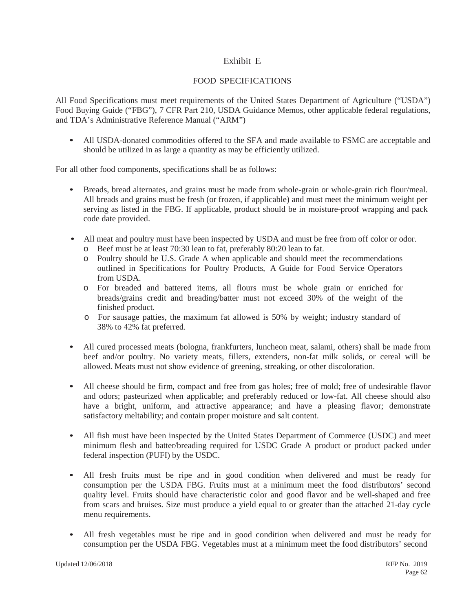# Exhibit E

### FOOD SPECIFICATIONS

All Food Specifications must meet requirements of the United States Department of Agriculture ("USDA") Food Buying Guide ("FBG"), 7 CFR Part 210, USDA Guidance Memos, other applicable federal regulations, and TDA's Administrative Reference Manual ("ARM")

• All USDA-donated commodities offered to the SFA and made available to FSMC are acceptable and should be utilized in as large a quantity as may be efficiently utilized.

For all other food components, specifications shall be as follows:

- Breads, bread alternates, and grains must be made from whole-grain or whole-grain rich flour/meal. All breads and grains must be fresh (or frozen, if applicable) and must meet the minimum weight per serving as listed in the FBG. If applicable, product should be in moisture-proof wrapping and pack code date provided.
- All meat and poultry must have been inspected by USDA and must be free from off color or odor.
	- o Beef must be at least 70:30 lean to fat, preferably 80:20 lean to fat.
	- o Poultry should be U.S. Grade A when applicable and should meet the recommendations outlined in Specifications for Poultry Products, A Guide for Food Service Operators from USDA.
	- o For breaded and battered items, all flours must be whole grain or enriched for breads/grains credit and breading/batter must not exceed 30% of the weight of the finished product.
	- o For sausage patties, the maximum fat allowed is 50% by weight; industry standard of 38% to 42% fat preferred.
- All cured processed meats (bologna, frankfurters, luncheon meat, salami, others) shall be made from beef and/or poultry. No variety meats, fillers, extenders, non-fat milk solids, or cereal will be allowed. Meats must not show evidence of greening, streaking, or other discoloration.
- All cheese should be firm, compact and free from gas holes; free of mold; free of undesirable flavor and odors; pasteurized when applicable; and preferably reduced or low-fat. All cheese should also have a bright, uniform, and attractive appearance; and have a pleasing flavor; demonstrate satisfactory meltability; and contain proper moisture and salt content.
- All fish must have been inspected by the United States Department of Commerce (USDC) and meet minimum flesh and batter/breading required for USDC Grade A product or product packed under federal inspection (PUFI) by the USDC.
- All fresh fruits must be ripe and in good condition when delivered and must be ready for consumption per the USDA FBG. Fruits must at a minimum meet the food distributors' second quality level. Fruits should have characteristic color and good flavor and be well-shaped and free from scars and bruises. Size must produce a yield equal to or greater than the attached 21-day cycle menu requirements.
- All fresh vegetables must be ripe and in good condition when delivered and must be ready for consumption per the USDA FBG. Vegetables must at a minimum meet the food distributors' second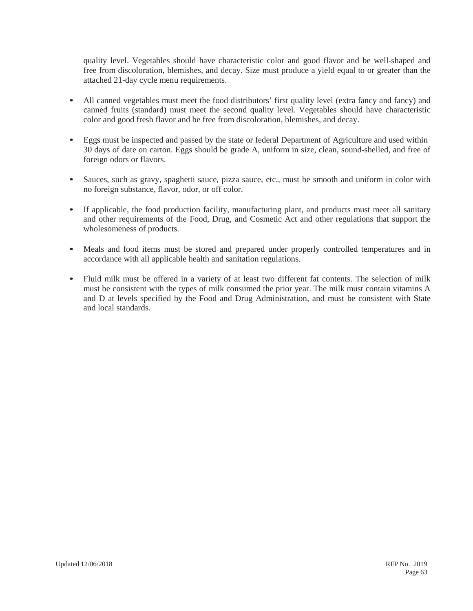quality level. Vegetables should have characteristic color and good flavor and be well-shaped and free from discoloration, blemishes, and decay. Size must produce a yield equal to or greater than the attached 21-day cycle menu requirements.

- All canned vegetables must meet the food distributors' first quality level (extra fancy and fancy) and canned fruits (standard) must meet the second quality level. Vegetables should have characteristic color and good fresh flavor and be free from discoloration, blemishes, and decay.
- Eggs must be inspected and passed by the state or federal Department of Agriculture and used within 30 days of date on carton. Eggs should be grade A, uniform in size, clean, sound-shelled, and free of foreign odors or flavors.
- Sauces, such as gravy, spaghetti sauce, pizza sauce, etc., must be smooth and uniform in color with no foreign substance, flavor, odor, or off color.
- If applicable, the food production facility, manufacturing plant, and products must meet all sanitary and other requirements of the Food, Drug, and Cosmetic Act and other regulations that support the wholesomeness of products.
- Meals and food items must be stored and prepared under properly controlled temperatures and in accordance with all applicable health and sanitation regulations.
- Fluid milk must be offered in a variety of at least two different fat contents. The selection of milk must be consistent with the types of milk consumed the prior year. The milk must contain vitamins A and D at levels specified by the Food and Drug Administration, and must be consistent with State and local standards.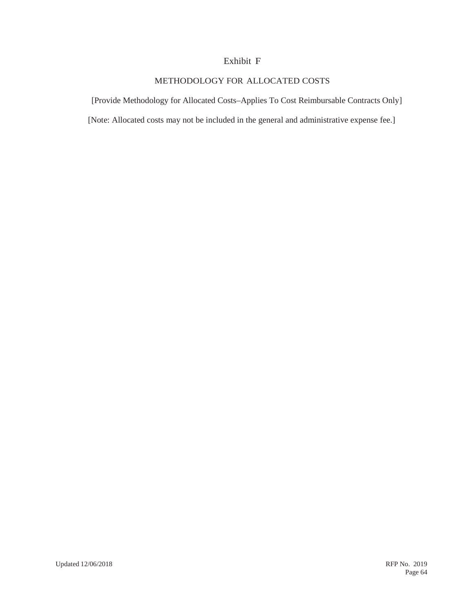### Exhibit F

# METHODOLOGY FOR ALLOCATED COSTS

[Provide Methodology for Allocated Costs–Applies To Cost Reimbursable Contracts Only]

[Note: Allocated costs may not be included in the general and administrative expense fee.]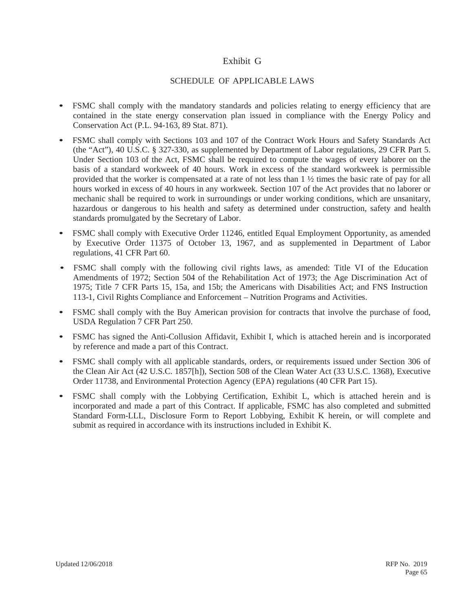# Exhibit G

### SCHEDULE OF APPLICABLE LAWS

- FSMC shall comply with the mandatory standards and policies relating to energy efficiency that are contained in the state energy conservation plan issued in compliance with the Energy Policy and Conservation Act (P.L. 94-163, 89 Stat. 871).
- FSMC shall comply with Sections 103 and 107 of the Contract Work Hours and Safety Standards Act (the "Act"), 40 U.S.C. § 327-330, as supplemented by Department of Labor regulations, 29 CFR Part 5. Under Section 103 of the Act, FSMC shall be required to compute the wages of every laborer on the basis of a standard workweek of 40 hours. Work in excess of the standard workweek is permissible provided that the worker is compensated at a rate of not less than 1 ½ times the basic rate of pay for all hours worked in excess of 40 hours in any workweek. Section 107 of the Act provides that no laborer or mechanic shall be required to work in surroundings or under working conditions, which are unsanitary, hazardous or dangerous to his health and safety as determined under construction, safety and health standards promulgated by the Secretary of Labor.
- FSMC shall comply with Executive Order 11246, entitled Equal Employment Opportunity, as amended by Executive Order 11375 of October 13, 1967, and as supplemented in Department of Labor regulations, 41 CFR Part 60.
- FSMC shall comply with the following civil rights laws, as amended: Title VI of the Education Amendments of 1972; Section 504 of the Rehabilitation Act of 1973; the Age Discrimination Act of 1975; Title 7 CFR Parts 15, 15a, and 15b; the Americans with Disabilities Act; and FNS Instruction 113-1, Civil Rights Compliance and Enforcement – Nutrition Programs and Activities.
- FSMC shall comply with the Buy American provision for contracts that involve the purchase of food, USDA Regulation 7 CFR Part 250.
- FSMC has signed the Anti-Collusion Affidavit, Exhibit I, which is attached herein and is incorporated by reference and made a part of this Contract.
- FSMC shall comply with all applicable standards, orders, or requirements issued under Section 306 of the Clean Air Act (42 U.S.C. 1857[h]), Section 508 of the Clean Water Act (33 U.S.C. 1368), Executive Order 11738, and Environmental Protection Agency (EPA) regulations (40 CFR Part 15).
- FSMC shall comply with the Lobbying Certification, Exhibit L, which is attached herein and is incorporated and made a part of this Contract. If applicable, FSMC has also completed and submitted Standard Form-LLL, Disclosure Form to Report Lobbying, Exhibit K herein, or will complete and submit as required in accordance with its instructions included in Exhibit K.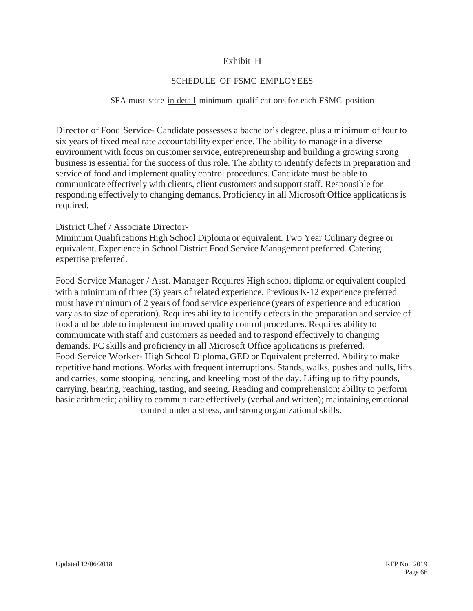# Exhibit H

# SCHEDULE OF FSMC EMPLOYEES

#### SFA must state in detail minimum qualifications for each FSMC position

Director of Food Service–Candidate possesses a bachelor's degree, plus a minimum of four to six years of fixed meal rate accountability experience. The ability to manage in a diverse environment with focus on customer service, entrepreneurship and building a growing strong business is essential for the success of this role. The ability to identify defects in preparation and service of food and implement quality control procedures. Candidate must be able to communicate effectively with clients, client customers and support staff. Responsible for responding effectively to changing demands. Proficiency in all Microsoft Office applications is required.

### District Chef / Associate Director‐

Minimum Qualifications High School Diploma or equivalent. Two Year Culinary degree or equivalent. Experience in School District Food Service Management preferred. Catering expertise preferred.

Food Service Manager / Asst. Manager-Requires High school diploma or equivalent coupled with a minimum of three (3) years of related experience. Previous K-12 experience preferred must have minimum of 2 years of food service experience (years of experience and education vary as to size of operation). Requires ability to identify defects in the preparation and service of food and be able to implement improved quality control procedures. Requires ability to communicate with staff and customers as needed and to respond effectively to changing demands. PC skills and proficiency in all Microsoft Office applications is preferred. Food Service Worker‐ High School Diploma, GED or Equivalent preferred. Ability to make repetitive hand motions. Works with frequent interruptions. Stands, walks, pushes and pulls, lifts and carries, some stooping, bending, and kneeling most of the day. Lifting up to fifty pounds, carrying, hearing, reaching, tasting, and seeing. Reading and comprehension; ability to perform basic arithmetic; ability to communicate effectively (verbal and written); maintaining emotional control under a stress, and strong organizational skills.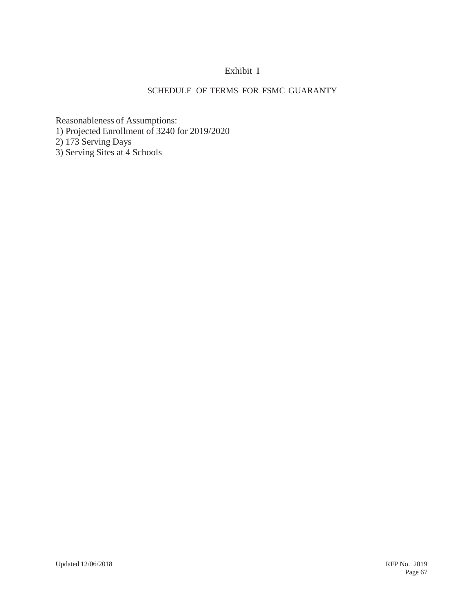# Exhibit I

# SCHEDULE OF TERMS FOR FSMC GUARANTY

Reasonableness of Assumptions: 1) Projected Enrollment of 3240 for 2019/2020 2) 173 Serving Days 3) Serving Sites at 4 Schools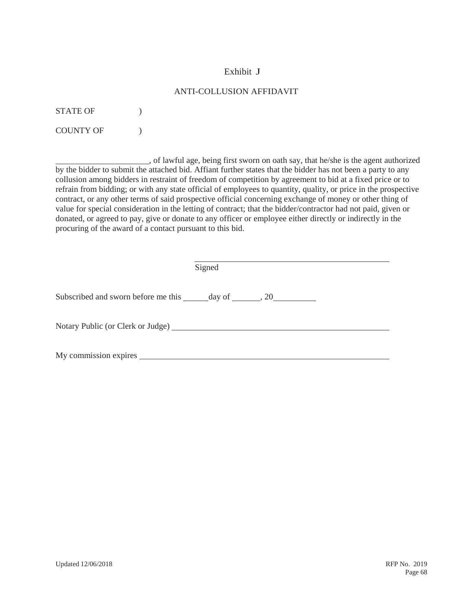# Exhibit J

### ANTI-COLLUSION AFFIDAVIT

STATE OF  $\qquad$  )

COUNTY OF  $)$ 

 , of lawful age, being first sworn on oath say, that he/she is the agent authorized by the bidder to submit the attached bid. Affiant further states that the bidder has not been a party to any collusion among bidders in restraint of freedom of competition by agreement to bid at a fixed price or to refrain from bidding; or with any state official of employees to quantity, quality, or price in the prospective contract, or any other terms of said prospective official concerning exchange of money or other thing of value for special consideration in the letting of contract; that the bidder/contractor had not paid, given or donated, or agreed to pay, give or donate to any officer or employee either directly or indirectly in the procuring of the award of a contact pursuant to this bid.

| Signed                                                                            |  |
|-----------------------------------------------------------------------------------|--|
| Subscribed and sworn before me this ______ day of _______, 20____________________ |  |
| Notary Public (or Clerk or Judge)                                                 |  |
| My commission expires                                                             |  |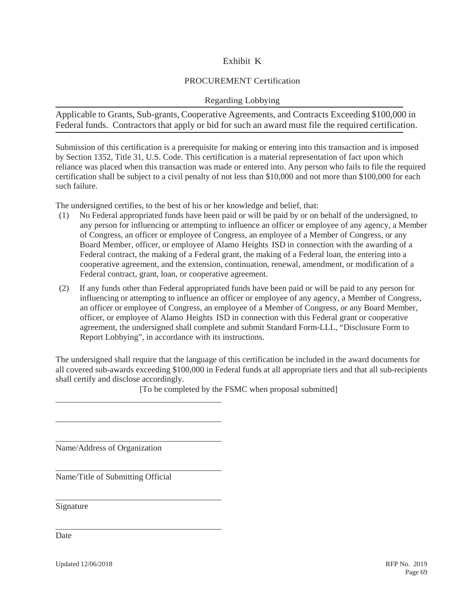# Exhibit K

# PROCUREMENT Certification

### Regarding Lobbying

Applicable to Grants, Sub-grants, Cooperative Agreements, and Contracts Exceeding \$100,000 in Federal funds. Contractors that apply or bid for such an award must file the required certification.

Submission of this certification is a prerequisite for making or entering into this transaction and is imposed by Section 1352, Title 31, U.S. Code. This certification is a material representation of fact upon which reliance was placed when this transaction was made or entered into. Any person who fails to file the required certification shall be subject to a civil penalty of not less than \$10,000 and not more than \$100,000 for each such failure.

The undersigned certifies, to the best of his or her knowledge and belief, that:

- (1) No Federal appropriated funds have been paid or will be paid by or on behalf of the undersigned, to any person for influencing or attempting to influence an officer or employee of any agency, a Member of Congress, an officer or employee of Congress, an employee of a Member of Congress, or any Board Member, officer, or employee of Alamo Heights ISD in connection with the awarding of a Federal contract, the making of a Federal grant, the making of a Federal loan, the entering into a cooperative agreement, and the extension, continuation, renewal, amendment, or modification of a Federal contract, grant, loan, or cooperative agreement.
- (2) If any funds other than Federal appropriated funds have been paid or will be paid to any person for influencing or attempting to influence an officer or employee of any agency, a Member of Congress, an officer or employee of Congress, an employee of a Member of Congress, or any Board Member, officer, or employee of Alamo Heights ISD in connection with this Federal grant or cooperative agreement, the undersigned shall complete and submit Standard Form-LLL, "Disclosure Form to Report Lobbying", in accordance with its instructions.

The undersigned shall require that the language of this certification be included in the award documents for all covered sub-awards exceeding \$100,000 in Federal funds at all appropriate tiers and that all sub-recipients shall certify and disclose accordingly.

[To be completed by the FSMC when proposal submitted]

Name/Address of Organization

Name/Title of Submitting Official

Signature

Date

Updated 12/06/2018 RFP No. 2019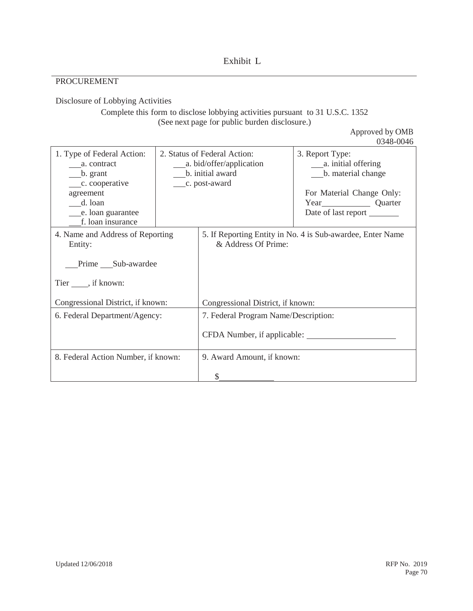### PROCUREMENT

Disclosure of Lobbying Activities

# Complete this form to disclose lobbying activities pursuant to 31 U.S.C. 1352 (See next page for public burden disclosure.)

Approved by OMB

|                                                                                                                                                           |                                                                                     | 0348-0046                                                                                                 |
|-----------------------------------------------------------------------------------------------------------------------------------------------------------|-------------------------------------------------------------------------------------|-----------------------------------------------------------------------------------------------------------|
| 1. Type of Federal Action:<br>a. contract<br>$\frac{\ }{}$ b. grant<br>__c. cooperative<br>agreement<br>d. loan<br>e. loan guarantee<br>f. loan insurance | 2. Status of Federal Action:<br>______ a. bid/offer/application<br>b. initial award | 3. Report Type:<br>b. material change<br>For Material Change Only:<br>Year Quarter<br>Date of last report |
| 4. Name and Address of Reporting<br>Entity:<br>Prime Sub-awardee<br>Tier _____, if known:                                                                 | & Address Of Prime:                                                                 | 5. If Reporting Entity in No. 4 is Sub-awardee, Enter Name                                                |
| Congressional District, if known:                                                                                                                         | Congressional District, if known:                                                   |                                                                                                           |
| 6. Federal Department/Agency:                                                                                                                             | 7. Federal Program Name/Description:<br>CFDA Number, if applicable:                 |                                                                                                           |
| 8. Federal Action Number, if known:                                                                                                                       | 9. Award Amount, if known:<br>S                                                     |                                                                                                           |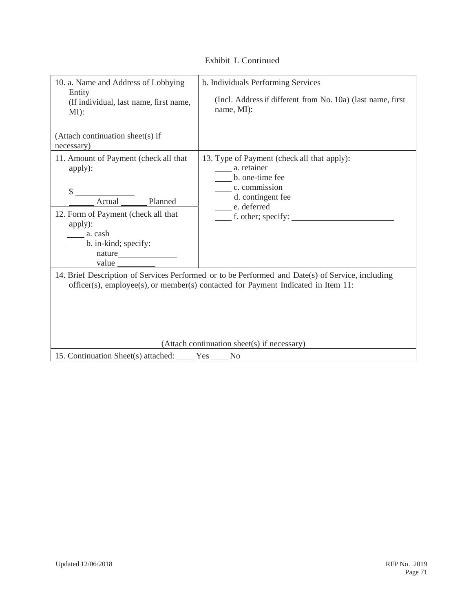| 10. a. Name and Address of Lobbying<br>Entity<br>(If individual, last name, first name,<br>$MI$ :                                                                                                                                    | b. Individuals Performing Services<br>(Incl. Address if different from No. 10a) (last name, first<br>name, MI):                                                            |  |
|--------------------------------------------------------------------------------------------------------------------------------------------------------------------------------------------------------------------------------------|----------------------------------------------------------------------------------------------------------------------------------------------------------------------------|--|
| (Attach continuation sheet(s) if<br>necessary)                                                                                                                                                                                       |                                                                                                                                                                            |  |
| 11. Amount of Payment (check all that<br>apply):<br>\$<br>Planned<br>Actual<br>12. Form of Payment (check all that<br>apply):<br>a. cash<br>b. in-kind; specify:<br>nature<br>value                                                  | 13. Type of Payment (check all that apply):<br>a. retainer<br>b. one-time fee<br>c. commission<br>___ d. contingent fee<br>e. deferred<br>$\frac{1}{2}$ f. other; specify: |  |
| 14. Brief Description of Services Performed or to be Performed and Date(s) of Service, including<br>officer(s), employee(s), or member(s) contacted for Payment Indicated in Item 11:<br>(Attach continuation sheet(s) if necessary) |                                                                                                                                                                            |  |
| 15. Continuation Sheet(s) attached:                                                                                                                                                                                                  | Yes<br>No                                                                                                                                                                  |  |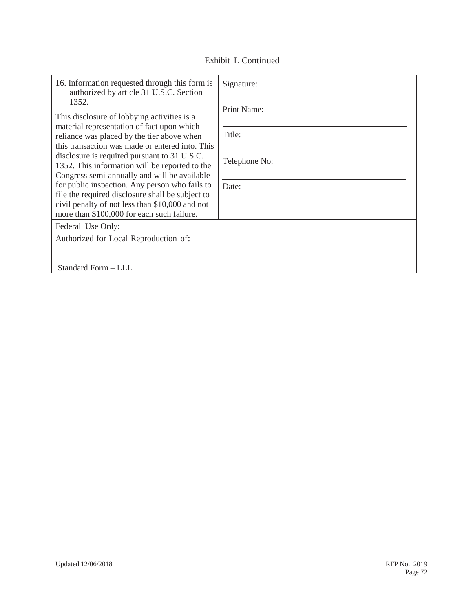|  | Exhibit L Continued |
|--|---------------------|
|--|---------------------|

| 16. Information requested through this form is<br>authorized by article 31 U.S.C. Section                                                                                                                                                                                                                                                                                                                                                                                                                                                                    | Signature:                                      |
|--------------------------------------------------------------------------------------------------------------------------------------------------------------------------------------------------------------------------------------------------------------------------------------------------------------------------------------------------------------------------------------------------------------------------------------------------------------------------------------------------------------------------------------------------------------|-------------------------------------------------|
| 1352.<br>This disclosure of lobbying activities is a<br>material representation of fact upon which<br>reliance was placed by the tier above when<br>this transaction was made or entered into. This<br>disclosure is required pursuant to 31 U.S.C.<br>1352. This information will be reported to the<br>Congress semi-annually and will be available<br>for public inspection. Any person who fails to<br>file the required disclosure shall be subject to<br>civil penalty of not less than \$10,000 and not<br>more than \$100,000 for each such failure. | Print Name:<br>Title:<br>Telephone No:<br>Date: |
| Federal Use Only:<br>Authorized for Local Reproduction of:<br>Standard Form - LLL                                                                                                                                                                                                                                                                                                                                                                                                                                                                            |                                                 |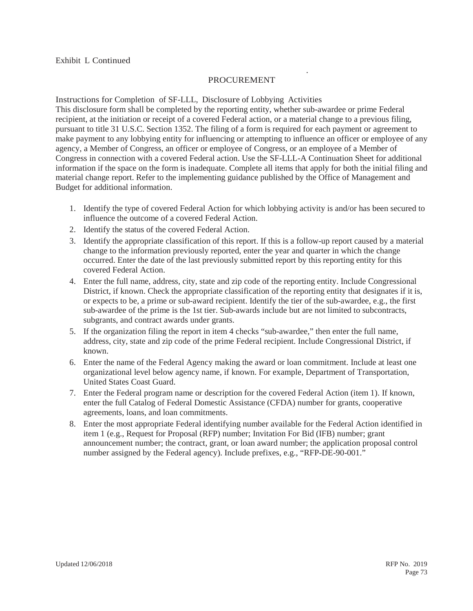#### **PROCUREMENT**

.

Instructions for Completion of SF-LLL, Disclosure of Lobbying Activities This disclosure form shall be completed by the reporting entity, whether sub-awardee or prime Federal recipient, at the initiation or receipt of a covered Federal action, or a material change to a previous filing, pursuant to title 31 U.S.C. Section 1352. The filing of a form is required for each payment or agreement to make payment to any lobbying entity for influencing or attempting to influence an officer or employee of any agency, a Member of Congress, an officer or employee of Congress, or an employee of a Member of Congress in connection with a covered Federal action. Use the SF-LLL-A Continuation Sheet for additional information if the space on the form is inadequate. Complete all items that apply for both the initial filing and material change report. Refer to the implementing guidance published by the Office of Management and Budget for additional information.

- 1. Identify the type of covered Federal Action for which lobbying activity is and/or has been secured to influence the outcome of a covered Federal Action.
- 2. Identify the status of the covered Federal Action.
- 3. Identify the appropriate classification of this report. If this is a follow-up report caused by a material change to the information previously reported, enter the year and quarter in which the change occurred. Enter the date of the last previously submitted report by this reporting entity for this covered Federal Action.
- 4. Enter the full name, address, city, state and zip code of the reporting entity. Include Congressional District, if known. Check the appropriate classification of the reporting entity that designates if it is, or expects to be, a prime or sub-award recipient. Identify the tier of the sub-awardee, e.g., the first sub-awardee of the prime is the 1st tier. Sub-awards include but are not limited to subcontracts, subgrants, and contract awards under grants.
- 5. If the organization filing the report in item 4 checks "sub-awardee," then enter the full name, address, city, state and zip code of the prime Federal recipient. Include Congressional District, if known.
- 6. Enter the name of the Federal Agency making the award or loan commitment. Include at least one organizational level below agency name, if known. For example, Department of Transportation, United States Coast Guard.
- 7. Enter the Federal program name or description for the covered Federal Action (item 1). If known, enter the full Catalog of Federal Domestic Assistance (CFDA) number for grants, cooperative agreements, loans, and loan commitments.
- 8. Enter the most appropriate Federal identifying number available for the Federal Action identified in item 1 (e.g., Request for Proposal (RFP) number; Invitation For Bid (IFB) number; grant announcement number; the contract, grant, or loan award number; the application proposal control number assigned by the Federal agency). Include prefixes, e.g., "RFP-DE-90-001."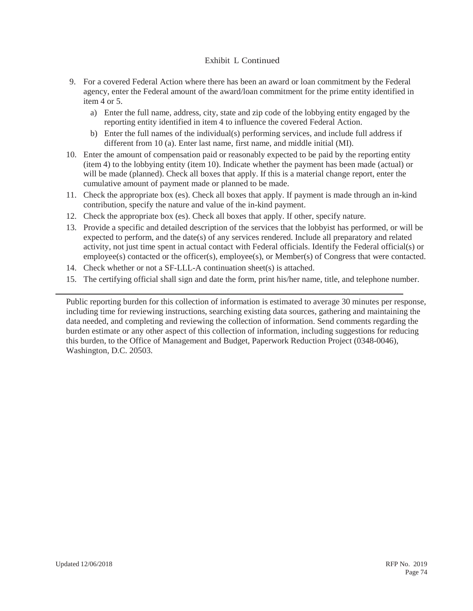#### Exhibit L Continued

- 9. For a covered Federal Action where there has been an award or loan commitment by the Federal agency, enter the Federal amount of the award/loan commitment for the prime entity identified in item 4 or 5.
	- a) Enter the full name, address, city, state and zip code of the lobbying entity engaged by the reporting entity identified in item 4 to influence the covered Federal Action.
	- b) Enter the full names of the individual(s) performing services, and include full address if different from 10 (a). Enter last name, first name, and middle initial (MI).
- 10. Enter the amount of compensation paid or reasonably expected to be paid by the reporting entity (item 4) to the lobbying entity (item 10). Indicate whether the payment has been made (actual) or will be made (planned). Check all boxes that apply. If this is a material change report, enter the cumulative amount of payment made or planned to be made.
- 11. Check the appropriate box (es). Check all boxes that apply. If payment is made through an in-kind contribution, specify the nature and value of the in-kind payment.
- 12. Check the appropriate box (es). Check all boxes that apply. If other, specify nature.
- 13. Provide a specific and detailed description of the services that the lobbyist has performed, or will be expected to perform, and the date(s) of any services rendered. Include all preparatory and related activity, not just time spent in actual contact with Federal officials. Identify the Federal official(s) or  $emplove(s)$  contacted or the officer(s), employee(s), or Member(s) of Congress that were contacted.
- 14. Check whether or not a SF-LLL-A continuation sheet(s) is attached.
- 15. The certifying official shall sign and date the form, print his/her name, title, and telephone number.

Public reporting burden for this collection of information is estimated to average 30 minutes per response, including time for reviewing instructions, searching existing data sources, gathering and maintaining the data needed, and completing and reviewing the collection of information. Send comments regarding the burden estimate or any other aspect of this collection of information, including suggestions for reducing this burden, to the Office of Management and Budget, Paperwork Reduction Project (0348-0046), Washington, D.C. 20503.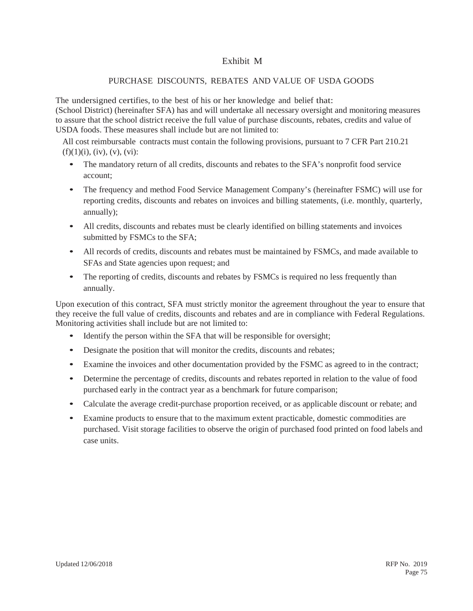# Exhibit M

### PURCHASE DISCOUNTS, REBATES AND VALUE OF USDA GOODS

The undersigned certifies, to the best of his or her knowledge and belief that:

(School District) (hereinafter SFA) has and will undertake all necessary oversight and monitoring measures to assure that the school district receive the full value of purchase discounts, rebates, credits and value of USDA foods. These measures shall include but are not limited to:

All cost reimbursable contracts must contain the following provisions, pursuant to 7 CFR Part 210.21  $(f)(1)(i)$ ,  $(iv)$ ,  $(v)$ ,  $(vi)$ :

- The mandatory return of all credits, discounts and rebates to the SFA's nonprofit food service account;
- The frequency and method Food Service Management Company's (hereinafter FSMC) will use for reporting credits, discounts and rebates on invoices and billing statements, (i.e. monthly, quarterly, annually);
- All credits, discounts and rebates must be clearly identified on billing statements and invoices submitted by FSMCs to the SFA;
- All records of credits, discounts and rebates must be maintained by FSMCs, and made available to SFAs and State agencies upon request; and
- The reporting of credits, discounts and rebates by FSMCs is required no less frequently than annually.

Upon execution of this contract, SFA must strictly monitor the agreement throughout the year to ensure that they receive the full value of credits, discounts and rebates and are in compliance with Federal Regulations. Monitoring activities shall include but are not limited to:

- Identify the person within the SFA that will be responsible for oversight;
- Designate the position that will monitor the credits, discounts and rebates;
- Examine the invoices and other documentation provided by the FSMC as agreed to in the contract;
- Determine the percentage of credits, discounts and rebates reported in relation to the value of food purchased early in the contract year as a benchmark for future comparison;
- Calculate the average credit-purchase proportion received, or as applicable discount or rebate; and
- Examine products to ensure that to the maximum extent practicable, domestic commodities are purchased. Visit storage facilities to observe the origin of purchased food printed on food labels and case units.